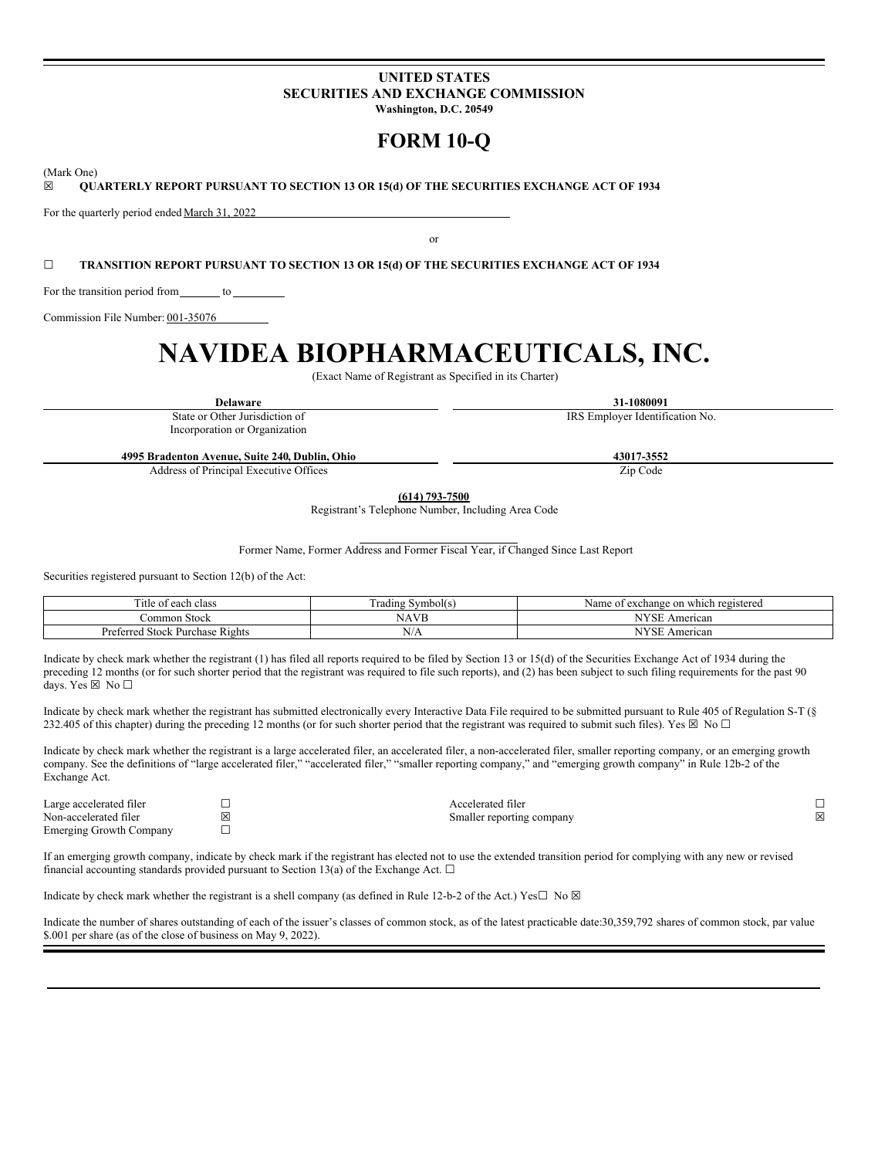# **UNITED STATES SECURITIES AND EXCHANGE COMMISSION**

**Washington, D.C. 20549**

# **FORM 10-Q**

(Mark One)<br>  $\boxtimes$  **OU** 

**☒ QUARTERLY REPORT PURSUANT TO SECTION 13 OR 15(d) OF THE SECURITIES EXCHANGE ACT OF 1934**

For the quarterly period ended March 31, 2022

or

**☐ TRANSITION REPORT PURSUANT TO SECTION 13 OR 15(d) OF THE SECURITIES EXCHANGE ACT OF 1934**

For the transition period from \_\_\_\_\_\_\_\_ to \_

Commission File Number: 001-35076

# **NAVIDEA BIOPHARMACEUTICALS, INC.**

(Exact Name of Registrant as Specified in its Charter)

**Delaware 31-1080091**

State or Other Jurisdiction of Incorporation or Organization IRS Employer Identification No.

**4995 Bradenton Avenue, Suite 240, Dublin, Ohio 43017-3552** Address of Principal Executive Offices **Zip Code Zip Code** 

**(614) 793-7500**

Registrant's Telephone Number, Including Area Code

Former Name, Former Address and Former Fiscal Year, if Changed Since Last Report

Securities registered pursuant to Section 12(b) of the Act:

| Title of each<br>t each class             | Symbol(s)<br>rading | e of exchange on which registered<br>Name |
|-------------------------------------------|---------------------|-------------------------------------------|
| ∴ommon Stock                              | <b>NAVB</b>         | <b>MIVCE</b><br>American<br>эг            |
| : Purchase Rights<br>' Stock<br>Preferred | N/A                 | N V C<br>American<br>эr.                  |

Indicate by check mark whether the registrant (1) has filed all reports required to be filed by Section 13 or 15(d) of the Securities Exchange Act of 1934 during the preceding 12 months (or for such shorter period that the registrant was required to file such reports), and (2) has been subject to such filing requirements for the past 90 days. Yes ⊠ No □

Indicate by check mark whether the registrant has submitted electronically every Interactive Data File required to be submitted pursuant to Rule 405 of Regulation S-T (§ 232.405 of this chapter) during the preceding 12 months (or for such shorter period that the registrant was required to submit such files). Yes  $\boxtimes$  No  $\Box$ 

Indicate by check mark whether the registrant is a large accelerated filer, an accelerated filer, a non-accelerated filer, smaller reporting company, or an emerging growth company. See the definitions of "large accelerated filer," "accelerated filer," "smaller reporting company," and "emerging growth company" in Rule 12b-2 of the Exchange Act.

| Large accelerated filer        | Accelerated filer         |  |
|--------------------------------|---------------------------|--|
| Non-accelerated filer          | Smaller reporting company |  |
| <b>Emerging Growth Company</b> |                           |  |

If an emerging growth company, indicate by check mark if the registrant has elected not to use the extended transition period for complying with any new or revised financial accounting standards provided pursuant to Section 13(a) of the Exchange Act.  $\Box$ 

Indicate by check mark whether the registrant is a shell company (as defined in Rule 12-b-2 of the Act.) Yes $\square$  No  $\boxtimes$ 

Indicate the number of shares outstanding of each of the issuer's classes of common stock, as of the latest practicable date:30,359,792 shares of common stock, par value \$.001 per share (as of the close of business on May 9, 2022).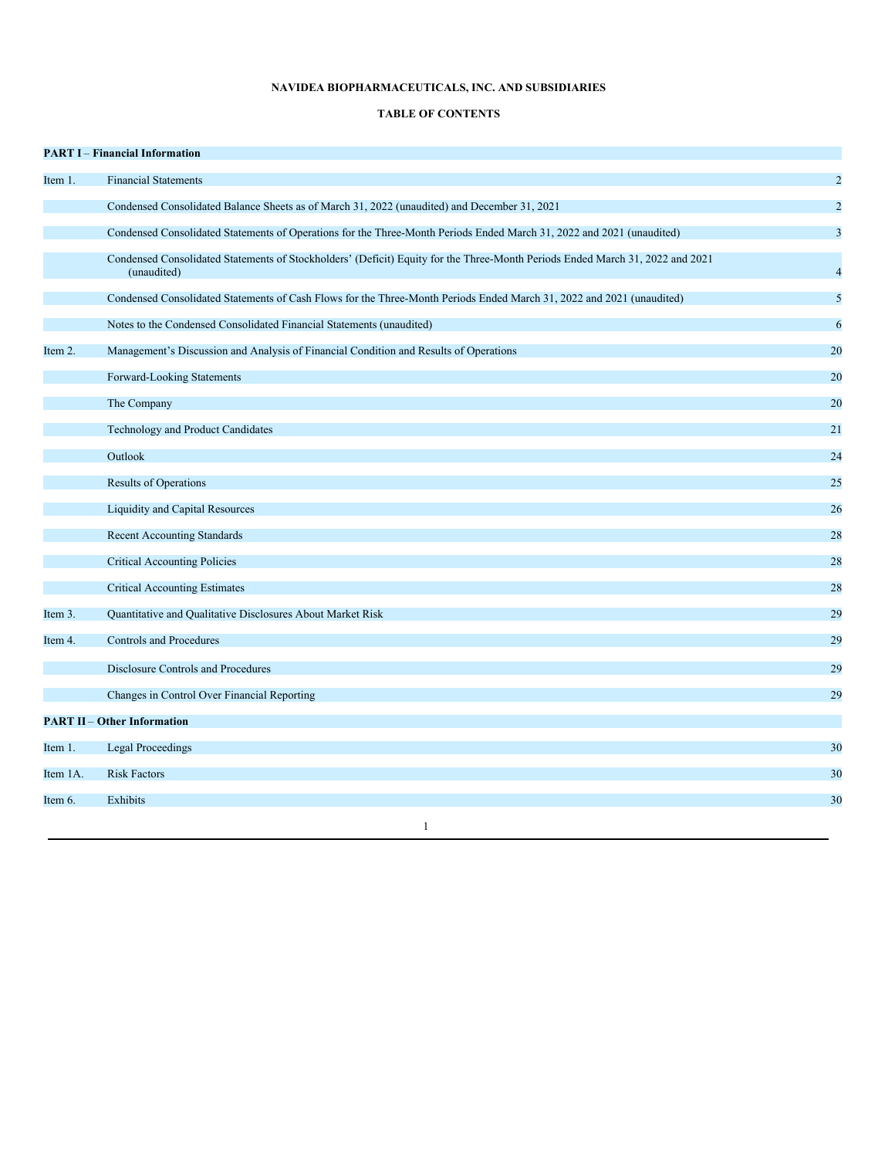# **NAVIDEA BIOPHARMACEUTICALS, INC. AND SUBSIDIARIES**

# **TABLE OF CONTENTS**

|          | <b>PART I – Financial Information</b>                                                                                                        |                          |
|----------|----------------------------------------------------------------------------------------------------------------------------------------------|--------------------------|
| Item 1.  | <b>Financial Statements</b>                                                                                                                  | $\overline{c}$           |
|          | Condensed Consolidated Balance Sheets as of March 31, 2022 (unaudited) and December 31, 2021                                                 | $\overline{c}$           |
|          | Condensed Consolidated Statements of Operations for the Three-Month Periods Ended March 31, 2022 and 2021 (unaudited)                        | 3                        |
|          | Condensed Consolidated Statements of Stockholders' (Deficit) Equity for the Three-Month Periods Ended March 31, 2022 and 2021<br>(unaudited) | $\overline{\mathcal{A}}$ |
|          | Condensed Consolidated Statements of Cash Flows for the Three-Month Periods Ended March 31, 2022 and 2021 (unaudited)                        | 5                        |
|          | Notes to the Condensed Consolidated Financial Statements (unaudited)                                                                         | 6                        |
| Item 2.  | Management's Discussion and Analysis of Financial Condition and Results of Operations                                                        | 20                       |
|          | Forward-Looking Statements                                                                                                                   | 20                       |
|          | The Company                                                                                                                                  | 20                       |
|          | Technology and Product Candidates                                                                                                            | 21                       |
|          | Outlook                                                                                                                                      | 24                       |
|          | <b>Results of Operations</b>                                                                                                                 | 25                       |
|          | Liquidity and Capital Resources                                                                                                              | 26                       |
|          | <b>Recent Accounting Standards</b>                                                                                                           | 28                       |
|          | <b>Critical Accounting Policies</b>                                                                                                          | 28                       |
|          | <b>Critical Accounting Estimates</b>                                                                                                         | 28                       |
| Item 3.  | Quantitative and Qualitative Disclosures About Market Risk                                                                                   | 29                       |
| Item 4.  | Controls and Procedures                                                                                                                      | 29                       |
|          | Disclosure Controls and Procedures                                                                                                           | 29                       |
|          | Changes in Control Over Financial Reporting                                                                                                  | 29                       |
|          | <b>PART II-Other Information</b>                                                                                                             |                          |
| Item 1.  | <b>Legal Proceedings</b>                                                                                                                     | 30                       |
| Item 1A. | <b>Risk Factors</b>                                                                                                                          | 30                       |
| Item 6.  | Exhibits                                                                                                                                     | 30                       |
|          | 1                                                                                                                                            |                          |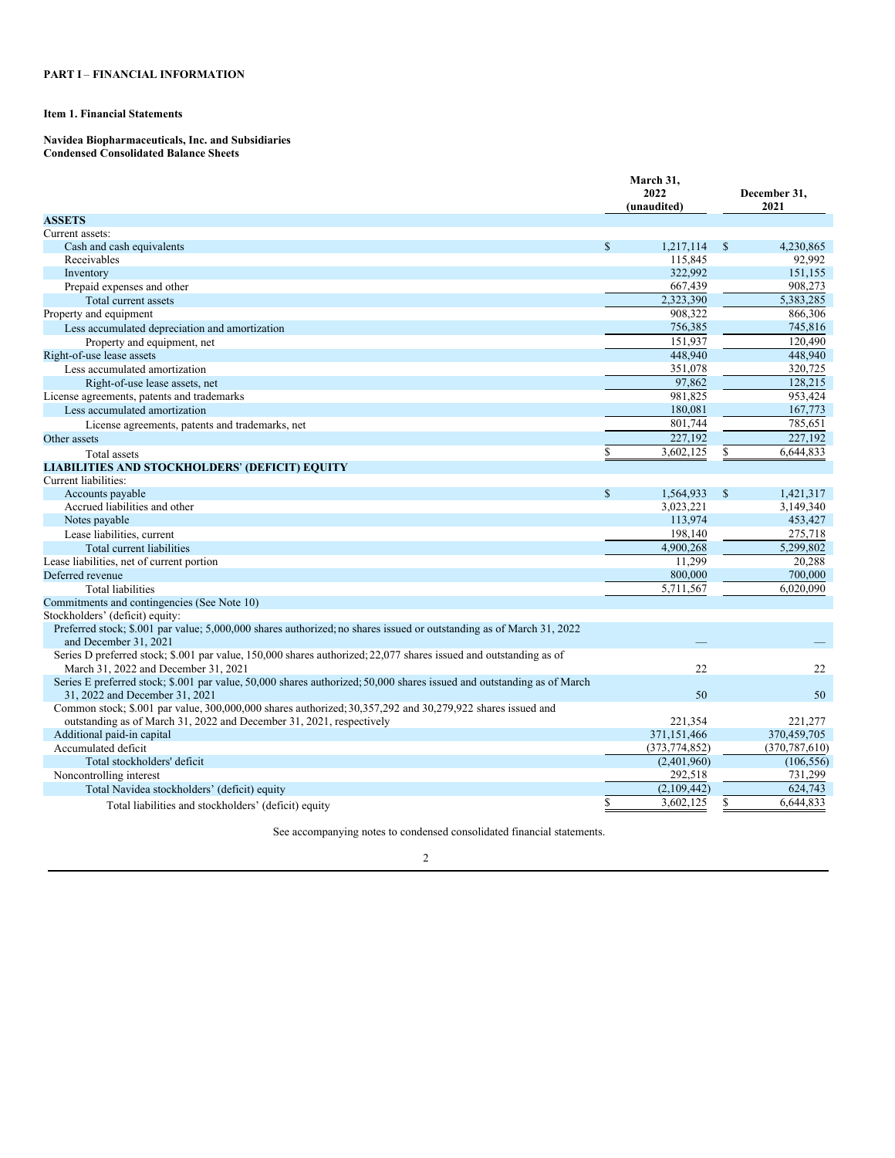# **PART I** – **FINANCIAL INFORMATION**

## **Item 1. Financial Statements**

#### **Navidea Biopharmaceuticals, Inc. and Subsidiaries Condensed Consolidated Balance Sheets**

|                                                                                                                                                                                    |              | March 31,<br>2022<br>(unaudited) |               | December 31,<br>2021 |
|------------------------------------------------------------------------------------------------------------------------------------------------------------------------------------|--------------|----------------------------------|---------------|----------------------|
| <b>ASSETS</b>                                                                                                                                                                      |              |                                  |               |                      |
| Current assets:                                                                                                                                                                    |              |                                  |               |                      |
| Cash and cash equivalents                                                                                                                                                          | $\mathbb{S}$ | 1,217,114                        | $\mathcal{S}$ | 4,230,865            |
| Receivables                                                                                                                                                                        |              | 115,845                          |               | 92,992               |
| Inventory                                                                                                                                                                          |              | 322,992                          |               | 151,155              |
| Prepaid expenses and other                                                                                                                                                         |              | 667,439                          |               | 908,273              |
| Total current assets                                                                                                                                                               |              | 2,323,390                        |               | 5,383,285            |
| Property and equipment                                                                                                                                                             |              | 908.322                          |               | 866,306              |
| Less accumulated depreciation and amortization                                                                                                                                     |              | 756,385                          |               | 745,816              |
| Property and equipment, net                                                                                                                                                        |              | 151,937                          |               | 120,490              |
| Right-of-use lease assets                                                                                                                                                          |              | 448,940                          |               | 448,940              |
| Less accumulated amortization                                                                                                                                                      |              | 351,078                          |               | 320,725              |
| Right-of-use lease assets, net                                                                                                                                                     |              | 97,862                           |               | 128,215              |
| License agreements, patents and trademarks                                                                                                                                         |              | 981,825                          |               | 953,424              |
| Less accumulated amortization                                                                                                                                                      |              | 180,081                          |               | 167,773              |
| License agreements, patents and trademarks, net                                                                                                                                    |              | 801.744                          |               | 785,651              |
| Other assets                                                                                                                                                                       |              | 227,192                          |               | 227,192              |
| Total assets                                                                                                                                                                       | \$           | 3,602,125                        | \$            | 6,644,833            |
| <b>LIABILITIES AND STOCKHOLDERS' (DEFICIT) EQUITY</b>                                                                                                                              |              |                                  |               |                      |
| Current liabilities:                                                                                                                                                               |              |                                  |               |                      |
| Accounts payable                                                                                                                                                                   | $\mathbb{S}$ | 1,564,933                        | $\mathbb{S}$  | 1,421,317            |
| Accrued liabilities and other                                                                                                                                                      |              | 3,023,221                        |               | 3,149,340            |
| Notes payable                                                                                                                                                                      |              | 113,974                          |               | 453,427              |
| Lease liabilities, current                                                                                                                                                         |              | 198,140                          |               | 275,718              |
| Total current liabilities                                                                                                                                                          |              | 4,900,268                        |               | 5,299,802            |
| Lease liabilities, net of current portion                                                                                                                                          |              | 11,299                           |               | 20.288               |
| Deferred revenue                                                                                                                                                                   |              | 800,000                          |               | 700,000              |
| Total liabilities                                                                                                                                                                  |              | 5,711,567                        |               | 6,020,090            |
| Commitments and contingencies (See Note 10)                                                                                                                                        |              |                                  |               |                      |
| Stockholders' (deficit) equity:                                                                                                                                                    |              |                                  |               |                      |
| Preferred stock; \$.001 par value; 5,000,000 shares authorized; no shares issued or outstanding as of March 31, 2022<br>and December 31, 2021                                      |              |                                  |               |                      |
| Series D preferred stock; \$.001 par value, 150,000 shares authorized; 22,077 shares issued and outstanding as of<br>March 31, 2022 and December 31, 2021                          |              | 22                               |               | 22                   |
| Series E preferred stock; \$.001 par value, 50,000 shares authorized; 50,000 shares issued and outstanding as of March<br>31, 2022 and December 31, 2021                           |              | 50                               |               | 50                   |
| Common stock; \$.001 par value, 300,000,000 shares authorized; 30,357,292 and 30,279,922 shares issued and<br>outstanding as of March 31, 2022 and December 31, 2021, respectively |              | 221,354                          |               | 221,277              |
| Additional paid-in capital                                                                                                                                                         |              | 371,151,466                      |               | 370,459,705          |
| Accumulated deficit                                                                                                                                                                |              | (373, 774, 852)                  |               | (370, 787, 610)      |
| Total stockholders' deficit                                                                                                                                                        |              | (2, 401, 960)                    |               | (106, 556)           |
| Noncontrolling interest                                                                                                                                                            |              | 292,518                          |               | 731,299              |
| Total Navidea stockholders' (deficit) equity                                                                                                                                       |              | (2,109,442)                      |               | 624,743              |
| Total liabilities and stockholders' (deficit) equity                                                                                                                               | \$           | 3,602,125                        | \$            | 6,644,833            |

See accompanying notes to condensed consolidated financial statements.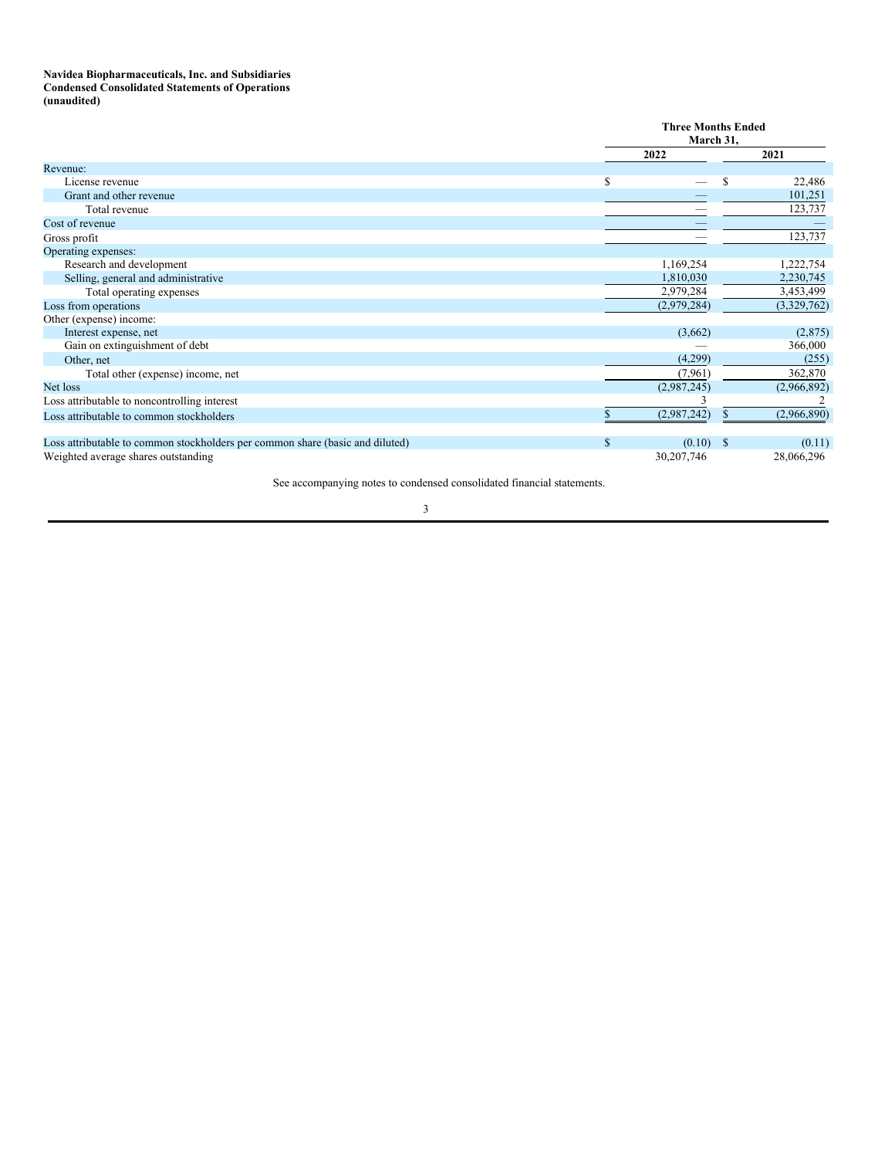#### **Navidea Biopharmaceuticals, Inc. and Subsidiaries Condensed Consolidated Statements of Operations (unaudited)**

|                                                                               |             | <b>Three Months Ended</b><br>March 31, |   |             |
|-------------------------------------------------------------------------------|-------------|----------------------------------------|---|-------------|
|                                                                               |             | 2022                                   |   | 2021        |
| Revenue:                                                                      |             |                                        |   |             |
| License revenue                                                               | S           |                                        | S | 22,486      |
| Grant and other revenue                                                       |             |                                        |   | 101,251     |
| Total revenue                                                                 |             |                                        |   | 123,737     |
| Cost of revenue                                                               |             |                                        |   |             |
| Gross profit                                                                  |             |                                        |   | 123,737     |
| Operating expenses:                                                           |             |                                        |   |             |
| Research and development                                                      |             | 1,169,254                              |   | 1,222,754   |
| Selling, general and administrative                                           |             | 1,810,030                              |   | 2,230,745   |
| Total operating expenses                                                      |             | 2,979,284                              |   | 3,453,499   |
| Loss from operations                                                          |             | (2,979,284)                            |   | (3,329,762) |
| Other (expense) income:                                                       |             |                                        |   |             |
| Interest expense, net                                                         |             | (3,662)                                |   | (2,875)     |
| Gain on extinguishment of debt                                                |             |                                        |   | 366,000     |
| Other, net                                                                    |             | (4,299)                                |   | (255)       |
| Total other (expense) income, net                                             |             | (7,961)                                |   | 362,870     |
| Net loss                                                                      |             | (2,987,245)                            |   | (2,966,892) |
| Loss attributable to noncontrolling interest                                  |             |                                        |   |             |
| Loss attributable to common stockholders                                      |             | (2,987,242)                            |   | (2,966,890) |
|                                                                               |             |                                        |   |             |
| Loss attributable to common stockholders per common share (basic and diluted) | $\mathbf S$ | $(0.10)$ \$                            |   | (0.11)      |
| Weighted average shares outstanding                                           |             | 30,207,746                             |   | 28,066,296  |

See accompanying notes to condensed consolidated financial statements.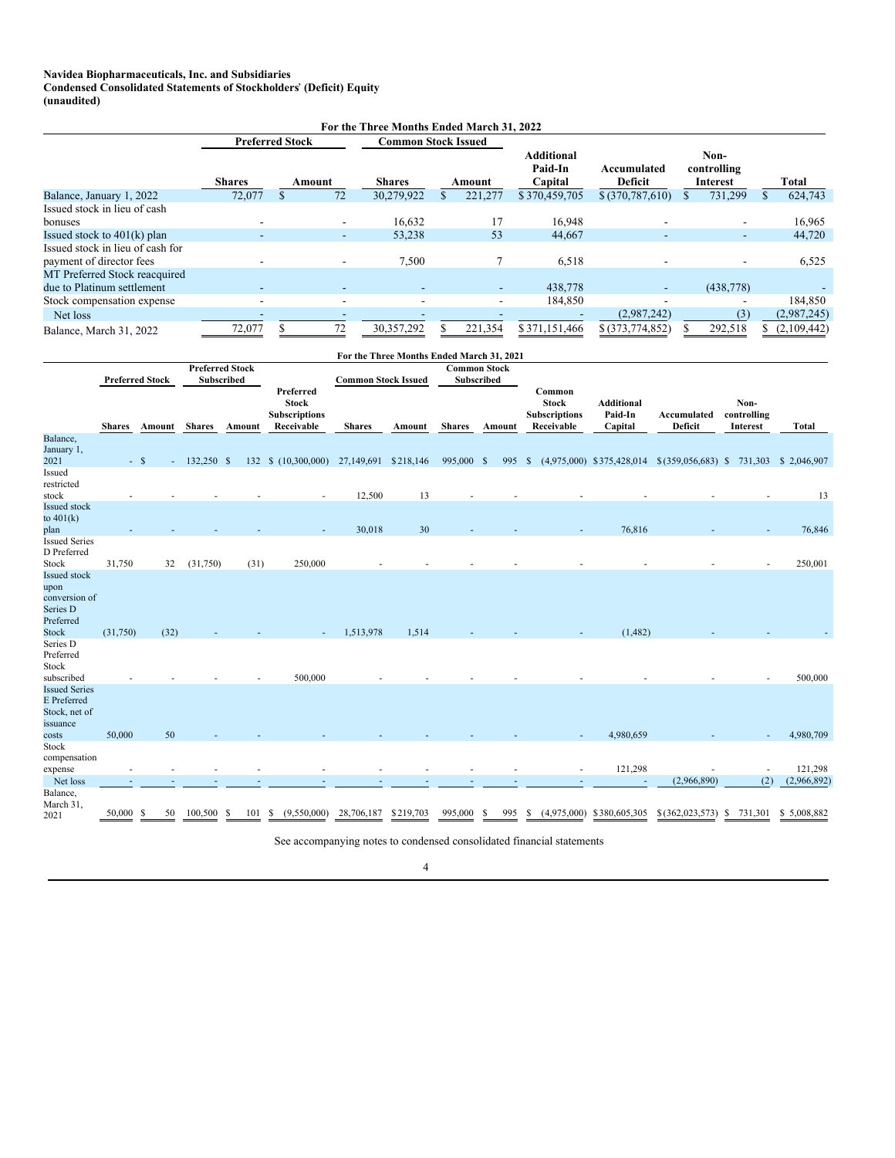#### **Navidea Biopharmaceuticals, Inc. and Subsidiaries**

**Condensed Consolidated Statements of Stockholders**' **(Deficit) Equity**

**(unaudited)**

|                                                              |                          |                          | For the Three Months Ended March 31, 2022 |                          |                                         |                               |    |                                        |    |             |
|--------------------------------------------------------------|--------------------------|--------------------------|-------------------------------------------|--------------------------|-----------------------------------------|-------------------------------|----|----------------------------------------|----|-------------|
|                                                              | <b>Preferred Stock</b>   |                          | <b>Common Stock Issued</b>                |                          |                                         |                               |    |                                        |    |             |
|                                                              | <b>Shares</b>            | Amount                   | <b>Shares</b>                             | Amount                   | <b>Additional</b><br>Paid-In<br>Capital | Accumulated<br><b>Deficit</b> |    | Non-<br>controlling<br><b>Interest</b> |    | Total       |
| Balance, January 1, 2022                                     | 72,077                   | 72                       | 30,279,922                                | 221.277                  | \$370,459,705                           | \$ (370, 787, 610)            | S. | 731,299                                | S. | 624,743     |
| Issued stock in lieu of cash                                 |                          |                          |                                           |                          |                                         |                               |    |                                        |    |             |
| bonuses                                                      |                          | $\overline{\phantom{a}}$ | 16,632                                    | 17                       | 16,948                                  |                               |    | $\overline{\phantom{a}}$               |    | 16,965      |
| Issued stock to $401(k)$ plan                                | ۰                        | $\overline{\phantom{a}}$ | 53,238                                    | 53                       | 44,667                                  | $\overline{\phantom{a}}$      |    | $\overline{\phantom{a}}$               |    | 44,720      |
| Issued stock in lieu of cash for<br>payment of director fees |                          |                          | 7,500                                     |                          | 6,518                                   |                               |    |                                        |    | 6,525       |
| MT Preferred Stock reacquired                                |                          |                          |                                           |                          |                                         |                               |    |                                        |    |             |
| due to Platinum settlement                                   | $\overline{\phantom{a}}$ | $\overline{\phantom{a}}$ |                                           | $\overline{\phantom{a}}$ | 438,778                                 |                               |    | (438, 778)                             |    |             |
| Stock compensation expense                                   |                          | $\overline{\phantom{a}}$ | ۰                                         | $\blacksquare$           | 184,850                                 |                               |    |                                        |    | 184,850     |
| Net loss                                                     |                          | $\overline{\phantom{a}}$ |                                           |                          |                                         | (2,987,242)                   |    | (3)                                    |    | (2,987,245) |
| Balance, March 31, 2022                                      | 72,077                   | 72                       | 30, 357, 292                              | 221,354                  | \$371,151,466                           | \$ (373,774,852)              |    | 292,518                                |    | (2,109,442) |

|                                                                         |                        |              |        |                        |            |      |                                                                 | For the Three Months Ended March 31, 2021 |           |                                   |        |   |                                                              |                                  |                                                                     |                                 |              |
|-------------------------------------------------------------------------|------------------------|--------------|--------|------------------------|------------|------|-----------------------------------------------------------------|-------------------------------------------|-----------|-----------------------------------|--------|---|--------------------------------------------------------------|----------------------------------|---------------------------------------------------------------------|---------------------------------|--------------|
|                                                                         | <b>Preferred Stock</b> |              |        | <b>Preferred Stock</b> | Subscribed |      |                                                                 | <b>Common Stock Issued</b>                |           | <b>Common Stock</b><br>Subscribed |        |   |                                                              |                                  |                                                                     |                                 |              |
|                                                                         | <b>Shares</b>          |              | Amount | <b>Shares</b>          | Amount     |      | Preferred<br><b>Stock</b><br><b>Subscriptions</b><br>Receivable | <b>Shares</b>                             | Amount    | <b>Shares</b>                     | Amount |   | Common<br><b>Stock</b><br><b>Subscriptions</b><br>Receivable | Additional<br>Paid-In<br>Capital | Accumulated<br>Deficit                                              | Non-<br>controlling<br>Interest | <b>Total</b> |
| Balance,<br>January 1,<br>2021                                          | $\omega$ .             | <sup>S</sup> |        | 132,250 \$             |            |      | 132 \$ (10,300,000)                                             | 27,149,691 \$218,146                      |           | 995,000 \$                        | 995 \$ |   |                                                              |                                  | $(4,975,000)$ \$375,428,014 \$(359,056,683) \$ 731,303 \$ 2,046,907 |                                 |              |
| Issued                                                                  |                        |              |        |                        |            |      |                                                                 |                                           |           |                                   |        |   |                                                              |                                  |                                                                     |                                 |              |
| restricted<br>stock                                                     |                        |              |        |                        |            |      |                                                                 | 12,500                                    | 13        |                                   |        |   |                                                              |                                  |                                                                     |                                 | 13           |
| <b>Issued stock</b><br>to $401(k)$                                      |                        |              |        |                        |            |      |                                                                 |                                           |           |                                   |        |   |                                                              |                                  |                                                                     |                                 |              |
| plan                                                                    |                        |              |        |                        |            |      |                                                                 | 30,018                                    | 30        |                                   |        |   |                                                              | 76,816                           |                                                                     |                                 | 76,846       |
| <b>Issued Series</b><br>D Preferred<br>Stock                            | 31,750                 |              | 32     | (31,750)               |            | (31) | 250,000                                                         |                                           |           |                                   |        |   |                                                              |                                  |                                                                     |                                 | 250,001      |
| <b>Issued stock</b>                                                     |                        |              |        |                        |            |      |                                                                 |                                           |           |                                   |        |   |                                                              |                                  |                                                                     |                                 |              |
| upon<br>conversion of<br>Series D<br>Preferred<br><b>Stock</b>          | (31,750)               |              | (32)   |                        |            |      |                                                                 | 1,513,978                                 | 1,514     |                                   |        |   |                                                              | (1, 482)                         |                                                                     |                                 |              |
| Series D<br>Preferred<br>Stock                                          |                        |              |        |                        |            |      |                                                                 |                                           |           |                                   |        |   |                                                              |                                  |                                                                     |                                 |              |
| subscribed                                                              |                        |              |        |                        |            |      | 500,000                                                         |                                           |           |                                   |        |   |                                                              |                                  |                                                                     |                                 | 500,000      |
| <b>Issued Series</b><br><b>E</b> Preferred<br>Stock, net of<br>issuance |                        |              |        |                        |            |      |                                                                 |                                           |           |                                   |        |   |                                                              |                                  |                                                                     |                                 |              |
| costs<br>Stock                                                          | 50,000                 |              | 50     |                        |            |      |                                                                 |                                           |           |                                   |        |   |                                                              | 4,980,659                        |                                                                     |                                 | 4,980,709    |
| compensation                                                            |                        |              |        |                        |            |      |                                                                 |                                           |           |                                   |        |   |                                                              | 121,298                          |                                                                     |                                 | 121,298      |
| expense<br>Net loss                                                     |                        |              |        |                        |            |      |                                                                 |                                           |           |                                   |        |   |                                                              |                                  | (2,966,890)                                                         | (2)                             | (2,966,892)  |
| Balance,<br>March 31,                                                   |                        |              |        |                        |            |      |                                                                 |                                           |           |                                   |        |   |                                                              |                                  |                                                                     |                                 |              |
| 2021                                                                    | 50,000                 | S            | 50     | 100,500                | 101<br>S   | S    | (9,550,000)                                                     | 28,706,187                                | \$219,703 | 995,000                           | 995    | S | (4,975,000)                                                  | \$380,605,305                    | $$$ $(362,023,573)$                                                 | 731,301<br>S                    | \$5,008,882  |

See accompanying notes to condensed consolidated financial statements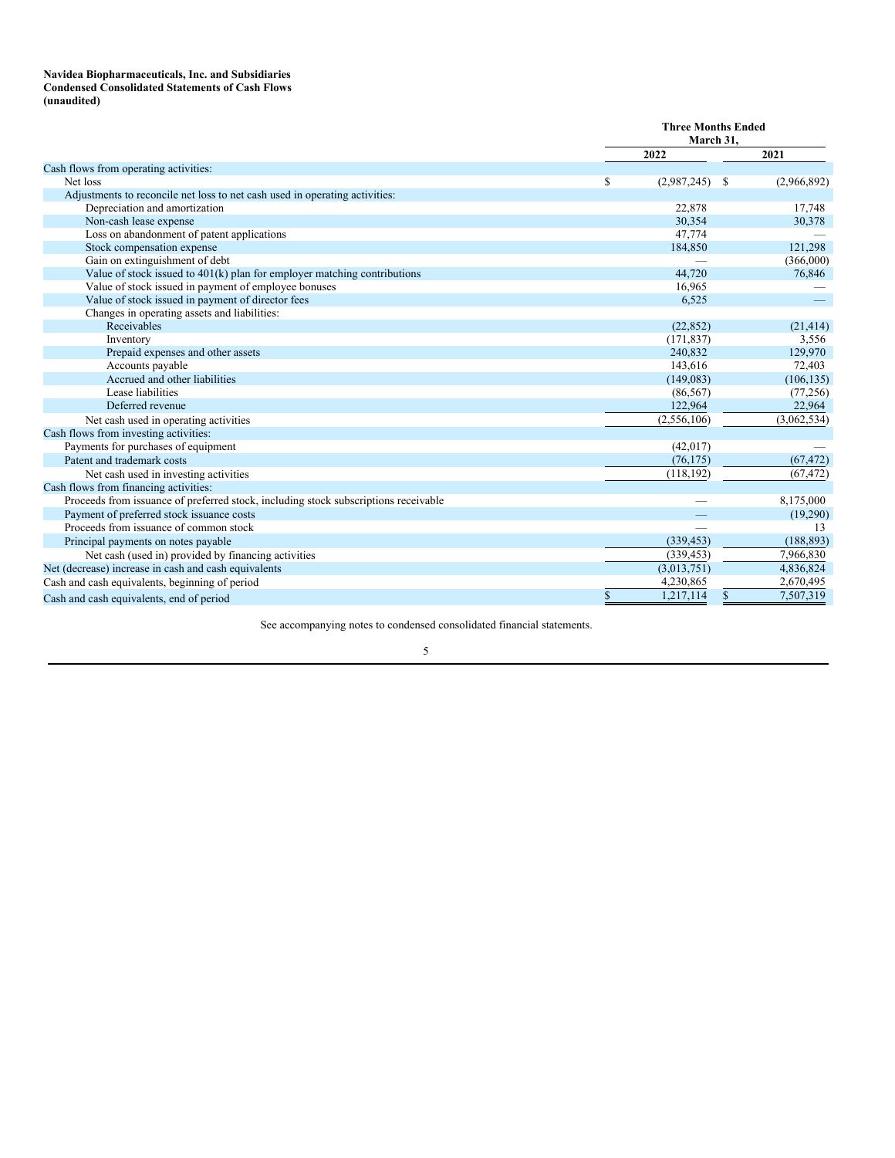#### **Navidea Biopharmaceuticals, Inc. and Subsidiaries Condensed Consolidated Statements of Cash Flows (unaudited)**

|                                                                                     |    | <b>Three Months Ended</b><br>March 31, |   |             |
|-------------------------------------------------------------------------------------|----|----------------------------------------|---|-------------|
|                                                                                     |    | 2022                                   |   | 2021        |
| Cash flows from operating activities:                                               |    |                                        |   |             |
| Net loss                                                                            | S  | $(2,987,245)$ \$                       |   | (2,966,892) |
| Adjustments to reconcile net loss to net cash used in operating activities:         |    |                                        |   |             |
| Depreciation and amortization                                                       |    | 22.878                                 |   | 17,748      |
| Non-cash lease expense                                                              |    | 30,354                                 |   | 30,378      |
| Loss on abandonment of patent applications                                          |    | 47,774                                 |   |             |
| Stock compensation expense                                                          |    | 184,850                                |   | 121,298     |
| Gain on extinguishment of debt                                                      |    |                                        |   | (366,000)   |
| Value of stock issued to $401(k)$ plan for employer matching contributions          |    | 44.720                                 |   | 76,846      |
| Value of stock issued in payment of employee bonuses                                |    | 16,965                                 |   |             |
| Value of stock issued in payment of director fees                                   |    | 6,525                                  |   |             |
| Changes in operating assets and liabilities:                                        |    |                                        |   |             |
| Receivables                                                                         |    | (22, 852)                              |   | (21, 414)   |
| Inventory                                                                           |    | (171, 837)                             |   | 3,556       |
| Prepaid expenses and other assets                                                   |    | 240,832                                |   | 129,970     |
| Accounts payable                                                                    |    | 143,616                                |   | 72,403      |
| Accrued and other liabilities                                                       |    | (149, 083)                             |   | (106, 135)  |
| Lease liabilities                                                                   |    | (86, 567)                              |   | (77, 256)   |
| Deferred revenue                                                                    |    | 122,964                                |   | 22,964      |
| Net cash used in operating activities                                               |    | (2,556,106)                            |   | (3,062,534) |
| Cash flows from investing activities:                                               |    |                                        |   |             |
| Payments for purchases of equipment                                                 |    | (42, 017)                              |   |             |
| Patent and trademark costs                                                          |    | (76, 175)                              |   | (67, 472)   |
| Net cash used in investing activities                                               |    | (118, 192)                             |   | (67, 472)   |
| Cash flows from financing activities:                                               |    |                                        |   |             |
| Proceeds from issuance of preferred stock, including stock subscriptions receivable |    |                                        |   | 8,175,000   |
| Payment of preferred stock issuance costs                                           |    |                                        |   | (19,290)    |
| Proceeds from issuance of common stock                                              |    |                                        |   | 13          |
| Principal payments on notes payable                                                 |    | (339, 453)                             |   | (188, 893)  |
| Net cash (used in) provided by financing activities                                 |    | (339, 453)                             |   | 7,966,830   |
| Net (decrease) increase in cash and cash equivalents                                |    | (3,013,751)                            |   | 4,836,824   |
| Cash and cash equivalents, beginning of period                                      |    | 4,230,865                              |   | 2,670,495   |
| Cash and cash equivalents, end of period                                            | \$ | 1,217,114                              | S | 7,507,319   |
|                                                                                     |    |                                        |   |             |

See accompanying notes to condensed consolidated financial statements.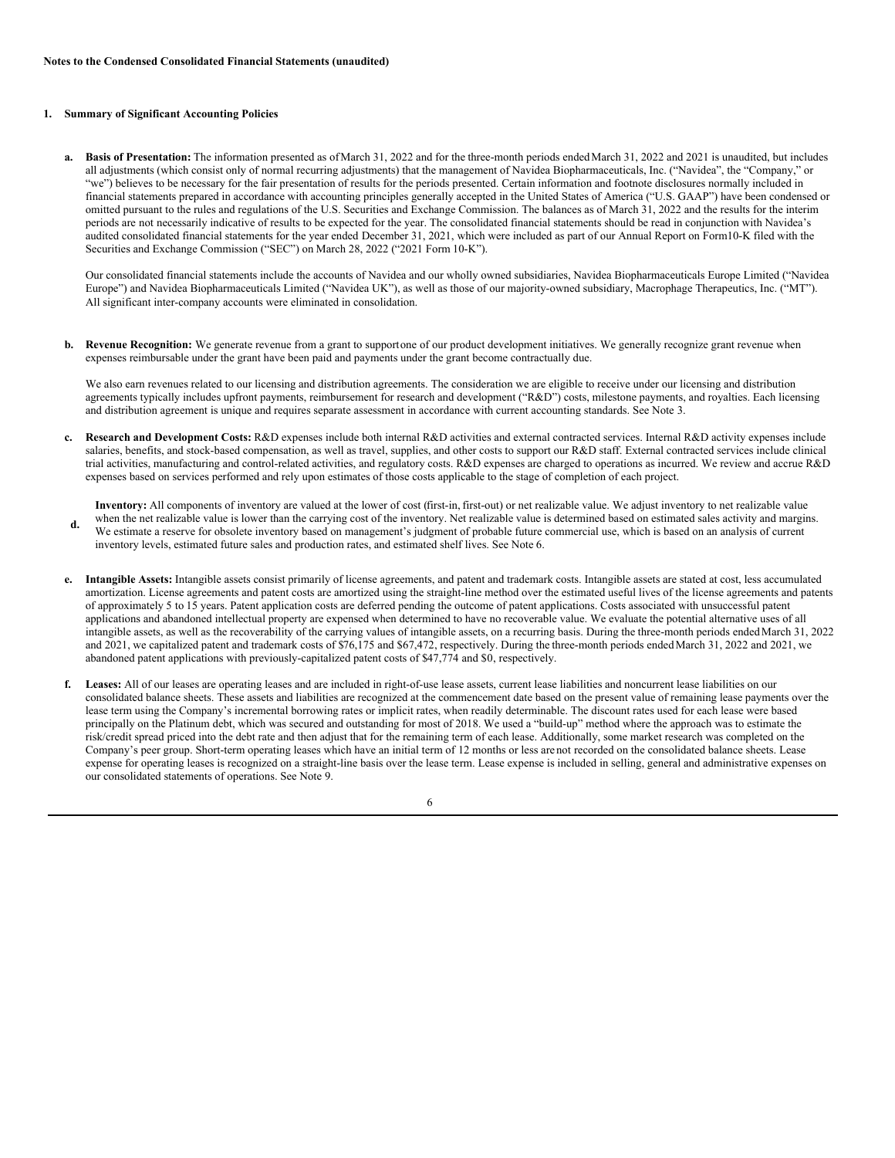# **1. Summary of Significant Accounting Policies**

**d.**

**a. Basis of Presentation:** The information presented as ofMarch 31, 2022 and for the three-month periods endedMarch 31, 2022 and 2021 is unaudited, but includes all adjustments (which consist only of normal recurring adjustments) that the management of Navidea Biopharmaceuticals, Inc. ("Navidea", the "Company," or "we") believes to be necessary for the fair presentation of results for the periods presented. Certain information and footnote disclosures normally included in financial statements prepared in accordance with accounting principles generally accepted in the United States of America ("U.S. GAAP") have been condensed or omitted pursuant to the rules and regulations of the U.S. Securities and Exchange Commission. The balances as of March 31, 2022 and the results for the interim periods are not necessarily indicative of results to be expected for the year. The consolidated financial statements should be read in conjunction with Navidea's audited consolidated financial statements for the year ended December 31, 2021, which were included as part of our Annual Report on Form10-K filed with the Securities and Exchange Commission ("SEC") on March 28, 2022 ("2021 Form 10-K").

Our consolidated financial statements include the accounts of Navidea and our wholly owned subsidiaries, Navidea Biopharmaceuticals Europe Limited ("Navidea Europe") and Navidea Biopharmaceuticals Limited ("Navidea UK"), as well as those of our majority-owned subsidiary, Macrophage Therapeutics, Inc. ("MT"). All significant inter-company accounts were eliminated in consolidation.

**b. Revenue Recognition:** We generate revenue from a grant to supportone of our product development initiatives. We generally recognize grant revenue when expenses reimbursable under the grant have been paid and payments under the grant become contractually due.

We also earn revenues related to our licensing and distribution agreements. The consideration we are eligible to receive under our licensing and distribution agreements typically includes upfront payments, reimbursement for research and development ("R&D") costs, milestone payments, and royalties. Each licensing and distribution agreement is unique and requires separate assessment in accordance with current accounting standards. See Note 3.

**c. Research and Development Costs:** R&D expenses include both internal R&D activities and external contracted services. Internal R&D activity expenses include salaries, benefits, and stock-based compensation, as well as travel, supplies, and other costs to support our R&D staff. External contracted services include clinical trial activities, manufacturing and control-related activities, and regulatory costs. R&D expenses are charged to operations as incurred. We review and accrue R&D expenses based on services performed and rely upon estimates of those costs applicable to the stage of completion of each project.

**Inventory:** All components of inventory are valued at the lower of cost (first-in, first-out) or net realizable value. We adjust inventory to net realizable value when the net realizable value is lower than the carrying cost of the inventory. Net realizable value is determined based on estimated sales activity and margins. We estimate a reserve for obsolete inventory based on management's judgment of probable future commercial use, which is based on an analysis of current inventory levels, estimated future sales and production rates, and estimated shelf lives. See Note 6.

- **e. Intangible Assets:** Intangible assets consist primarily of license agreements, and patent and trademark costs. Intangible assets are stated at cost, less accumulated amortization. License agreements and patent costs are amortized using the straight-line method over the estimated useful lives of the license agreements and patents of approximately 5 to 15 years. Patent application costs are deferred pending the outcome of patent applications. Costs associated with unsuccessful patent applications and abandoned intellectual property are expensed when determined to have no recoverable value. We evaluate the potential alternative uses of all intangible assets, as well as the recoverability of the carrying values of intangible assets, on a recurring basis. During the three-month periods endedMarch 31, 2022 and 2021, we capitalized patent and trademark costs of \$76,175 and \$67,472, respectively. During the three-month periods endedMarch 31, 2022 and 2021, we abandoned patent applications with previously-capitalized patent costs of \$47,774 and \$0, respectively.
- **f. Leases:** All of our leases are operating leases and are included in right-of-use lease assets, current lease liabilities and noncurrent lease liabilities on our consolidated balance sheets. These assets and liabilities are recognized at the commencement date based on the present value of remaining lease payments over the lease term using the Company's incremental borrowing rates or implicit rates, when readily determinable. The discount rates used for each lease were based principally on the Platinum debt, which was secured and outstanding for most of 2018. We used a "build-up" method where the approach was to estimate the risk/credit spread priced into the debt rate and then adjust that for the remaining term of each lease. Additionally, some market research was completed on the Company's peer group. Short-term operating leases which have an initial term of 12 months or less are not recorded on the consolidated balance sheets. Lease expense for operating leases is recognized on a straight-line basis over the lease term. Lease expense is included in selling, general and administrative expenses on our consolidated statements of operations. See Note 9.

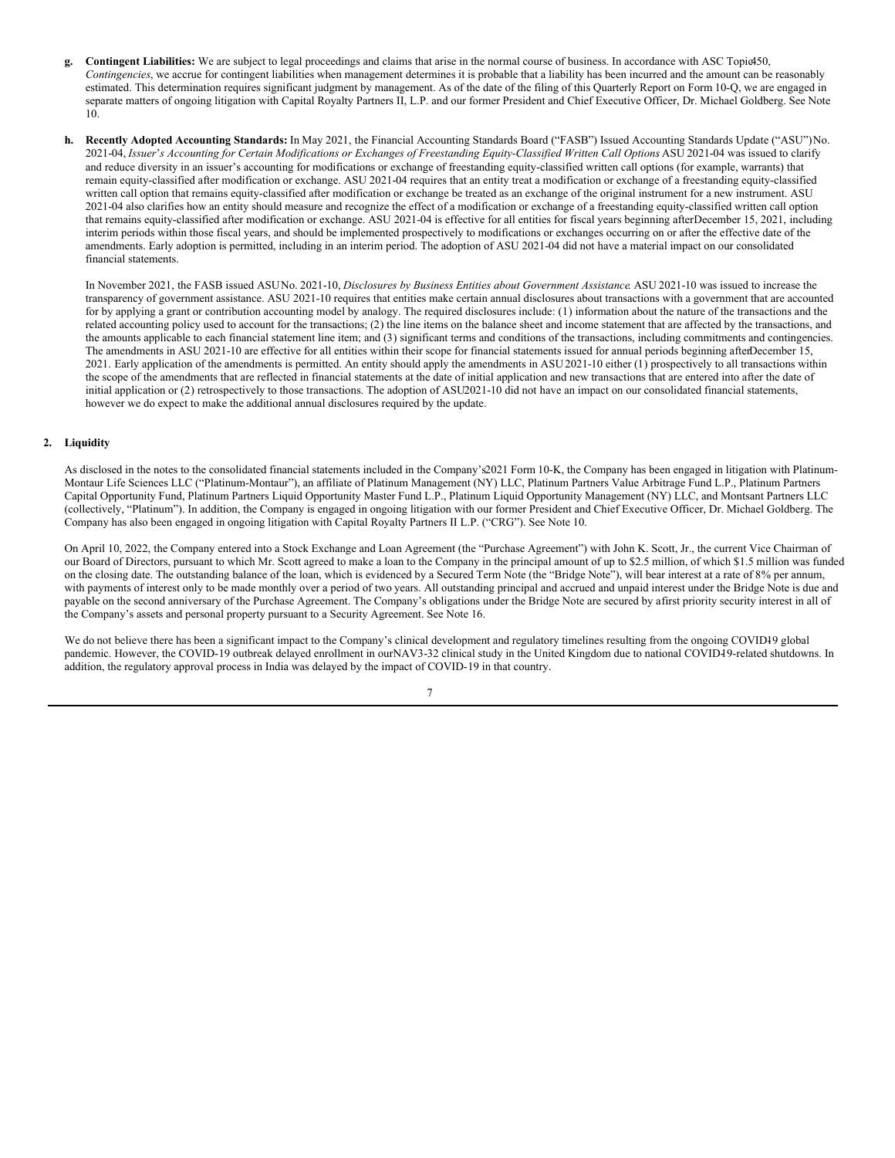- **g. Contingent Liabilities:** We are subject to legal proceedings and claims that arise in the normal course of business. In accordance with ASC Topic450, *Contingencies*, we accrue for contingent liabilities when management determines it is probable that a liability has been incurred and the amount can be reasonably estimated. This determination requires significant judgment by management. As of the date of the filing of this Quarterly Report on Form 10-Q, we are engaged in separate matters of ongoing litigation with Capital Royalty Partners II, L.P. and our former President and Chief Executive Officer, Dr. Michael Goldberg. See Note 10.
- **h. Recently Adopted Accounting Standards:** In May 2021, the Financial Accounting Standards Board ("FASB") Issued Accounting Standards Update ("ASU")No. 2021-04, Issuer's Accounting for Certain Modifications or Exchanges of Freestanding Equity-Classified Written Call Options ASU 2021-04 was issued to clarify and reduce diversity in an issuer's accounting for modifications or exchange of freestanding equity-classified written call options (for example, warrants) that remain equity-classified after modification or exchange. ASU 2021-04 requires that an entity treat a modification or exchange of a freestanding equity-classified written call option that remains equity-classified after modification or exchange be treated as an exchange of the original instrument for a new instrument. ASU 2021-04 also clarifies how an entity should measure and recognize the effect of a modification or exchange of a freestanding equity-classified written call option that remains equity-classified after modification or exchange. ASU 2021-04 is effective for all entities for fiscal years beginning afterDecember 15, 2021, including interim periods within those fiscal years, and should be implemented prospectively to modifications or exchanges occurring on or after the effective date of the amendments. Early adoption is permitted, including in an interim period. The adoption of ASU 2021-04 did not have a material impact on our consolidated financial statements.

In November 2021, the FASB issued ASUNo. 2021-10, *Disclosures by Business Entities about Government Assistance*. ASU 2021-10 was issued to increase the transparency of government assistance. ASU 2021-10 requires that entities make certain annual disclosures about transactions with a government that are accounted for by applying a grant or contribution accounting model by analogy. The required disclosures include: (1) information about the nature of the transactions and the related accounting policy used to account for the transactions; (2) the line items on the balance sheet and income statement that are affected by the transactions, and the amounts applicable to each financial statement line item; and (3) significant terms and conditions of the transactions, including commitments and contingencies. The amendments in ASU 2021-10 are effective for all entities within their scope for financial statements issued for annual periods beginning afterDecember 15, 2021. Early application of the amendments is permitted. An entity should apply the amendments in ASU 2021-10 either (1) prospectively to all transactions within the scope of the amendments that are reflected in financial statements at the date of initial application and new transactions that are entered into after the date of initial application or (2) retrospectively to those transactions. The adoption of ASU2021-10 did not have an impact on our consolidated financial statements, however we do expect to make the additional annual disclosures required by the update.

#### **2. Liquidity**

As disclosed in the notes to the consolidated financial statements included in the Company's2021 Form 10-K, the Company has been engaged in litigation with Platinum-Montaur Life Sciences LLC ("Platinum-Montaur"), an affiliate of Platinum Management (NY) LLC, Platinum Partners Value Arbitrage Fund L.P., Platinum Partners Capital Opportunity Fund, Platinum Partners Liquid Opportunity Master Fund L.P., Platinum Liquid Opportunity Management (NY) LLC, and Montsant Partners LLC (collectively, "Platinum"). In addition, the Company is engaged in ongoing litigation with our former President and Chief Executive Officer, Dr. Michael Goldberg. The Company has also been engaged in ongoing litigation with Capital Royalty Partners II L.P. ("CRG"). See Note 10.

On April 10, 2022, the Company entered into a Stock Exchange and Loan Agreement (the "Purchase Agreement") with John K. Scott, Jr., the current Vice Chairman of our Board of Directors, pursuant to which Mr. Scott agreed to make a loan to the Company in the principal amount of up to \$2.5 million, of which \$1.5 million was funded on the closing date. The outstanding balance of the loan, which is evidenced by a Secured Term Note (the "Bridge Note"), will bear interest at a rate of 8% per annum, with payments of interest only to be made monthly over a period of two years. All outstanding principal and accrued and unpaid interest under the Bridge Note is due and payable on the second anniversary of the Purchase Agreement. The Company's obligations under the Bridge Note are secured by afirst priority security interest in all of the Company's assets and personal property pursuant to a Security Agreement. See Note 16.

We do not believe there has been a significant impact to the Company's clinical development and regulatory timelines resulting from the ongoing COVID19 global pandemic. However, the COVID-19 outbreak delayed enrollment in ourNAV3-32 clinical study in the United Kingdom due to national COVID-19-related shutdowns. In addition, the regulatory approval process in India was delayed by the impact of COVID-19 in that country.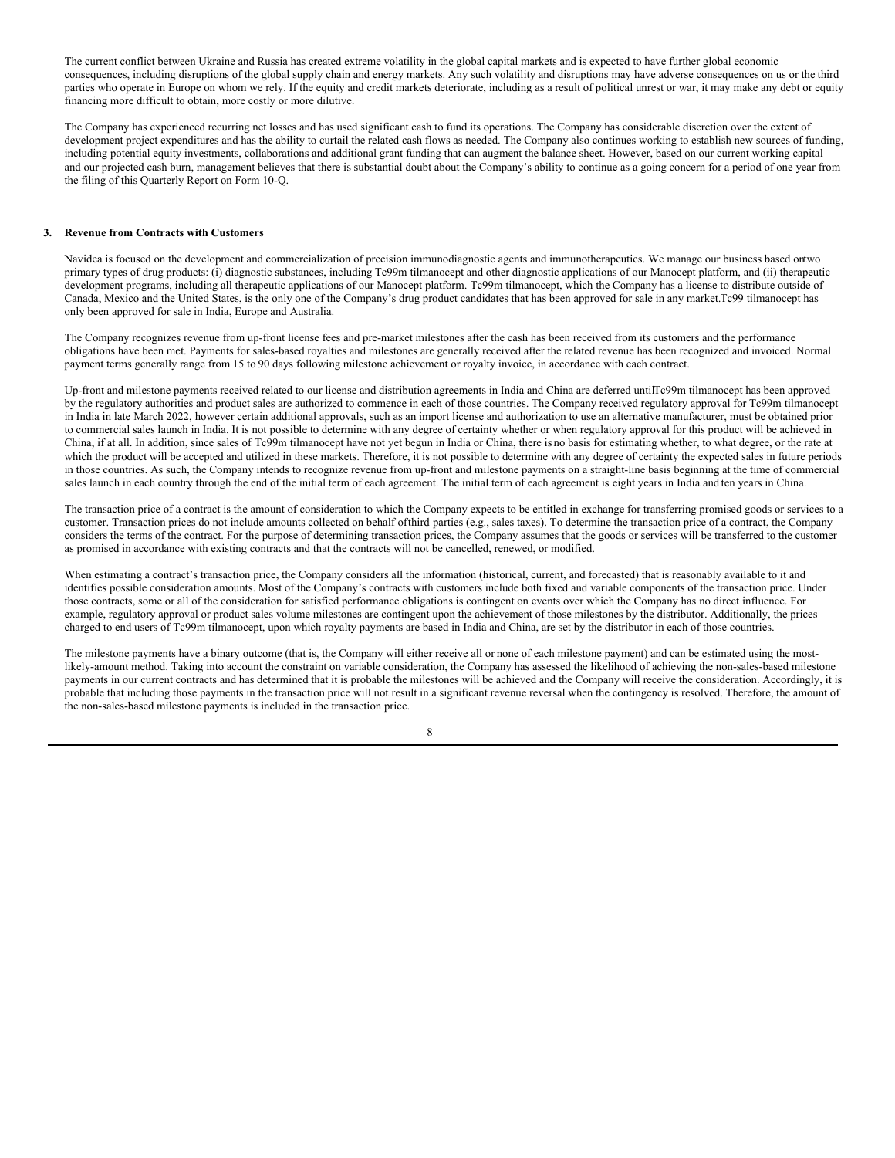The current conflict between Ukraine and Russia has created extreme volatility in the global capital markets and is expected to have further global economic consequences, including disruptions of the global supply chain and energy markets. Any such volatility and disruptions may have adverse consequences on us or the third parties who operate in Europe on whom we rely. If the equity and credit markets deteriorate, including as a result of political unrest or war, it may make any debt or equity financing more difficult to obtain, more costly or more dilutive.

The Company has experienced recurring net losses and has used significant cash to fund its operations. The Company has considerable discretion over the extent of development project expenditures and has the ability to curtail the related cash flows as needed. The Company also continues working to establish new sources of funding, including potential equity investments, collaborations and additional grant funding that can augment the balance sheet. However, based on our current working capital and our projected cash burn, management believes that there is substantial doubt about the Company's ability to continue as a going concern for a period of one year from the filing of this Quarterly Report on Form 10-Q.

#### **3. Revenue from Contracts with Customers**

Navidea is focused on the development and commercialization of precision immunodiagnostic agents and immunotherapeutics. We manage our business based ontwo primary types of drug products: (i) diagnostic substances, including Tc99m tilmanocept and other diagnostic applications of our Manocept platform, and (ii) therapeutic development programs, including all therapeutic applications of our Manocept platform. Tc99m tilmanocept, which the Company has a license to distribute outside of Canada, Mexico and the United States, is the only one of the Company's drug product candidates that has been approved for sale in any market.Tc99 tilmanocept has only been approved for sale in India, Europe and Australia.

The Company recognizes revenue from up-front license fees and pre-market milestones after the cash has been received from its customers and the performance obligations have been met. Payments for sales-based royalties and milestones are generally received after the related revenue has been recognized and invoiced. Normal payment terms generally range from 15 to 90 days following milestone achievement or royalty invoice, in accordance with each contract.

Up-front and milestone payments received related to our license and distribution agreements in India and China are deferred untilTc99m tilmanocept has been approved by the regulatory authorities and product sales are authorized to commence in each of those countries. The Company received regulatory approval for Tc99m tilmanocept in India in late March 2022, however certain additional approvals, such as an import license and authorization to use an alternative manufacturer, must be obtained prior to commercial sales launch in India. It is not possible to determine with any degree of certainty whether or when regulatory approval for this product will be achieved in China, if at all. In addition, since sales of Tc99m tilmanocept have not yet begun in India or China, there is no basis for estimating whether, to what degree, or the rate at which the product will be accepted and utilized in these markets. Therefore, it is not possible to determine with any degree of certainty the expected sales in future periods in those countries. As such, the Company intends to recognize revenue from up-front and milestone payments on a straight-line basis beginning at the time of commercial sales launch in each country through the end of the initial term of each agreement. The initial term of each agreement is eight years in India and ten years in China.

The transaction price of a contract is the amount of consideration to which the Company expects to be entitled in exchange for transferring promised goods or services to a customer. Transaction prices do not include amounts collected on behalf ofthird parties (e.g., sales taxes). To determine the transaction price of a contract, the Company considers the terms of the contract. For the purpose of determining transaction prices, the Company assumes that the goods or services will be transferred to the customer as promised in accordance with existing contracts and that the contracts will not be cancelled, renewed, or modified.

When estimating a contract's transaction price, the Company considers all the information (historical, current, and forecasted) that is reasonably available to it and identifies possible consideration amounts. Most of the Company's contracts with customers include both fixed and variable components of the transaction price. Under those contracts, some or all of the consideration for satisfied performance obligations is contingent on events over which the Company has no direct influence. For example, regulatory approval or product sales volume milestones are contingent upon the achievement of those milestones by the distributor. Additionally, the prices charged to end users of Tc99m tilmanocept, upon which royalty payments are based in India and China, are set by the distributor in each of those countries.

The milestone payments have a binary outcome (that is, the Company will either receive all or none of each milestone payment) and can be estimated using the mostlikely-amount method. Taking into account the constraint on variable consideration, the Company has assessed the likelihood of achieving the non-sales-based milestone payments in our current contracts and has determined that it is probable the milestones will be achieved and the Company will receive the consideration. Accordingly, it is probable that including those payments in the transaction price will not result in a significant revenue reversal when the contingency is resolved. Therefore, the amount of the non-sales-based milestone payments is included in the transaction price.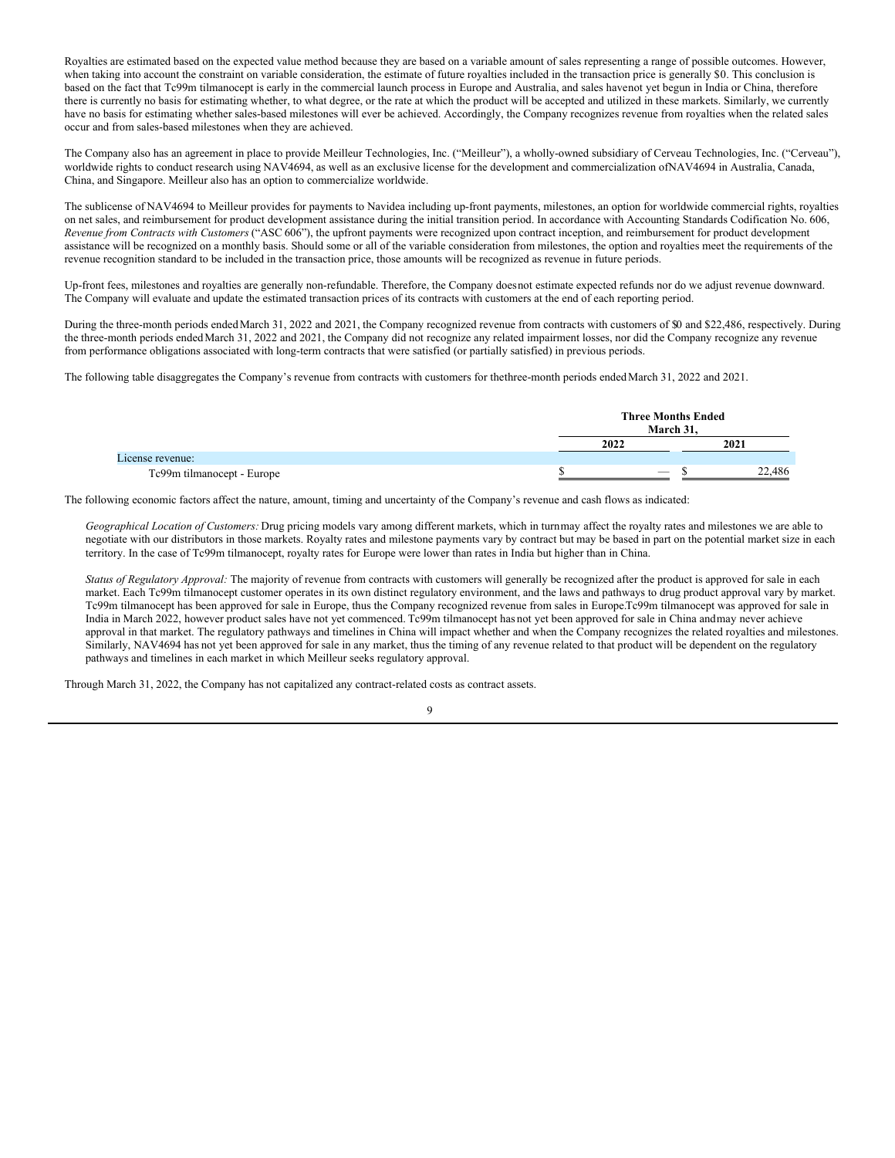Royalties are estimated based on the expected value method because they are based on a variable amount of sales representing a range of possible outcomes. However, when taking into account the constraint on variable consideration, the estimate of future royalties included in the transaction price is generally \$0. This conclusion is based on the fact that Tc99m tilmanocept is early in the commercial launch process in Europe and Australia, and sales havenot yet begun in India or China, therefore there is currently no basis for estimating whether, to what degree, or the rate at which the product will be accepted and utilized in these markets. Similarly, we currently have no basis for estimating whether sales-based milestones will ever be achieved. Accordingly, the Company recognizes revenue from royalties when the related sales occur and from sales-based milestones when they are achieved.

The Company also has an agreement in place to provide Meilleur Technologies, Inc. ("Meilleur"), a wholly-owned subsidiary of Cerveau Technologies, Inc. ("Cerveau"), worldwide rights to conduct research using NAV4694, as well as an exclusive license for the development and commercialization ofNAV4694 in Australia, Canada, China, and Singapore. Meilleur also has an option to commercialize worldwide.

The sublicense of NAV4694 to Meilleur provides for payments to Navidea including up-front payments, milestones, an option for worldwide commercial rights, royalties on net sales, and reimbursement for product development assistance during the initial transition period. In accordance with Accounting Standards Codification No. 606, *Revenue from Contracts with Customers* ("ASC 606"), the upfront payments were recognized upon contract inception, and reimbursement for product development assistance will be recognized on a monthly basis. Should some or all of the variable consideration from milestones, the option and royalties meet the requirements of the revenue recognition standard to be included in the transaction price, those amounts will be recognized as revenue in future periods.

Up-front fees, milestones and royalties are generally non-refundable. Therefore, the Company doesnot estimate expected refunds nor do we adjust revenue downward. The Company will evaluate and update the estimated transaction prices of its contracts with customers at the end of each reporting period.

During the three-month periods endedMarch 31, 2022 and 2021, the Company recognized revenue from contracts with customers of \$0 and \$22,486, respectively. During the three-month periods endedMarch 31, 2022 and 2021, the Company did not recognize any related impairment losses, nor did the Company recognize any revenue from performance obligations associated with long-term contracts that were satisfied (or partially satisfied) in previous periods.

The following table disaggregates the Company's revenue from contracts with customers for thethree-month periods endedMarch 31, 2022 and 2021.

|                            |      | <b>Three Months Ended</b><br>March 31. |        |
|----------------------------|------|----------------------------------------|--------|
|                            | 2022 |                                        | 2021   |
| License revenue:           |      |                                        |        |
| Tc99m tilmanocept - Europe |      | -                                      | 22.486 |

The following economic factors affect the nature, amount, timing and uncertainty of the Company's revenue and cash flows as indicated:

*Geographical Location of Customers:* Drug pricing models vary among different markets, which in turnmay affect the royalty rates and milestones we are able to negotiate with our distributors in those markets. Royalty rates and milestone payments vary by contract but may be based in part on the potential market size in each territory. In the case of Tc99m tilmanocept, royalty rates for Europe were lower than rates in India but higher than in China.

*Status of Regulatory Approval:* The majority of revenue from contracts with customers will generally be recognized after the product is approved for sale in each market. Each Tc99m tilmanocept customer operates in its own distinct regulatory environment, and the laws and pathways to drug product approval vary by market. Tc99m tilmanocept has been approved for sale in Europe, thus the Company recognized revenue from sales in Europe.Tc99m tilmanocept was approved for sale in India in March 2022, however product sales have not yet commenced. Tc99m tilmanocept has not yet been approved for sale in China andmay never achieve approval in that market. The regulatory pathways and timelines in China will impact whether and when the Company recognizes the related royalties and milestones. Similarly, NAV4694 has not yet been approved for sale in any market, thus the timing of any revenue related to that product will be dependent on the regulatory pathways and timelines in each market in which Meilleur seeks regulatory approval.

9

Through March 31, 2022, the Company has not capitalized any contract-related costs as contract assets.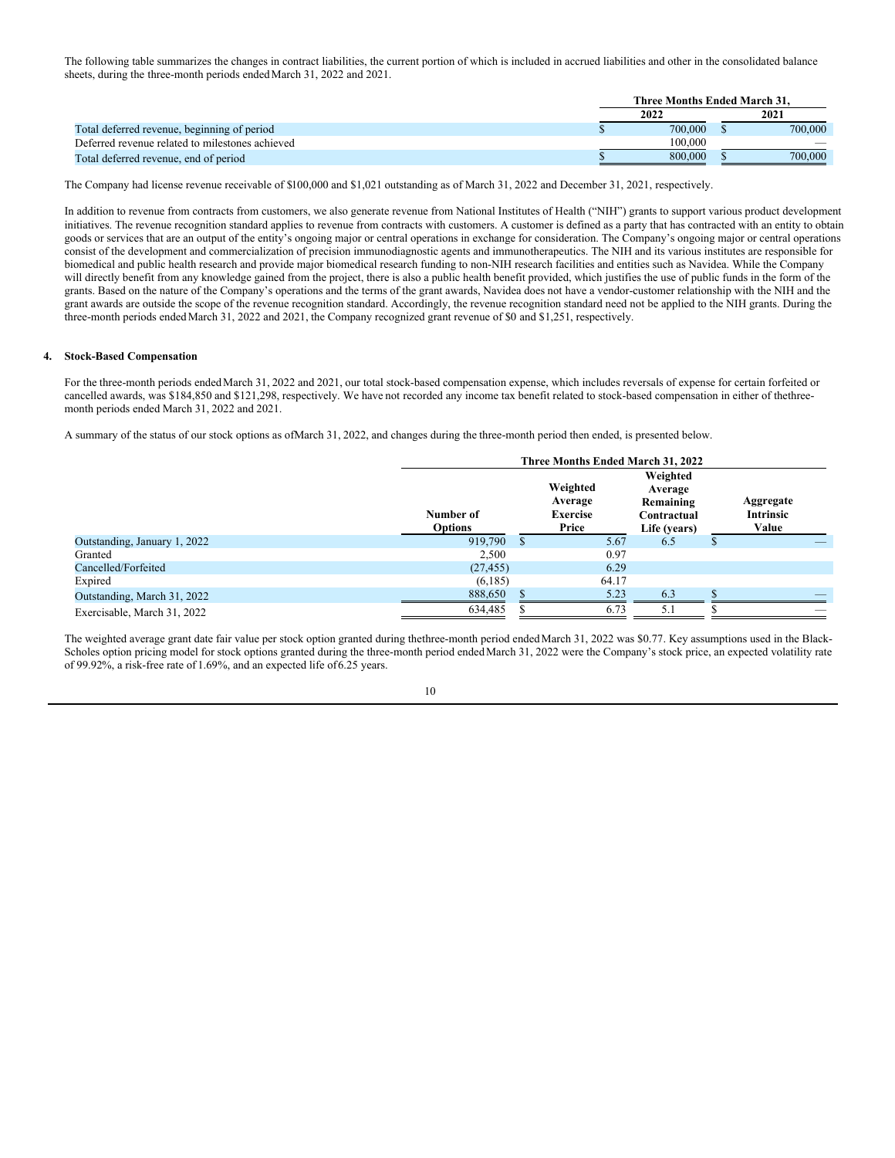The following table summarizes the changes in contract liabilities, the current portion of which is included in accrued liabilities and other in the consolidated balance sheets, during the three-month periods endedMarch 31, 2022 and 2021.

|                                                 | Three Months Ended March 31. |  |         |  |  |  |
|-------------------------------------------------|------------------------------|--|---------|--|--|--|
|                                                 | 2022                         |  | 2021    |  |  |  |
| Total deferred revenue, beginning of period     | 700.000                      |  | 700,000 |  |  |  |
| Deferred revenue related to milestones achieved | 100.000                      |  |         |  |  |  |
| Total deferred revenue, end of period           | 800.000                      |  | 700,000 |  |  |  |

The Company had license revenue receivable of \$100,000 and \$1,021 outstanding as of March 31, 2022 and December 31, 2021, respectively.

In addition to revenue from contracts from customers, we also generate revenue from National Institutes of Health ("NIH") grants to support various product development initiatives. The revenue recognition standard applies to revenue from contracts with customers. A customer is defined as a party that has contracted with an entity to obtain goods or services that are an output of the entity's ongoing major or central operations in exchange for consideration. The Company's ongoing major or central operations consist of the development and commercialization of precision immunodiagnostic agents and immunotherapeutics. The NIH and its various institutes are responsible for biomedical and public health research and provide major biomedical research funding to non-NIH research facilities and entities such as Navidea. While the Company will directly benefit from any knowledge gained from the project, there is also a public health benefit provided, which justifies the use of public funds in the form of the grants. Based on the nature of the Company's operations and the terms of the grant awards, Navidea does not have a vendor-customer relationship with the NIH and the grant awards are outside the scope of the revenue recognition standard. Accordingly, the revenue recognition standard need not be applied to the NIH grants. During the three-month periods endedMarch 31, 2022 and 2021, the Company recognized grant revenue of \$0 and \$1,251, respectively.

#### **4. Stock-Based Compensation**

For the three-month periods endedMarch 31, 2022 and 2021, our total stock-based compensation expense, which includes reversals of expense for certain forfeited or cancelled awards, was \$184,850 and \$121,298, respectively. We have not recorded any income tax benefit related to stock-based compensation in either of thethreemonth periods ended March 31, 2022 and 2021.

A summary of the status of our stock options as ofMarch 31, 2022, and changes during the three-month period then ended, is presented below.

|                              | Three Months Ended March 31, 2022 |   |                                                 |                                                                 |  |                                 |  |  |
|------------------------------|-----------------------------------|---|-------------------------------------------------|-----------------------------------------------------------------|--|---------------------------------|--|--|
|                              | Number of<br><b>Options</b>       |   | Weighted<br>Average<br><b>Exercise</b><br>Price | Weighted<br>Average<br>Remaining<br>Contractual<br>Life (years) |  | Aggregate<br>Intrinsic<br>Value |  |  |
| Outstanding, January 1, 2022 | 919,790                           | S | 5.67                                            | 6.5                                                             |  |                                 |  |  |
| Granted                      | 2,500                             |   | 0.97                                            |                                                                 |  |                                 |  |  |
| Cancelled/Forfeited          | (27, 455)                         |   | 6.29                                            |                                                                 |  |                                 |  |  |
| Expired                      | (6,185)                           |   | 64.17                                           |                                                                 |  |                                 |  |  |
| Outstanding, March 31, 2022  | 888,650                           |   | 5.23                                            | 6.3                                                             |  |                                 |  |  |
| Exercisable, March 31, 2022  | 634,485                           |   | 6.73                                            | 5.1                                                             |  |                                 |  |  |

The weighted average grant date fair value per stock option granted during thethree-month period endedMarch 31, 2022 was \$0.77. Key assumptions used in the Black-Scholes option pricing model for stock options granted during the three-month period ended March 31, 2022 were the Company's stock price, an expected volatility rate of 99.92%, a risk-free rate of 1.69%, and an expected life of6.25 years.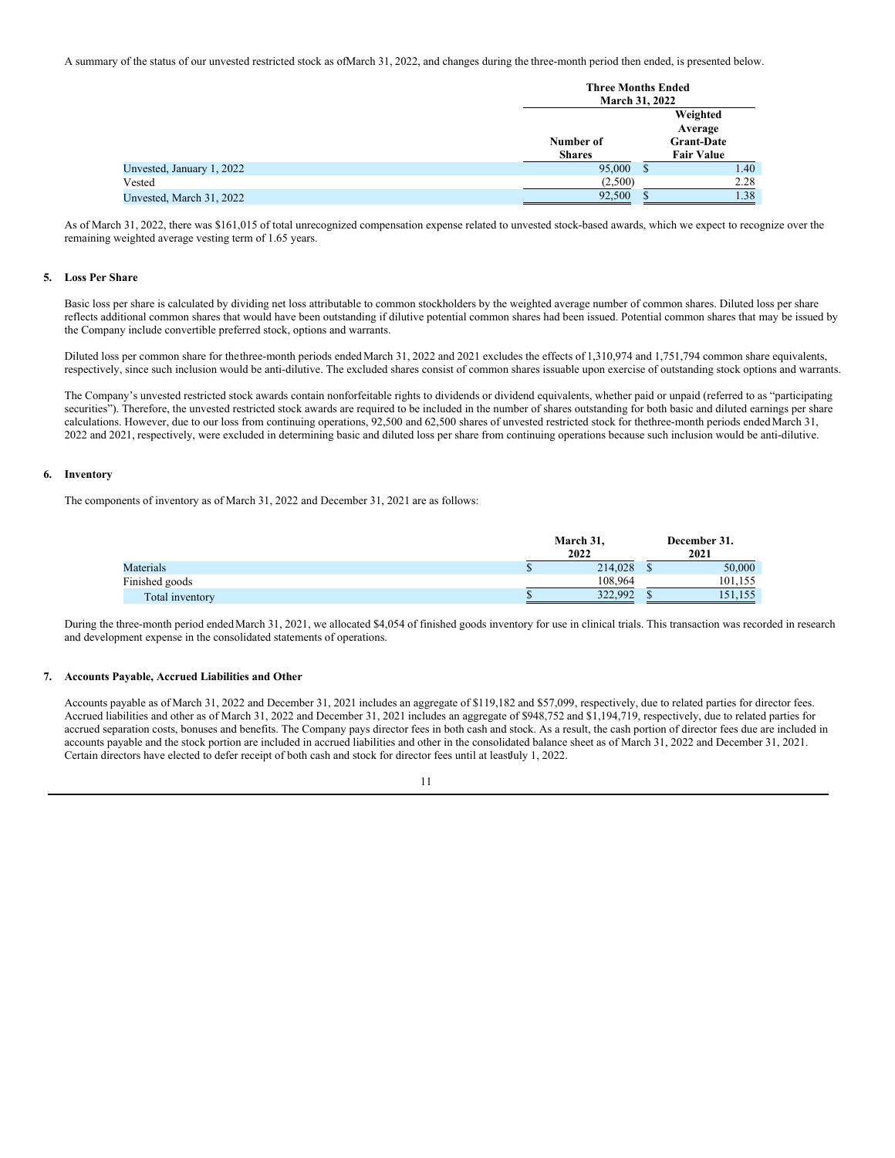A summary of the status of our unvested restricted stock as ofMarch 31, 2022, and changes during the three-month period then ended, is presented below.

|                           | <b>Three Months Ended</b><br><b>March 31, 2022</b> |                                                               |
|---------------------------|----------------------------------------------------|---------------------------------------------------------------|
|                           | Number of<br><b>Shares</b>                         | Weighted<br>Average<br><b>Grant-Date</b><br><b>Fair Value</b> |
| Unvested, January 1, 2022 | 95,000<br>S                                        | 1.40                                                          |
| Vested                    | (2,500)                                            | 2.28                                                          |
| Unvested, March 31, 2022  | 92,500                                             | 1.38                                                          |

As of March 31, 2022, there was \$161,015 of total unrecognized compensation expense related to unvested stock-based awards, which we expect to recognize over the remaining weighted average vesting term of 1.65 years.

#### **5. Loss Per Share**

Basic loss per share is calculated by dividing net loss attributable to common stockholders by the weighted average number of common shares. Diluted loss per share reflects additional common shares that would have been outstanding if dilutive potential common shares had been issued. Potential common shares that may be issued by the Company include convertible preferred stock, options and warrants.

Diluted loss per common share for thethree-month periods endedMarch 31, 2022 and 2021 excludes the effects of 1,310,974 and 1,751,794 common share equivalents, respectively, since such inclusion would be anti-dilutive. The excluded shares consist of common shares issuable upon exercise of outstanding stock options and warrants.

The Company's unvested restricted stock awards contain nonforfeitable rights to dividends or dividend equivalents, whether paid or unpaid (referred to as "participating securities"). Therefore, the unvested restricted stock awards are required to be included in the number of shares outstanding for both basic and diluted earnings per share calculations. However, due to our loss from continuing operations, 92,500 and 62,500 shares of unvested restricted stock for thethree-month periods endedMarch 31, 2022 and 2021, respectively, were excluded in determining basic and diluted loss per share from continuing operations because such inclusion would be anti-dilutive.

#### **6. Inventory**

The components of inventory as of March 31, 2022 and December 31, 2021 are as follows:

|                 | March 31,<br>2022 |         |  | December 31.<br>2021 |  |  |  |
|-----------------|-------------------|---------|--|----------------------|--|--|--|
| Materials       | ۰D                | 214,028 |  | 50,000               |  |  |  |
| Finished goods  |                   | 108.964 |  | 101.155              |  |  |  |
| Total inventory |                   | 322,992 |  | 151,155              |  |  |  |

During the three-month period endedMarch 31, 2021, we allocated \$4,054 of finished goods inventory for use in clinical trials. This transaction was recorded in research and development expense in the consolidated statements of operations.

#### **7. Accounts Payable, Accrued Liabilities and Other**

Accounts payable as of March 31, 2022 and December 31, 2021 includes an aggregate of \$119,182 and \$57,099, respectively, due to related parties for director fees. Accrued liabilities and other as of March 31, 2022 and December 31, 2021 includes an aggregate of \$948,752 and \$1,194,719, respectively, due to related parties for accrued separation costs, bonuses and benefits. The Company pays director fees in both cash and stock. As a result, the cash portion of director fees due are included in accounts payable and the stock portion are included in accrued liabilities and other in the consolidated balance sheet as of March 31, 2022 and December 31, 2021. Certain directors have elected to defer receipt of both cash and stock for director fees until at leastfuly 1, 2022.

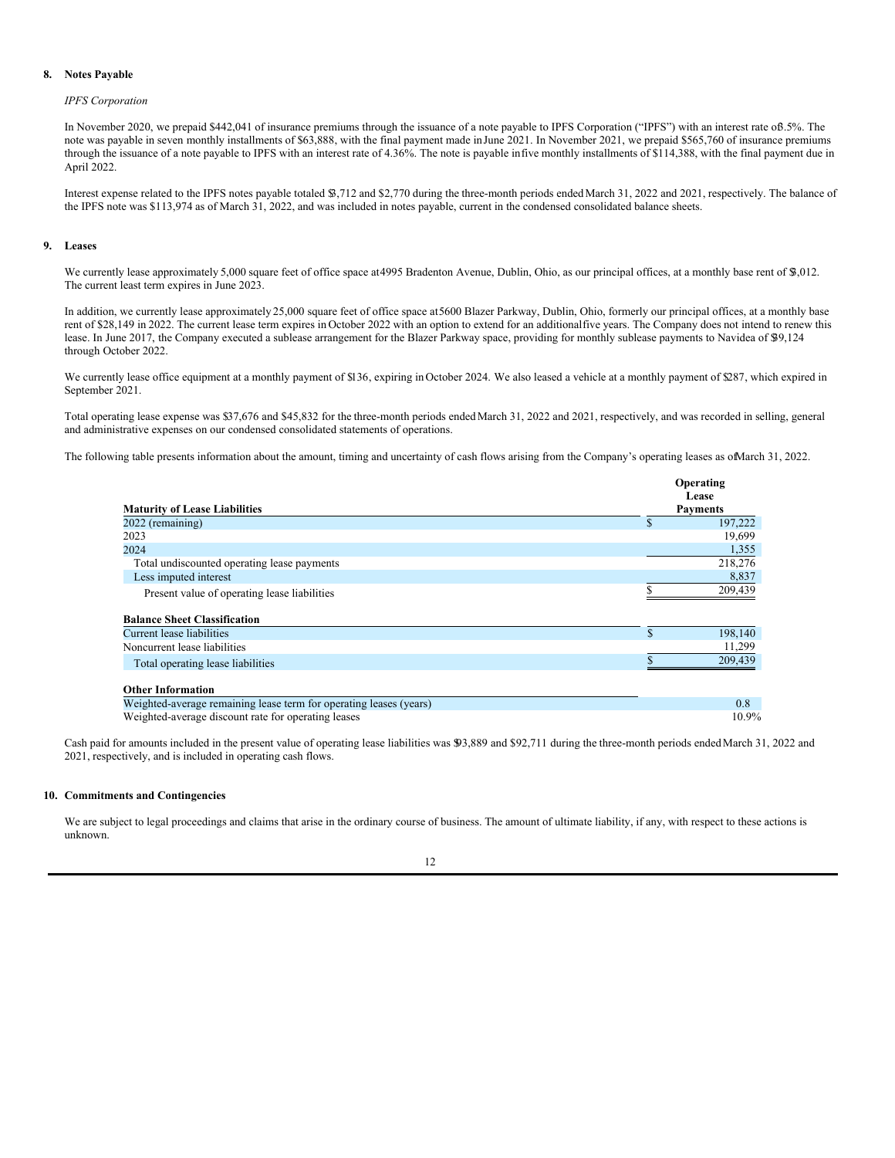#### **8. Notes Payable**

#### *IPFS Corporation*

In November 2020, we prepaid \$442,041 of insurance premiums through the issuance of a note payable to IPFS Corporation ("IPFS") with an interest rate of 5%. The note was payable in seven monthly installments of \$63,888, with the final payment made inJune 2021. In November 2021, we prepaid \$565,760 of insurance premiums through the issuance of a note payable to IPFS with an interest rate of 4.36%. The note is payable infive monthly installments of \$114,388, with the final payment due in April 2022.

Interest expense related to the IPFS notes payable totaled \$3,712 and \$2,770 during the three-month periods endedMarch 31, 2022 and 2021, respectively. The balance of the IPFS note was \$113,974 as of March 31, 2022, and was included in notes payable, current in the condensed consolidated balance sheets.

#### **9. Leases**

We currently lease approximately 5,000 square feet of office space at 4995 Bradenton Avenue, Dublin, Ohio, as our principal offices, at a monthly base rent of \$,012. The current least term expires in June 2023.

In addition, we currently lease approximately 25,000 square feet of office space at5600 Blazer Parkway, Dublin, Ohio, formerly our principal offices, at a monthly base rent of \$28,149 in 2022. The current lease term expires in October 2022 with an option to extend for an additionalfive years. The Company does not intend to renew this lease. In June 2017, the Company executed a sublease arrangement for the Blazer Parkway space, providing for monthly sublease payments to Navidea of \$39,124 through October 2022.

We currently lease office equipment at a monthly payment of \$136, expiring in October 2024. We also leased a vehicle at a monthly payment of \$287, which expired in September 2021.

Total operating lease expense was \$37,676 and \$45,832 for the three-month periods endedMarch 31, 2022 and 2021, respectively, and was recorded in selling, general and administrative expenses on our condensed consolidated statements of operations.

The following table presents information about the amount, timing and uncertainty of cash flows arising from the Company's operating leases as ofMarch 31, 2022.

| <b>Maturity of Lease Liabilities</b>                               | Operating<br>Lease<br><b>Payments</b> |
|--------------------------------------------------------------------|---------------------------------------|
| 2022 (remaining)                                                   | \$<br>197,222                         |
| 2023                                                               | 19,699                                |
| 2024                                                               | 1,355                                 |
| Total undiscounted operating lease payments                        | 218,276                               |
| Less imputed interest                                              | 8,837                                 |
| Present value of operating lease liabilities                       | 209,439                               |
| <b>Balance Sheet Classification</b>                                |                                       |
| Current lease liabilities                                          | \$<br>198,140                         |
| Noncurrent lease liabilities                                       | 11,299                                |
| Total operating lease liabilities                                  | 209,439                               |
| <b>Other Information</b>                                           |                                       |
| Weighted-average remaining lease term for operating leases (years) | 0.8                                   |
| Weighted-average discount rate for operating leases                | 10.9%                                 |

Cash paid for amounts included in the present value of operating lease liabilities was \$93,889 and \$92,711 during the three-month periods endedMarch 31, 2022 and 2021, respectively, and is included in operating cash flows.

#### **10. Commitments and Contingencies**

We are subject to legal proceedings and claims that arise in the ordinary course of business. The amount of ultimate liability, if any, with respect to these actions is unknown.

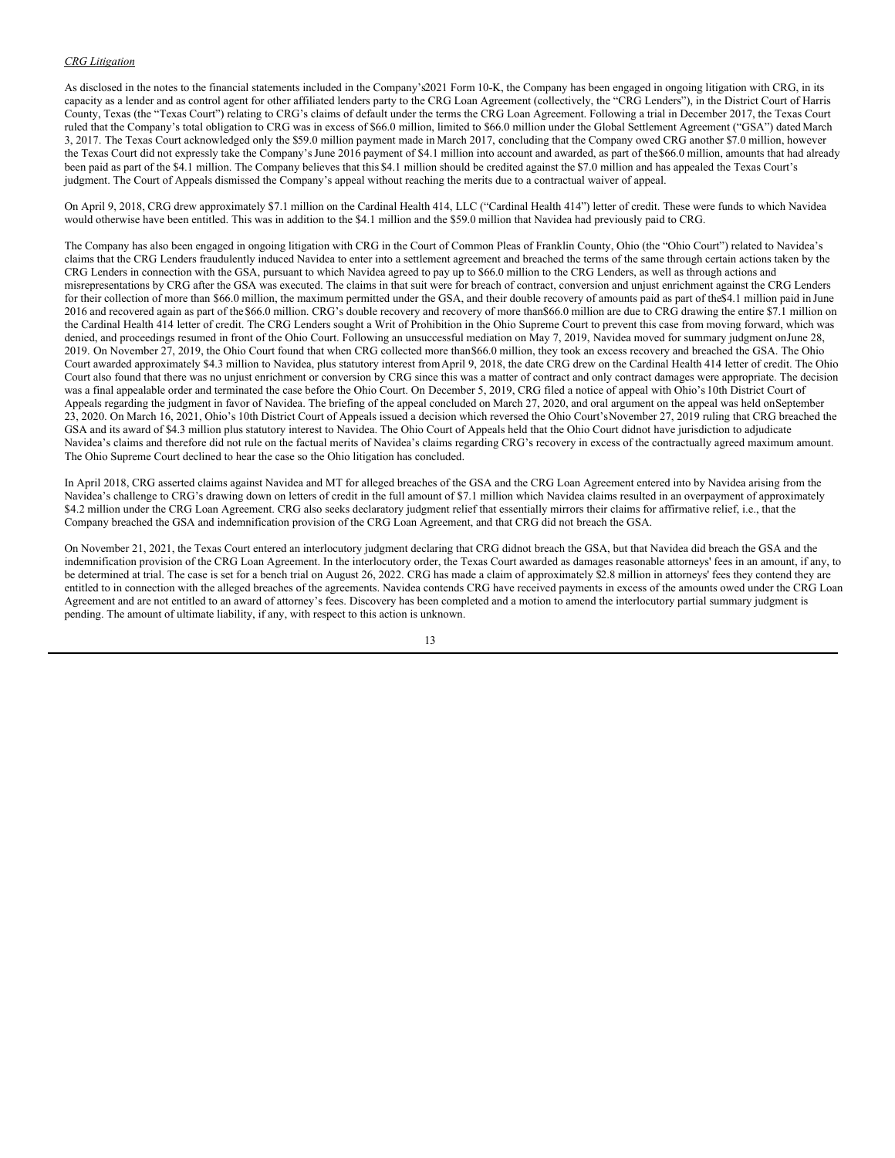#### *CRG Litigation*

As disclosed in the notes to the financial statements included in the Company's2021 Form 10-K, the Company has been engaged in ongoing litigation with CRG, in its capacity as a lender and as control agent for other affiliated lenders party to the CRG Loan Agreement (collectively, the "CRG Lenders"), in the District Court of Harris County, Texas (the "Texas Court") relating to CRG's claims of default under the terms the CRG Loan Agreement. Following a trial in December 2017, the Texas Court ruled that the Company's total obligation to CRG was in excess of \$66.0 million, limited to \$66.0 million under the Global Settlement Agreement ("GSA") dated March 3, 2017. The Texas Court acknowledged only the \$59.0 million payment made in March 2017, concluding that the Company owed CRG another \$7.0 million, however the Texas Court did not expressly take the Company's June 2016 payment of \$4.1 million into account and awarded, as part of the\$66.0 million, amounts that had already been paid as part of the \$4.1 million. The Company believes that this \$4.1 million should be credited against the \$7.0 million and has appealed the Texas Court's judgment. The Court of Appeals dismissed the Company's appeal without reaching the merits due to a contractual waiver of appeal.

On April 9, 2018, CRG drew approximately \$7.1 million on the Cardinal Health 414, LLC ("Cardinal Health 414") letter of credit. These were funds to which Navidea would otherwise have been entitled. This was in addition to the \$4.1 million and the \$59.0 million that Navidea had previously paid to CRG.

The Company has also been engaged in ongoing litigation with CRG in the Court of Common Pleas of Franklin County, Ohio (the "Ohio Court") related to Navidea's claims that the CRG Lenders fraudulently induced Navidea to enter into a settlement agreement and breached the terms of the same through certain actions taken by the CRG Lenders in connection with the GSA, pursuant to which Navidea agreed to pay up to \$66.0 million to the CRG Lenders, as well as through actions and misrepresentations by CRG after the GSA was executed. The claims in that suit were for breach of contract, conversion and unjust enrichment against the CRG Lenders for their collection of more than \$66.0 million, the maximum permitted under the GSA, and their double recovery of amounts paid as part of the\$4.1 million paid in June 2016 and recovered again as part of the \$66.0 million. CRG's double recovery and recovery of more than\$66.0 million are due to CRG drawing the entire \$7.1 million on the Cardinal Health 414 letter of credit. The CRG Lenders sought a Writ of Prohibition in the Ohio Supreme Court to prevent this case from moving forward, which was denied, and proceedings resumed in front of the Ohio Court. Following an unsuccessful mediation on May 7, 2019, Navidea moved for summary judgment onJune 28, 2019. On November 27, 2019, the Ohio Court found that when CRG collected more than\$66.0 million, they took an excess recovery and breached the GSA. The Ohio Court awarded approximately \$4.3 million to Navidea, plus statutory interest fromApril 9, 2018, the date CRG drew on the Cardinal Health 414 letter of credit. The Ohio Court also found that there was no unjust enrichment or conversion by CRG since this was a matter of contract and only contract damages were appropriate. The decision was a final appealable order and terminated the case before the Ohio Court. On December 5, 2019, CRG filed a notice of appeal with Ohio's 10th District Court of Appeals regarding the judgment in favor of Navidea. The briefing of the appeal concluded on March 27, 2020, and oral argument on the appeal was held onSeptember 23, 2020. On March 16, 2021, Ohio's 10th District Court of Appeals issued a decision which reversed the Ohio Court'sNovember 27, 2019 ruling that CRG breached the GSA and its award of \$4.3 million plus statutory interest to Navidea. The Ohio Court of Appeals held that the Ohio Court didnot have jurisdiction to adjudicate Navidea's claims and therefore did not rule on the factual merits of Navidea's claims regarding CRG's recovery in excess of the contractually agreed maximum amount. The Ohio Supreme Court declined to hear the case so the Ohio litigation has concluded.

In April 2018, CRG asserted claims against Navidea and MT for alleged breaches of the GSA and the CRG Loan Agreement entered into by Navidea arising from the Navidea's challenge to CRG's drawing down on letters of credit in the full amount of \$7.1 million which Navidea claims resulted in an overpayment of approximately \$4.2 million under the CRG Loan Agreement. CRG also seeks declaratory judgment relief that essentially mirrors their claims for affirmative relief, i.e., that the Company breached the GSA and indemnification provision of the CRG Loan Agreement, and that CRG did not breach the GSA.

On November 21, 2021, the Texas Court entered an interlocutory judgment declaring that CRG didnot breach the GSA, but that Navidea did breach the GSA and the indemnification provision of the CRG Loan Agreement. In the interlocutory order, the Texas Court awarded as damages reasonable attorneys' fees in an amount, if any, to be determined at trial. The case is set for a bench trial on August 26, 2022. CRG has made a claim of approximately \$2.8 million in attorneys' fees they contend they are entitled to in connection with the alleged breaches of the agreements. Navidea contends CRG have received payments in excess of the amounts owed under the CRG Loan Agreement and are not entitled to an award of attorney's fees. Discovery has been completed and a motion to amend the interlocutory partial summary judgment is pending. The amount of ultimate liability, if any, with respect to this action is unknown.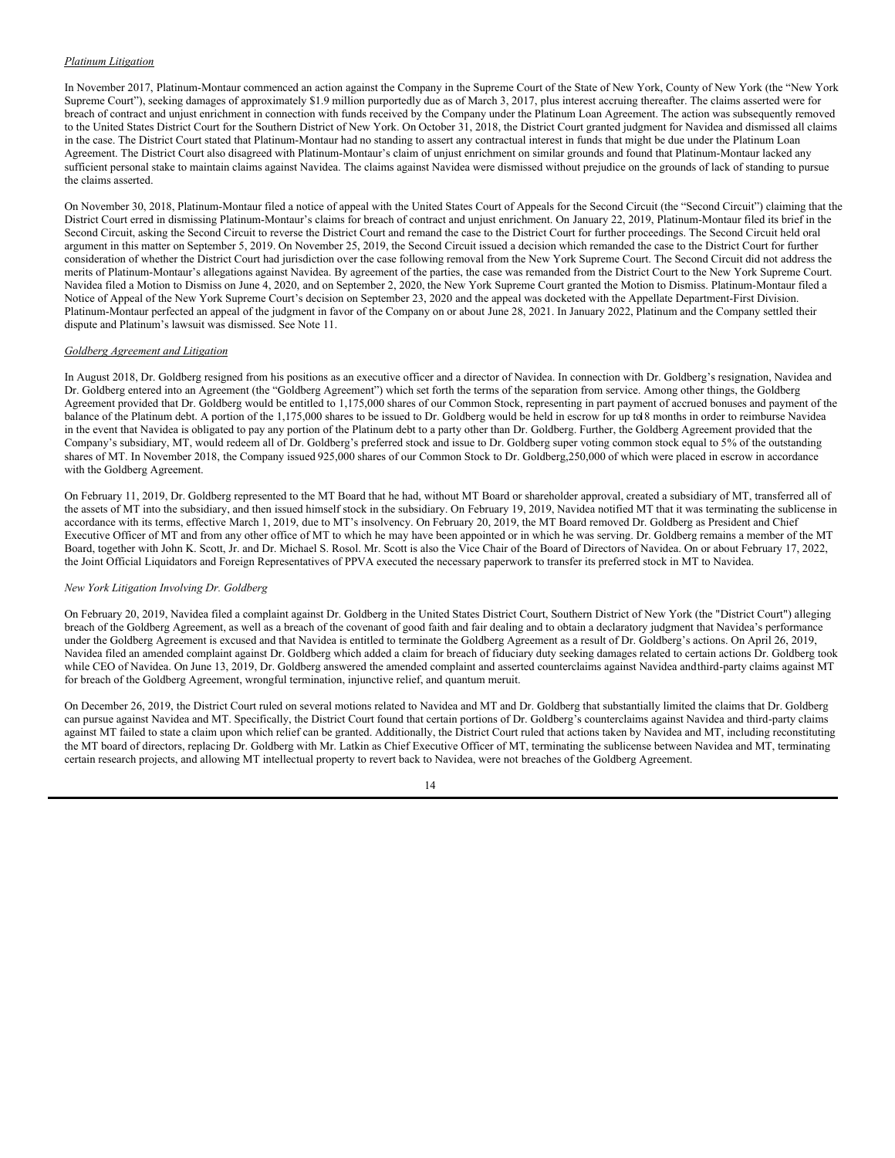#### *Platinum Litigation*

In November 2017, Platinum-Montaur commenced an action against the Company in the Supreme Court of the State of New York, County of New York (the "New York Supreme Court"), seeking damages of approximately \$1.9 million purportedly due as of March 3, 2017, plus interest accruing thereafter. The claims asserted were for breach of contract and unjust enrichment in connection with funds received by the Company under the Platinum Loan Agreement. The action was subsequently removed to the United States District Court for the Southern District of New York. On October 31, 2018, the District Court granted judgment for Navidea and dismissed all claims in the case. The District Court stated that Platinum-Montaur had no standing to assert any contractual interest in funds that might be due under the Platinum Loan Agreement. The District Court also disagreed with Platinum-Montaur's claim of unjust enrichment on similar grounds and found that Platinum-Montaur lacked any sufficient personal stake to maintain claims against Navidea. The claims against Navidea were dismissed without prejudice on the grounds of lack of standing to pursue the claims asserted.

On November 30, 2018, Platinum-Montaur filed a notice of appeal with the United States Court of Appeals for the Second Circuit (the "Second Circuit") claiming that the District Court erred in dismissing Platinum-Montaur's claims for breach of contract and unjust enrichment. On January 22, 2019, Platinum-Montaur filed its brief in the Second Circuit, asking the Second Circuit to reverse the District Court and remand the case to the District Court for further proceedings. The Second Circuit held oral argument in this matter on September 5, 2019. On November 25, 2019, the Second Circuit issued a decision which remanded the case to the District Court for further consideration of whether the District Court had jurisdiction over the case following removal from the New York Supreme Court. The Second Circuit did not address the merits of Platinum-Montaur's allegations against Navidea. By agreement of the parties, the case was remanded from the District Court to the New York Supreme Court. Navidea filed a Motion to Dismiss on June 4, 2020, and on September 2, 2020, the New York Supreme Court granted the Motion to Dismiss. Platinum-Montaur filed a Notice of Appeal of the New York Supreme Court's decision on September 23, 2020 and the appeal was docketed with the Appellate Department-First Division. Platinum-Montaur perfected an appeal of the judgment in favor of the Company on or about June 28, 2021. In January 2022, Platinum and the Company settled their dispute and Platinum's lawsuit was dismissed. See Note 11.

#### *Goldberg Agreement and Litigation*

In August 2018, Dr. Goldberg resigned from his positions as an executive officer and a director of Navidea. In connection with Dr. Goldberg's resignation, Navidea and Dr. Goldberg entered into an Agreement (the "Goldberg Agreement") which set forth the terms of the separation from service. Among other things, the Goldberg Agreement provided that Dr. Goldberg would be entitled to 1,175,000 shares of our Common Stock, representing in part payment of accrued bonuses and payment of the balance of the Platinum debt. A portion of the 1,175,000 shares to be issued to Dr. Goldberg would be held in escrow for up to18 months in order to reimburse Navidea in the event that Navidea is obligated to pay any portion of the Platinum debt to a party other than Dr. Goldberg. Further, the Goldberg Agreement provided that the Company's subsidiary, MT, would redeem all of Dr. Goldberg's preferred stock and issue to Dr. Goldberg super voting common stock equal to 5% of the outstanding shares of MT. In November 2018, the Company issued 925,000 shares of our Common Stock to Dr. Goldberg,250,000 of which were placed in escrow in accordance with the Goldberg Agreement.

On February 11, 2019, Dr. Goldberg represented to the MT Board that he had, without MT Board or shareholder approval, created a subsidiary of MT, transferred all of the assets of MT into the subsidiary, and then issued himself stock in the subsidiary. On February 19, 2019, Navidea notified MT that it was terminating the sublicense in accordance with its terms, effective March 1, 2019, due to MT's insolvency. On February 20, 2019, the MT Board removed Dr. Goldberg as President and Chief Executive Officer of MT and from any other office of MT to which he may have been appointed or in which he was serving. Dr. Goldberg remains a member of the MT Board, together with John K. Scott, Jr. and Dr. Michael S. Rosol. Mr. Scott is also the Vice Chair of the Board of Directors of Navidea. On or about February 17, 2022, the Joint Official Liquidators and Foreign Representatives of PPVA executed the necessary paperwork to transfer its preferred stock in MT to Navidea.

#### *New York Litigation Involving Dr. Goldberg*

On February 20, 2019, Navidea filed a complaint against Dr. Goldberg in the United States District Court, Southern District of New York (the "District Court") alleging breach of the Goldberg Agreement, as well as a breach of the covenant of good faith and fair dealing and to obtain a declaratory judgment that Navidea's performance under the Goldberg Agreement is excused and that Navidea is entitled to terminate the Goldberg Agreement as a result of Dr. Goldberg's actions. On April 26, 2019, Navidea filed an amended complaint against Dr. Goldberg which added a claim for breach of fiduciary duty seeking damages related to certain actions Dr. Goldberg took while CEO of Navidea. On June 13, 2019, Dr. Goldberg answered the amended complaint and asserted counterclaims against Navidea andthird-party claims against MT for breach of the Goldberg Agreement, wrongful termination, injunctive relief, and quantum meruit.

On December 26, 2019, the District Court ruled on several motions related to Navidea and MT and Dr. Goldberg that substantially limited the claims that Dr. Goldberg can pursue against Navidea and MT. Specifically, the District Court found that certain portions of Dr. Goldberg's counterclaims against Navidea and third-party claims against MT failed to state a claim upon which relief can be granted. Additionally, the District Court ruled that actions taken by Navidea and MT, including reconstituting the MT board of directors, replacing Dr. Goldberg with Mr. Latkin as Chief Executive Officer of MT, terminating the sublicense between Navidea and MT, terminating certain research projects, and allowing MT intellectual property to revert back to Navidea, were not breaches of the Goldberg Agreement.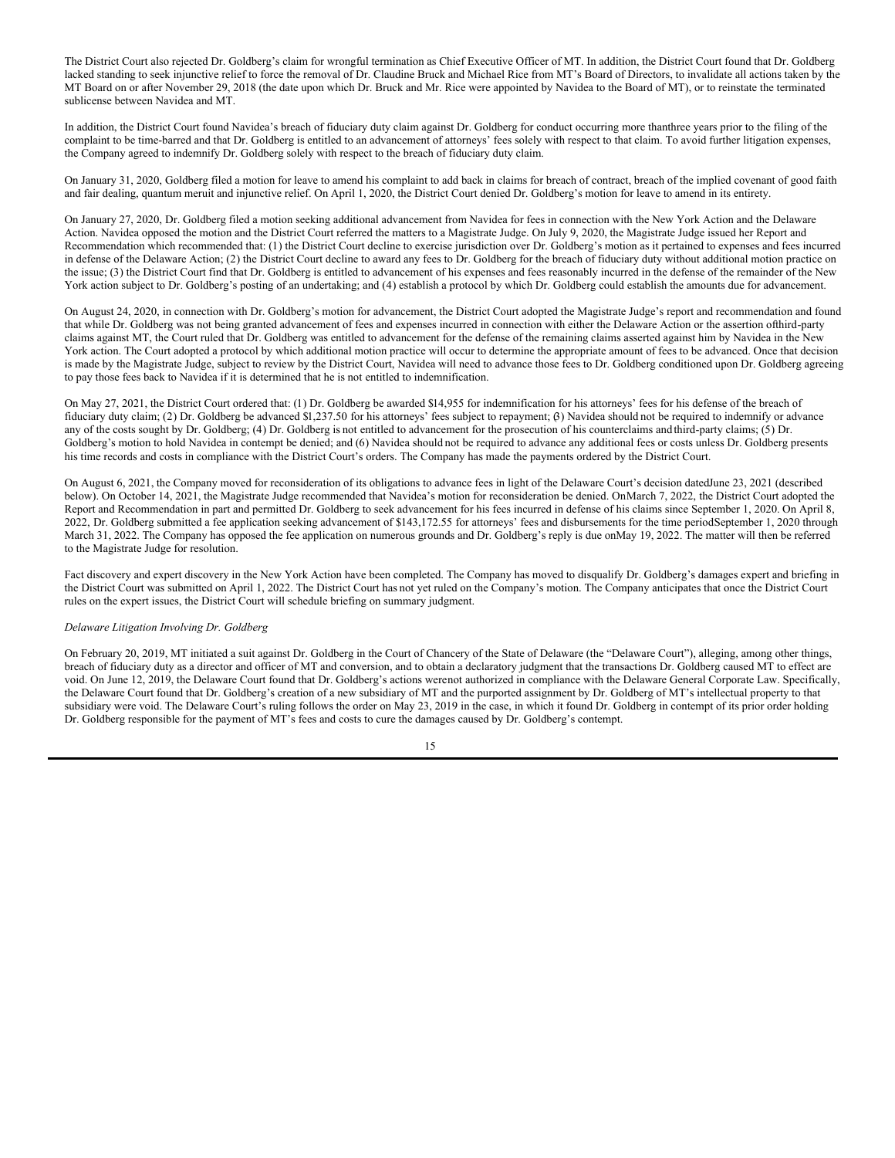The District Court also rejected Dr. Goldberg's claim for wrongful termination as Chief Executive Officer of MT. In addition, the District Court found that Dr. Goldberg lacked standing to seek injunctive relief to force the removal of Dr. Claudine Bruck and Michael Rice from MT's Board of Directors, to invalidate all actions taken by the MT Board on or after November 29, 2018 (the date upon which Dr. Bruck and Mr. Rice were appointed by Navidea to the Board of MT), or to reinstate the terminated sublicense between Navidea and MT.

In addition, the District Court found Navidea's breach of fiduciary duty claim against Dr. Goldberg for conduct occurring more thanthree years prior to the filing of the complaint to be time-barred and that Dr. Goldberg is entitled to an advancement of attorneys' fees solely with respect to that claim. To avoid further litigation expenses, the Company agreed to indemnify Dr. Goldberg solely with respect to the breach of fiduciary duty claim.

On January 31, 2020, Goldberg filed a motion for leave to amend his complaint to add back in claims for breach of contract, breach of the implied covenant of good faith and fair dealing, quantum meruit and injunctive relief. On April 1, 2020, the District Court denied Dr. Goldberg's motion for leave to amend in its entirety.

On January 27, 2020, Dr. Goldberg filed a motion seeking additional advancement from Navidea for fees in connection with the New York Action and the Delaware Action. Navidea opposed the motion and the District Court referred the matters to a Magistrate Judge. On July 9, 2020, the Magistrate Judge issued her Report and Recommendation which recommended that: (1) the District Court decline to exercise jurisdiction over Dr. Goldberg's motion as it pertained to expenses and fees incurred in defense of the Delaware Action; (2) the District Court decline to award any fees to Dr. Goldberg for the breach of fiduciary duty without additional motion practice on the issue; (3) the District Court find that Dr. Goldberg is entitled to advancement of his expenses and fees reasonably incurred in the defense of the remainder of the New York action subject to Dr. Goldberg's posting of an undertaking; and (4) establish a protocol by which Dr. Goldberg could establish the amounts due for advancement.

On August 24, 2020, in connection with Dr. Goldberg's motion for advancement, the District Court adopted the Magistrate Judge's report and recommendation and found that while Dr. Goldberg was not being granted advancement of fees and expenses incurred in connection with either the Delaware Action or the assertion ofthird-party claims against MT, the Court ruled that Dr. Goldberg was entitled to advancement for the defense of the remaining claims asserted against him by Navidea in the New York action. The Court adopted a protocol by which additional motion practice will occur to determine the appropriate amount of fees to be advanced. Once that decision is made by the Magistrate Judge, subject to review by the District Court, Navidea will need to advance those fees to Dr. Goldberg conditioned upon Dr. Goldberg agreeing to pay those fees back to Navidea if it is determined that he is not entitled to indemnification.

On May 27, 2021, the District Court ordered that: (1) Dr. Goldberg be awarded \$14,955 for indemnification for his attorneys' fees for his defense of the breach of fiduciary duty claim; (2) Dr. Goldberg be advanced \$1,237.50 for his attorneys' fees subject to repayment; (3) Navidea should not be required to indemnify or advance any of the costs sought by Dr. Goldberg; (4) Dr. Goldberg is not entitled to advancement for the prosecution of his counterclaims and third-party claims; (5) Dr. Goldberg's motion to hold Navidea in contempt be denied; and (6) Navidea should not be required to advance any additional fees or costs unless Dr. Goldberg presents his time records and costs in compliance with the District Court's orders. The Company has made the payments ordered by the District Court.

On August 6, 2021, the Company moved for reconsideration of its obligations to advance fees in light of the Delaware Court's decision datedJune 23, 2021 (described below). On October 14, 2021, the Magistrate Judge recommended that Navidea's motion for reconsideration be denied. OnMarch 7, 2022, the District Court adopted the Report and Recommendation in part and permitted Dr. Goldberg to seek advancement for his fees incurred in defense of his claims since September 1, 2020. On April 8, 2022, Dr. Goldberg submitted a fee application seeking advancement of \$143,172.55 for attorneys' fees and disbursements for the time periodSeptember 1, 2020 through March 31, 2022. The Company has opposed the fee application on numerous grounds and Dr. Goldberg's reply is due onMay 19, 2022. The matter will then be referred to the Magistrate Judge for resolution.

Fact discovery and expert discovery in the New York Action have been completed. The Company has moved to disqualify Dr. Goldberg's damages expert and briefing in the District Court was submitted on April 1, 2022. The District Court has not yet ruled on the Company's motion. The Company anticipates that once the District Court rules on the expert issues, the District Court will schedule briefing on summary judgment.

#### *Delaware Litigation Involving Dr. Goldberg*

On February 20, 2019, MT initiated a suit against Dr. Goldberg in the Court of Chancery of the State of Delaware (the "Delaware Court"), alleging, among other things, breach of fiduciary duty as a director and officer of MT and conversion, and to obtain a declaratory judgment that the transactions Dr. Goldberg caused MT to effect are void. On June 12, 2019, the Delaware Court found that Dr. Goldberg's actions werenot authorized in compliance with the Delaware General Corporate Law. Specifically, the Delaware Court found that Dr. Goldberg's creation of a new subsidiary of MT and the purported assignment by Dr. Goldberg of MT's intellectual property to that subsidiary were void. The Delaware Court's ruling follows the order on May 23, 2019 in the case, in which it found Dr. Goldberg in contempt of its prior order holding Dr. Goldberg responsible for the payment of MT's fees and costs to cure the damages caused by Dr. Goldberg's contempt.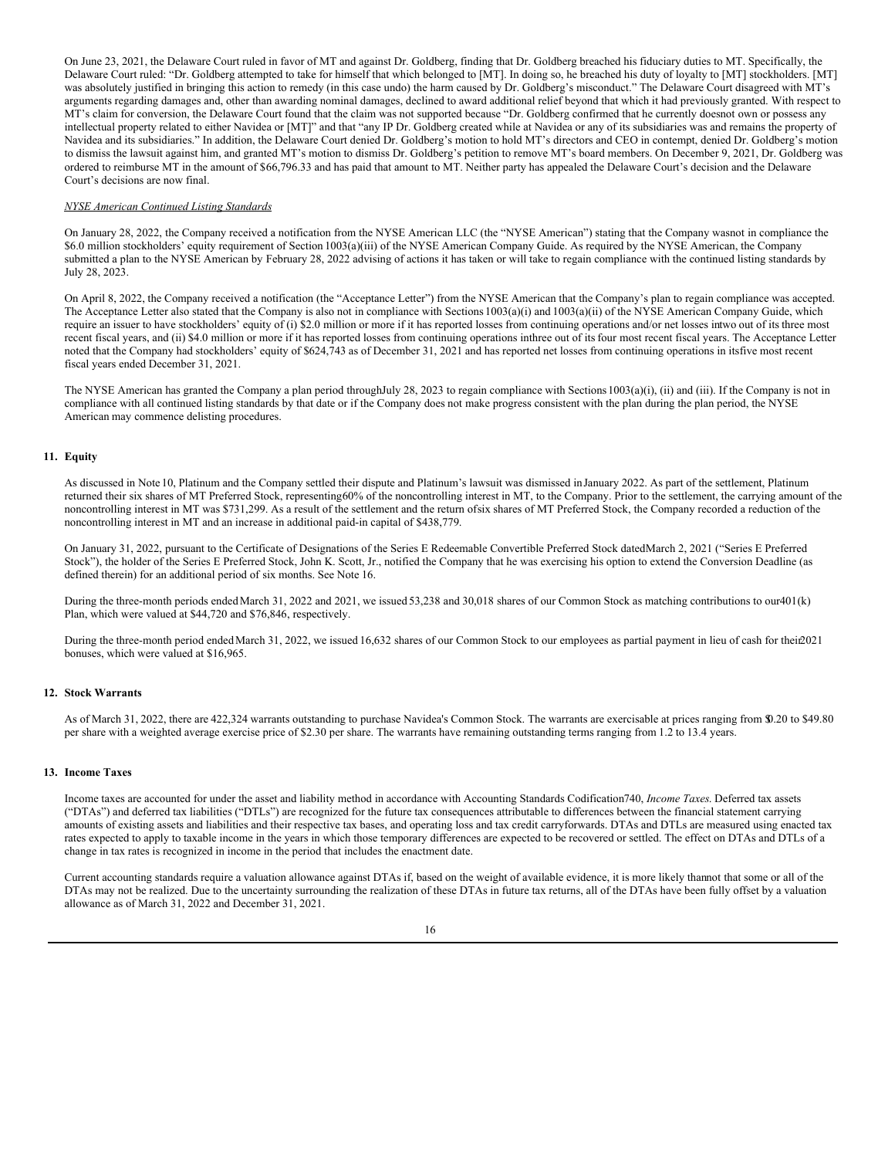On June 23, 2021, the Delaware Court ruled in favor of MT and against Dr. Goldberg, finding that Dr. Goldberg breached his fiduciary duties to MT. Specifically, the Delaware Court ruled: "Dr. Goldberg attempted to take for himself that which belonged to [MT]. In doing so, he breached his duty of loyalty to [MT] stockholders. [MT] was absolutely justified in bringing this action to remedy (in this case undo) the harm caused by Dr. Goldberg's misconduct." The Delaware Court disagreed with MT's arguments regarding damages and, other than awarding nominal damages, declined to award additional relief beyond that which it had previously granted. With respect to MT's claim for conversion, the Delaware Court found that the claim was not supported because "Dr. Goldberg confirmed that he currently doesnot own or possess any intellectual property related to either Navidea or [MT]" and that "any IP Dr. Goldberg created while at Navidea or any of its subsidiaries was and remains the property of Navidea and its subsidiaries." In addition, the Delaware Court denied Dr. Goldberg's motion to hold MT's directors and CEO in contempt, denied Dr. Goldberg's motion to dismiss the lawsuit against him, and granted MT's motion to dismiss Dr. Goldberg's petition to remove MT's board members. On December 9, 2021, Dr. Goldberg was ordered to reimburse MT in the amount of \$66,796.33 and has paid that amount to MT. Neither party has appealed the Delaware Court's decision and the Delaware Court's decisions are now final.

#### *NYSE American Continued Listing Standards*

On January 28, 2022, the Company received a notification from the NYSE American LLC (the "NYSE American") stating that the Company wasnot in compliance the \$6.0 million stockholders' equity requirement of Section 1003(a)(iii) of the NYSE American Company Guide. As required by the NYSE American, the Company submitted a plan to the NYSE American by February 28, 2022 advising of actions it has taken or will take to regain compliance with the continued listing standards by July 28, 2023.

On April 8, 2022, the Company received a notification (the "Acceptance Letter") from the NYSE American that the Company's plan to regain compliance was accepted. The Acceptance Letter also stated that the Company is also not in compliance with Sections 1003(a)(i) and 1003(a)(ii) of the NYSE American Company Guide, which require an issuer to have stockholders' equity of (i) \$2.0 million or more if it has reported losses from continuing operations and/or net losses intwo out of its three most recent fiscal years, and (ii) \$4.0 million or more if it has reported losses from continuing operations inthree out of its four most recent fiscal years. The Acceptance Letter noted that the Company had stockholders' equity of \$624,743 as of December 31, 2021 and has reported net losses from continuing operations in itsfive most recent fiscal years ended December 31, 2021.

The NYSE American has granted the Company a plan period throughJuly 28, 2023 to regain compliance with Sections1003(a)(i), (ii) and (iii). If the Company is not in compliance with all continued listing standards by that date or if the Company does not make progress consistent with the plan during the plan period, the NYSE American may commence delisting procedures.

#### **11. Equity**

As discussed in Note 10, Platinum and the Company settled their dispute and Platinum's lawsuit was dismissed inJanuary 2022. As part of the settlement, Platinum returned their six shares of MT Preferred Stock, representing60% of the noncontrolling interest in MT, to the Company. Prior to the settlement, the carrying amount of the noncontrolling interest in MT was \$731,299. As a result of the settlement and the return ofsix shares of MT Preferred Stock, the Company recorded a reduction of the noncontrolling interest in MT and an increase in additional paid-in capital of \$438,779.

On January 31, 2022, pursuant to the Certificate of Designations of the Series E Redeemable Convertible Preferred Stock datedMarch 2, 2021 ("Series E Preferred Stock"), the holder of the Series E Preferred Stock, John K. Scott, Jr., notified the Company that he was exercising his option to extend the Conversion Deadline (as defined therein) for an additional period of six months. See Note 16.

During the three-month periods endedMarch 31, 2022 and 2021, we issued 53,238 and 30,018 shares of our Common Stock as matching contributions to our401(k) Plan, which were valued at \$44,720 and \$76,846, respectively.

During the three-month period endedMarch 31, 2022, we issued 16,632 shares of our Common Stock to our employees as partial payment in lieu of cash for their2021 bonuses, which were valued at \$16,965.

#### **12. Stock Warrants**

As of March 31, 2022, there are 422,324 warrants outstanding to purchase Navidea's Common Stock. The warrants are exercisable at prices ranging from \$0.20 to \$49.80 per share with a weighted average exercise price of \$2.30 per share. The warrants have remaining outstanding terms ranging from 1.2 to 13.4 years.

#### **13. Income Taxes**

Income taxes are accounted for under the asset and liability method in accordance with Accounting Standards Codification740, *Income Taxes*. Deferred tax assets ("DTAs") and deferred tax liabilities ("DTLs") are recognized for the future tax consequences attributable to differences between the financial statement carrying amounts of existing assets and liabilities and their respective tax bases, and operating loss and tax credit carryforwards. DTAs and DTLs are measured using enacted tax rates expected to apply to taxable income in the years in which those temporary differences are expected to be recovered or settled. The effect on DTAs and DTLs of a change in tax rates is recognized in income in the period that includes the enactment date.

Current accounting standards require a valuation allowance against DTAs if, based on the weight of available evidence, it is more likely thannot that some or all of the DTAs may not be realized. Due to the uncertainty surrounding the realization of these DTAs in future tax returns, all of the DTAs have been fully offset by a valuation allowance as of March 31, 2022 and December 31, 2021.

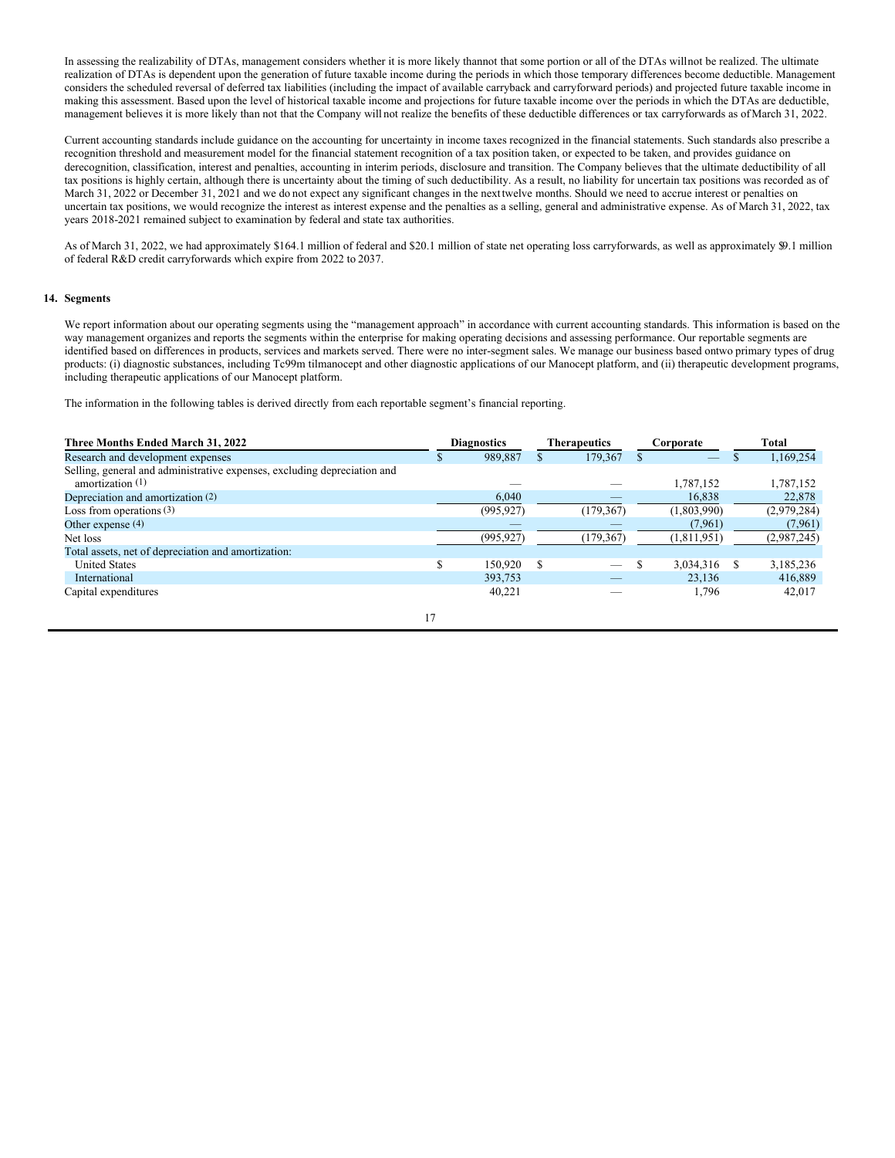In assessing the realizability of DTAs, management considers whether it is more likely thannot that some portion or all of the DTAs willnot be realized. The ultimate realization of DTAs is dependent upon the generation of future taxable income during the periods in which those temporary differences become deductible. Management considers the scheduled reversal of deferred tax liabilities (including the impact of available carryback and carryforward periods) and projected future taxable income in making this assessment. Based upon the level of historical taxable income and projections for future taxable income over the periods in which the DTAs are deductible, management believes it is more likely than not that the Company will not realize the benefits of these deductible differences or tax carryforwards as ofMarch 31, 2022.

Current accounting standards include guidance on the accounting for uncertainty in income taxes recognized in the financial statements. Such standards also prescribe a recognition threshold and measurement model for the financial statement recognition of a tax position taken, or expected to be taken, and provides guidance on derecognition, classification, interest and penalties, accounting in interim periods, disclosure and transition. The Company believes that the ultimate deductibility of all tax positions is highly certain, although there is uncertainty about the timing of such deductibility. As a result, no liability for uncertain tax positions was recorded as of March 31, 2022 or December 31, 2021 and we do not expect any significant changes in the next twelve months. Should we need to accrue interest or penalties on uncertain tax positions, we would recognize the interest as interest expense and the penalties as a selling, general and administrative expense. As of March 31, 2022, tax years 2018-2021 remained subject to examination by federal and state tax authorities.

As of March 31, 2022, we had approximately \$164.1 million of federal and \$20.1 million of state net operating loss carryforwards, as well as approximately \$9.1 million of federal R&D credit carryforwards which expire from 2022 to 2037.

#### **14. Segments**

We report information about our operating segments using the "management approach" in accordance with current accounting standards. This information is based on the way management organizes and reports the segments within the enterprise for making operating decisions and assessing performance. Our reportable segments are identified based on differences in products, services and markets served. There were no inter-segment sales. We manage our business based ontwo primary types of drug products: (i) diagnostic substances, including Tc99m tilmanocept and other diagnostic applications of our Manocept platform, and (ii) therapeutic development programs, including therapeutic applications of our Manocept platform.

The information in the following tables is derived directly from each reportable segment's financial reporting.

| Three Months Ended March 31, 2022                                                              |    | <b>Diagnostics</b> | <b>Therapeutics</b> |                               | Corporate | Total       |   |             |
|------------------------------------------------------------------------------------------------|----|--------------------|---------------------|-------------------------------|-----------|-------------|---|-------------|
| Research and development expenses                                                              |    | 989,887            |                     | 179,367                       |           | $-$         |   | 1,169,254   |
| Selling, general and administrative expenses, excluding depreciation and<br>amortization $(1)$ |    |                    |                     |                               |           | 1,787,152   |   | 1,787,152   |
| Depreciation and amortization (2)                                                              |    | 6,040              |                     |                               |           | 16,838      |   | 22,878      |
| Loss from operations $(3)$                                                                     |    | (995, 927)         |                     | (179, 367)                    |           | (1,803,990) |   | (2,979,284) |
| Other expense (4)                                                                              |    |                    |                     |                               |           | (7, 961)    |   | (7, 961)    |
| Net loss                                                                                       |    | (995, 927)         |                     | (179, 367)                    |           | (1,811,951) |   | (2,987,245) |
| Total assets, net of depreciation and amortization:                                            |    |                    |                     |                               |           |             |   |             |
| <b>United States</b>                                                                           |    | 150,920            | -S                  | $\overbrace{\phantom{12333}}$ |           | 3,034,316   | S | 3,185,236   |
| International                                                                                  |    | 393,753            |                     |                               |           | 23,136      |   | 416,889     |
| Capital expenditures                                                                           |    | 40.221             |                     |                               |           | 1,796       |   | 42,017      |
|                                                                                                | 17 |                    |                     |                               |           |             |   |             |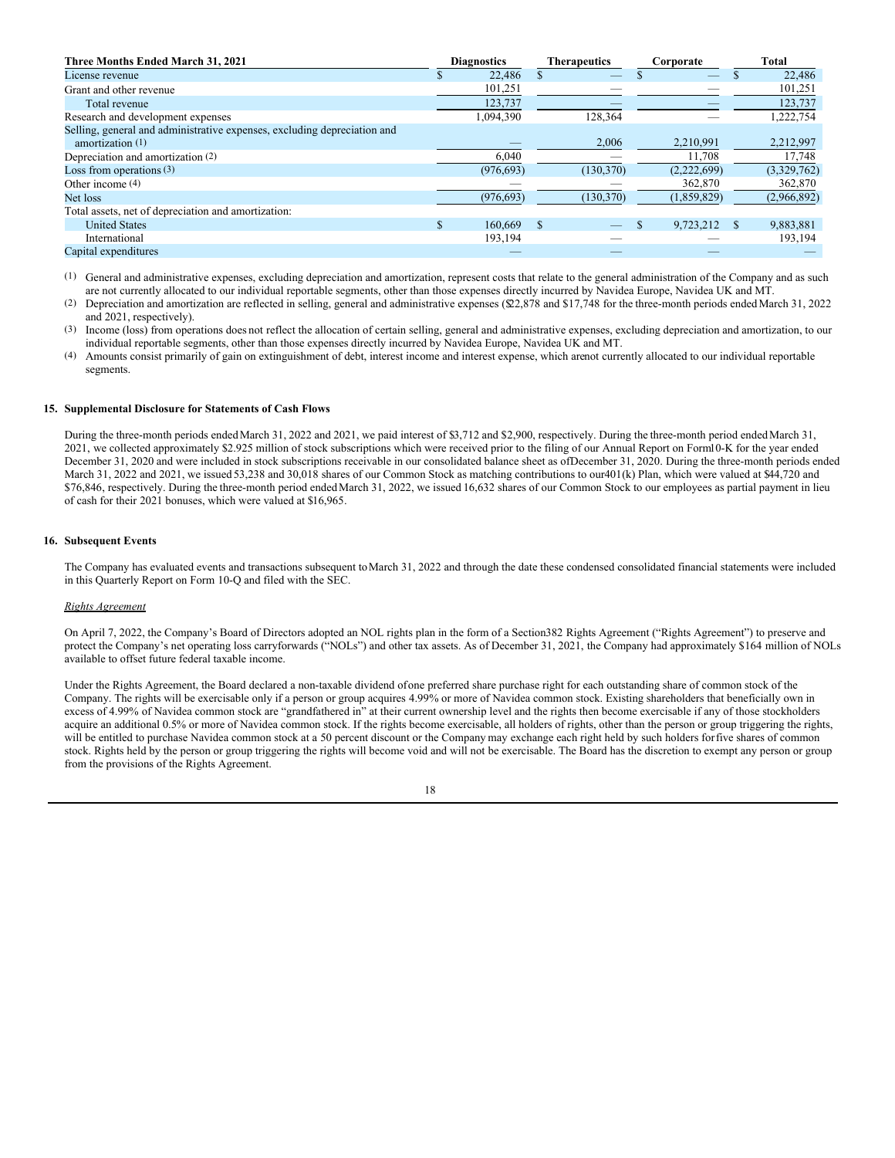| Three Months Ended March 31, 2021                                                              | <b>Diagnostics</b> | <b>Therapeutics</b>                         | Corporate |             |               |             |  |  | Total |  |
|------------------------------------------------------------------------------------------------|--------------------|---------------------------------------------|-----------|-------------|---------------|-------------|--|--|-------|--|
| License revenue                                                                                | 22,486             | $-$                                         |           |             |               | 22,486      |  |  |       |  |
| Grant and other revenue                                                                        | 101,251            |                                             |           |             |               | 101,251     |  |  |       |  |
| Total revenue                                                                                  | 123,737            |                                             |           |             |               | 123,737     |  |  |       |  |
| Research and development expenses                                                              | 1,094,390          | 128,364                                     |           |             |               | 1,222,754   |  |  |       |  |
| Selling, general and administrative expenses, excluding depreciation and<br>amortization $(1)$ |                    | 2,006                                       |           | 2,210,991   |               | 2,212,997   |  |  |       |  |
| Depreciation and amortization (2)                                                              | 6.040              | _                                           |           | 11,708      |               | 17,748      |  |  |       |  |
| Loss from operations $(3)$                                                                     | (976, 693)         | (130, 370)                                  |           | (2,222,699) |               | (3,329,762) |  |  |       |  |
| Other income (4)                                                                               |                    |                                             |           | 362,870     |               | 362,870     |  |  |       |  |
| Net loss                                                                                       | (976, 693)         | (130, 370)                                  |           | (1,859,829) |               | (2,966,892) |  |  |       |  |
| Total assets, net of depreciation and amortization:                                            |                    |                                             |           |             |               |             |  |  |       |  |
| <b>United States</b>                                                                           | 160,669            | -S<br>$\hspace{1.0cm} \rule{1.5cm}{0.15cm}$ |           | 9.723.212   | <sup>\$</sup> | 9,883,881   |  |  |       |  |
| International                                                                                  | 193,194            |                                             |           |             |               | 193,194     |  |  |       |  |
| Capital expenditures                                                                           |                    |                                             |           |             |               |             |  |  |       |  |

- (1) General and administrative expenses, excluding depreciation and amortization, represent costs that relate to the general administration of the Company and as such are not currently allocated to our individual reportable segments, other than those expenses directly incurred by Navidea Europe, Navidea UK and MT.
- (2) Depreciation and amortization are reflected in selling, general and administrative expenses (\$22,878 and \$17,748 for the three-month periods endedMarch 31, 2022 and 2021, respectively).
- (3) Income (loss) from operations does not reflect the allocation of certain selling, general and administrative expenses, excluding depreciation and amortization, to our individual reportable segments, other than those expenses directly incurred by Navidea Europe, Navidea UK and MT.
- (4) Amounts consist primarily of gain on extinguishment of debt, interest income and interest expense, which arenot currently allocated to our individual reportable segments.

#### **15. Supplemental Disclosure for Statements of Cash Flows**

During the three-month periods endedMarch 31, 2022 and 2021, we paid interest of \$3,712 and \$2,900, respectively. During the three-month period endedMarch 31, 2021, we collected approximately \$2.925 million of stock subscriptions which were received prior to the filing of our Annual Report on Form10-K for the year ended December 31, 2020 and were included in stock subscriptions receivable in our consolidated balance sheet as ofDecember 31, 2020. During the three-month periods ended March 31, 2022 and 2021, we issued 53,238 and 30,018 shares of our Common Stock as matching contributions to our401(k) Plan, which were valued at \$44,720 and \$76,846, respectively. During the three-month period ended March 31, 2022, we issued 16,632 shares of our Common Stock to our employees as partial payment in lieu of cash for their 2021 bonuses, which were valued at \$16,965.

#### **16. Subsequent Events**

The Company has evaluated events and transactions subsequent to March 31, 2022 and through the date these condensed consolidated financial statements were included in this Quarterly Report on Form 10-Q and filed with the SEC.

#### *Rights Agreement*

On April 7, 2022, the Company's Board of Directors adopted an NOL rights plan in the form of a Section382 Rights Agreement ("Rights Agreement") to preserve and protect the Company's net operating loss carryforwards ("NOLs") and other tax assets. As of December 31, 2021, the Company had approximately \$164 million of NOLs available to offset future federal taxable income.

Under the Rights Agreement, the Board declared a non-taxable dividend ofone preferred share purchase right for each outstanding share of common stock of the Company. The rights will be exercisable only if a person or group acquires 4.99% or more of Navidea common stock. Existing shareholders that beneficially own in excess of 4.99% of Navidea common stock are "grandfathered in" at their current ownership level and the rights then become exercisable if any of those stockholders acquire an additional 0.5% or more of Navidea common stock. If the rights become exercisable, all holders of rights, other than the person or group triggering the rights, will be entitled to purchase Navidea common stock at a 50 percent discount or the Company may exchange each right held by such holders for five shares of common stock. Rights held by the person or group triggering the rights will become void and will not be exercisable. The Board has the discretion to exempt any person or group from the provisions of the Rights Agreement.

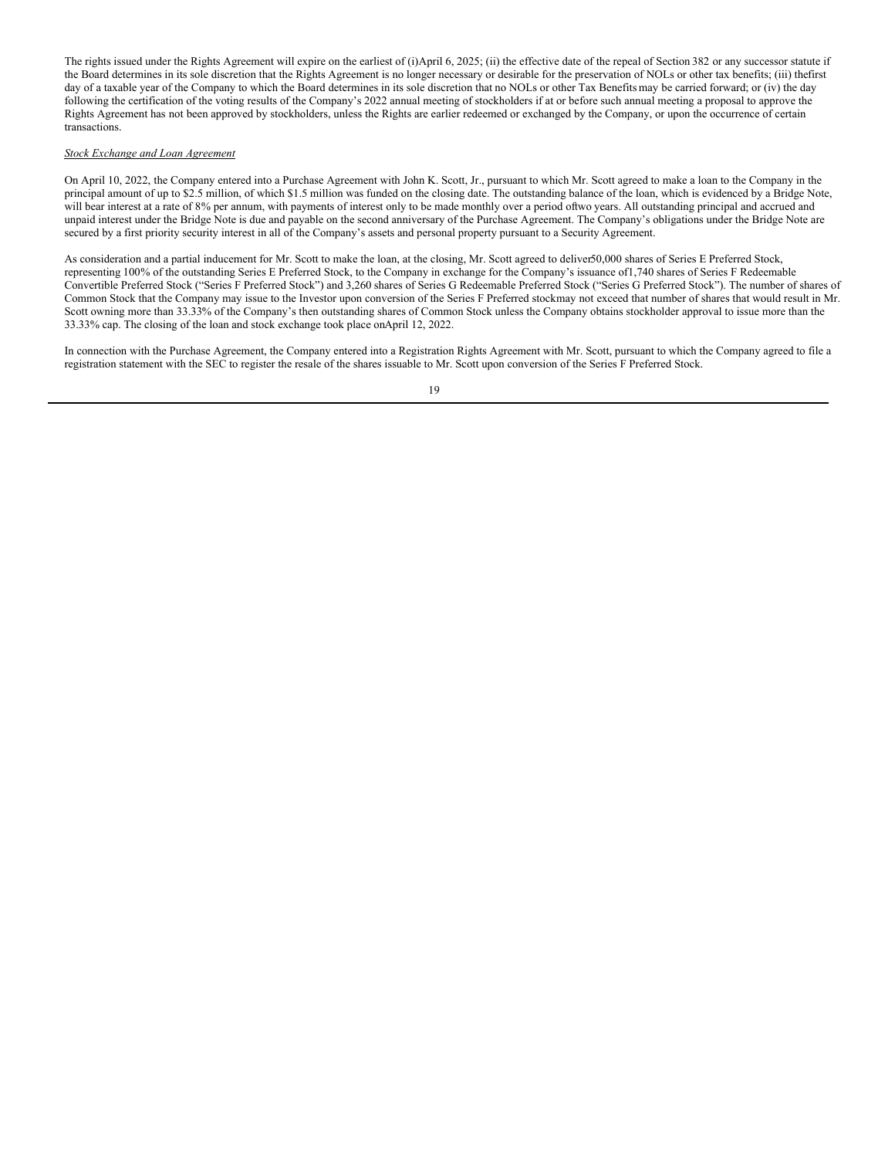The rights issued under the Rights Agreement will expire on the earliest of (i)April 6, 2025; (ii) the effective date of the repeal of Section 382 or any successor statute if the Board determines in its sole discretion that the Rights Agreement is no longer necessary or desirable for the preservation of NOLs or other tax benefits; (iii) thefirst day of a taxable year of the Company to which the Board determines in its sole discretion that no NOLs or other Tax Benefits may be carried forward; or (iv) the day following the certification of the voting results of the Company's 2022 annual meeting of stockholders if at or before such annual meeting a proposal to approve the Rights Agreement has not been approved by stockholders, unless the Rights are earlier redeemed or exchanged by the Company, or upon the occurrence of certain transactions.

#### *Stock Exchange and Loan Agreement*

On April 10, 2022, the Company entered into a Purchase Agreement with John K. Scott, Jr., pursuant to which Mr. Scott agreed to make a loan to the Company in the principal amount of up to \$2.5 million, of which \$1.5 million was funded on the closing date. The outstanding balance of the loan, which is evidenced by a Bridge Note, will bear interest at a rate of 8% per annum, with payments of interest only to be made monthly over a period oftwo years. All outstanding principal and accrued and unpaid interest under the Bridge Note is due and payable on the second anniversary of the Purchase Agreement. The Company's obligations under the Bridge Note are secured by a first priority security interest in all of the Company's assets and personal property pursuant to a Security Agreement.

As consideration and a partial inducement for Mr. Scott to make the loan, at the closing, Mr. Scott agreed to deliver50,000 shares of Series E Preferred Stock, representing 100% of the outstanding Series E Preferred Stock, to the Company in exchange for the Company's issuance of1,740 shares of Series F Redeemable Convertible Preferred Stock ("Series F Preferred Stock") and 3,260 shares of Series G Redeemable Preferred Stock ("Series G Preferred Stock"). The number of shares of Common Stock that the Company may issue to the Investor upon conversion of the Series F Preferred stockmay not exceed that number of shares that would result in Mr. Scott owning more than 33.33% of the Company's then outstanding shares of Common Stock unless the Company obtains stockholder approval to issue more than the 33.33% cap. The closing of the loan and stock exchange took place onApril 12, 2022.

In connection with the Purchase Agreement, the Company entered into a Registration Rights Agreement with Mr. Scott, pursuant to which the Company agreed to file a registration statement with the SEC to register the resale of the shares issuable to Mr. Scott upon conversion of the Series F Preferred Stock.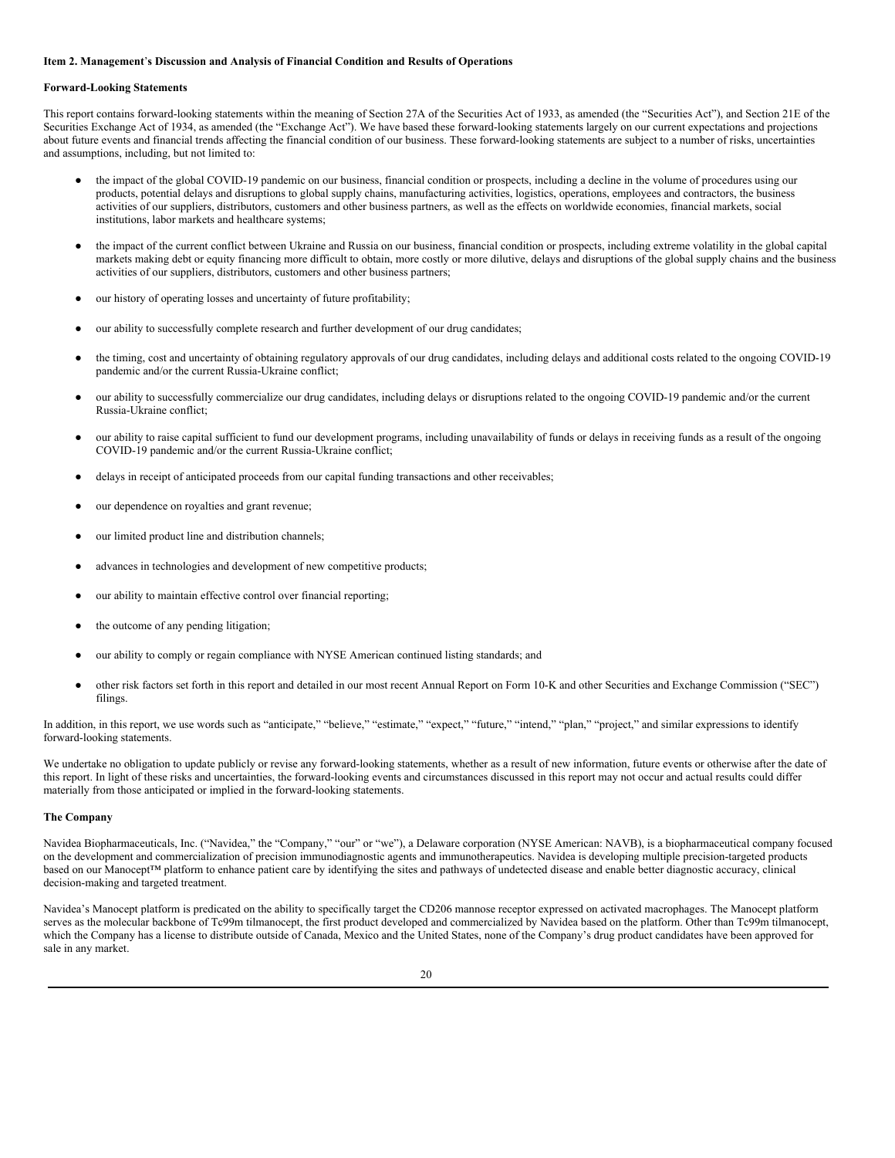#### **Item 2. Management**'**s Discussion and Analysis of Financial Condition and Results of Operations**

#### **Forward-Looking Statements**

This report contains forward-looking statements within the meaning of Section 27A of the Securities Act of 1933, as amended (the "Securities Act"), and Section 21E of the Securities Exchange Act of 1934, as amended (the "Exchange Act"). We have based these forward-looking statements largely on our current expectations and projections about future events and financial trends affecting the financial condition of our business. These forward-looking statements are subject to a number of risks, uncertainties and assumptions, including, but not limited to:

- the impact of the global COVID-19 pandemic on our business, financial condition or prospects, including a decline in the volume of procedures using our products, potential delays and disruptions to global supply chains, manufacturing activities, logistics, operations, employees and contractors, the business activities of our suppliers, distributors, customers and other business partners, as well as the effects on worldwide economies, financial markets, social institutions, labor markets and healthcare systems;
- the impact of the current conflict between Ukraine and Russia on our business, financial condition or prospects, including extreme volatility in the global capital markets making debt or equity financing more difficult to obtain, more costly or more dilutive, delays and disruptions of the global supply chains and the business activities of our suppliers, distributors, customers and other business partners;
- our history of operating losses and uncertainty of future profitability;
- our ability to successfully complete research and further development of our drug candidates;
- the timing, cost and uncertainty of obtaining regulatory approvals of our drug candidates, including delays and additional costs related to the ongoing COVID-19 pandemic and/or the current Russia-Ukraine conflict;
- our ability to successfully commercialize our drug candidates, including delays or disruptions related to the ongoing COVID-19 pandemic and/or the current Russia-Ukraine conflict;
- our ability to raise capital sufficient to fund our development programs, including unavailability of funds or delays in receiving funds as a result of the ongoing COVID-19 pandemic and/or the current Russia-Ukraine conflict;
- delays in receipt of anticipated proceeds from our capital funding transactions and other receivables;
- our dependence on royalties and grant revenue;
- our limited product line and distribution channels;
- advances in technologies and development of new competitive products;
- our ability to maintain effective control over financial reporting;
- the outcome of any pending litigation;
- our ability to comply or regain compliance with NYSE American continued listing standards; and
- other risk factors set forth in this report and detailed in our most recent Annual Report on Form 10-K and other Securities and Exchange Commission ("SEC") filings.

In addition, in this report, we use words such as "anticipate," "believe," "estimate," "expect," "future," "intend," "plan," "project," and similar expressions to identify forward-looking statements.

We undertake no obligation to update publicly or revise any forward-looking statements, whether as a result of new information, future events or otherwise after the date of this report. In light of these risks and uncertainties, the forward-looking events and circumstances discussed in this report may not occur and actual results could differ materially from those anticipated or implied in the forward-looking statements.

#### **The Company**

Navidea Biopharmaceuticals, Inc. ("Navidea," the "Company," "our" or "we"), a Delaware corporation (NYSE American: NAVB), is a biopharmaceutical company focused on the development and commercialization of precision immunodiagnostic agents and immunotherapeutics. Navidea is developing multiple precision-targeted products based on our Manocept™ platform to enhance patient care by identifying the sites and pathways of undetected disease and enable better diagnostic accuracy, clinical decision-making and targeted treatment.

Navidea's Manocept platform is predicated on the ability to specifically target the CD206 mannose receptor expressed on activated macrophages. The Manocept platform serves as the molecular backbone of Tc99m tilmanocept, the first product developed and commercialized by Navidea based on the platform. Other than Tc99m tilmanocept, which the Company has a license to distribute outside of Canada, Mexico and the United States, none of the Company's drug product candidates have been approved for sale in any market.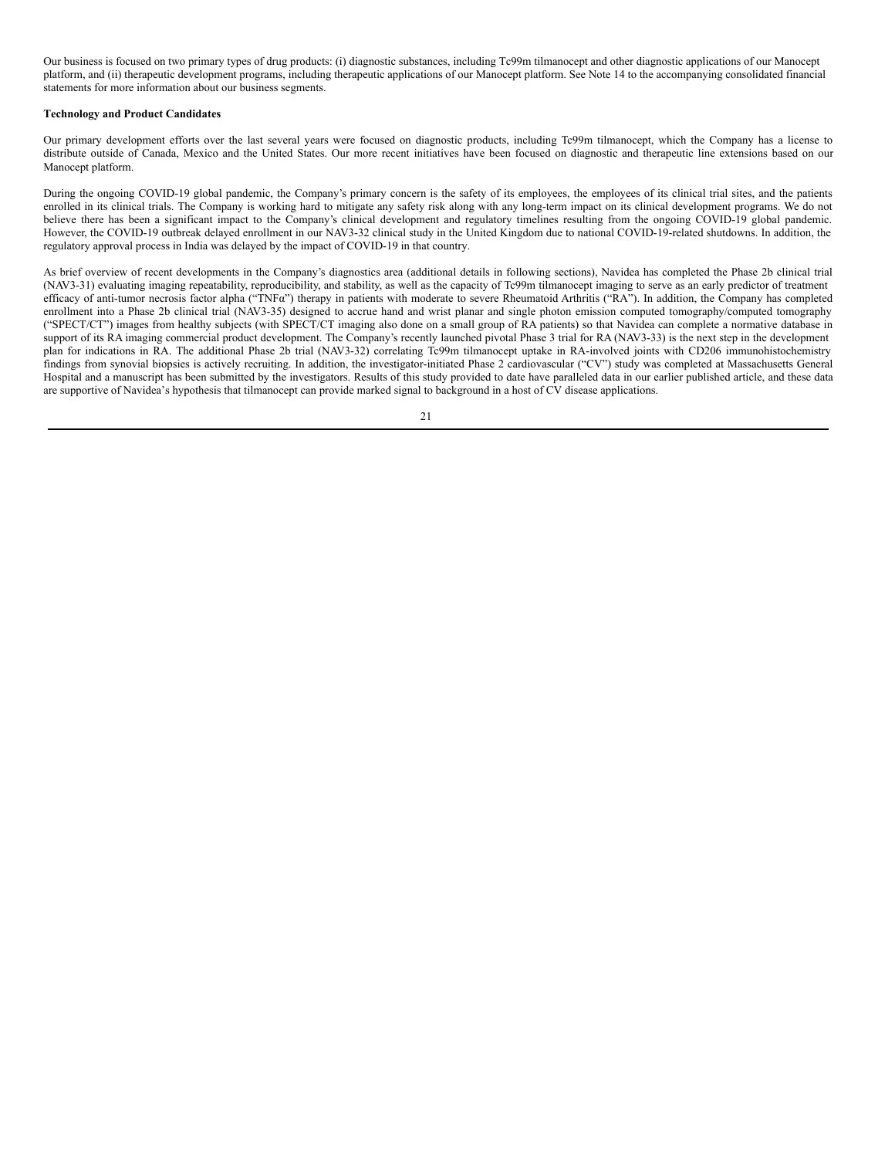Our business is focused on two primary types of drug products: (i) diagnostic substances, including Tc99m tilmanocept and other diagnostic applications of our Manocept platform, and (ii) therapeutic development programs, including therapeutic applications of our Manocept platform. See Note 14 to the accompanying consolidated financial statements for more information about our business segments.

#### **Technology and Product Candidates**

Our primary development efforts over the last several years were focused on diagnostic products, including Tc99m tilmanocept, which the Company has a license to distribute outside of Canada, Mexico and the United States. Our more recent initiatives have been focused on diagnostic and therapeutic line extensions based on our Manocept platform.

During the ongoing COVID-19 global pandemic, the Company's primary concern is the safety of its employees, the employees of its clinical trial sites, and the patients enrolled in its clinical trials. The Company is working hard to mitigate any safety risk along with any long-term impact on its clinical development programs. We do not believe there has been a significant impact to the Company's clinical development and regulatory timelines resulting from the ongoing COVID-19 global pandemic. However, the COVID-19 outbreak delayed enrollment in our NAV3-32 clinical study in the United Kingdom due to national COVID-19-related shutdowns. In addition, the regulatory approval process in India was delayed by the impact of COVID-19 in that country.

As brief overview of recent developments in the Company's diagnostics area (additional details in following sections), Navidea has completed the Phase 2b clinical trial (NAV3-31) evaluating imaging repeatability, reproducibility, and stability, as well as the capacity of Tc99m tilmanocept imaging to serve as an early predictor of treatment efficacy of anti-tumor necrosis factor alpha ("TNF $\alpha$ ") therapy in patients with moderate to severe Rheumatoid Arthritis ("RA"). In addition, the Company has completed enrollment into a Phase 2b clinical trial (NAV3-35) designed to accrue hand and wrist planar and single photon emission computed tomography/computed tomography ("SPECT/CT") images from healthy subjects (with SPECT/CT imaging also done on a small group of RA patients) so that Navidea can complete a normative database in support of its RA imaging commercial product development. The Company's recently launched pivotal Phase 3 trial for RA (NAV3-33) is the next step in the development plan for indications in RA. The additional Phase 2b trial (NAV3-32) correlating Tc99m tilmanocept uptake in RA-involved joints with CD206 immunohistochemistry findings from synovial biopsies is actively recruiting. In addition, the investigator-initiated Phase 2 cardiovascular ("CV") study was completed at Massachusetts General Hospital and a manuscript has been submitted by the investigators. Results of this study provided to date have paralleled data in our earlier published article, and these data are supportive of Navidea's hypothesis that tilmanocept can provide marked signal to background in a host of CV disease applications.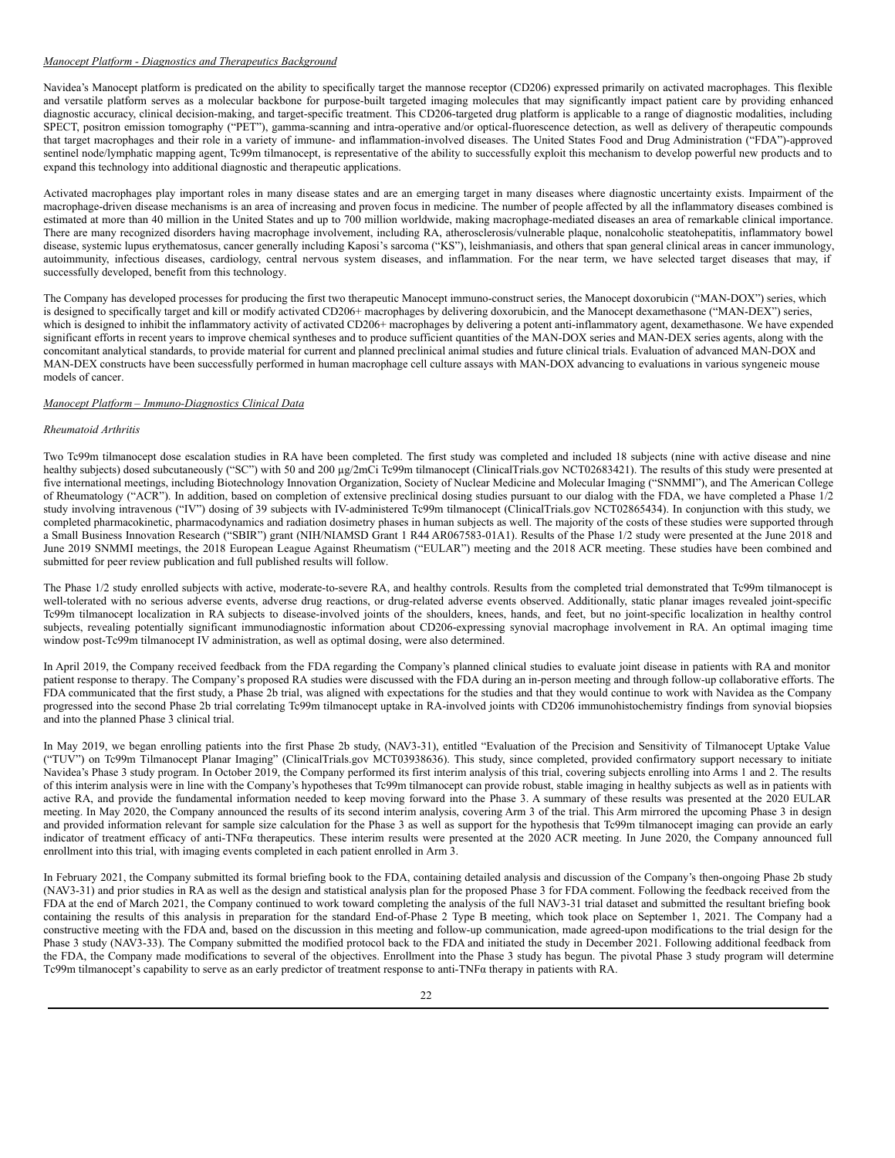#### *Manocept Platform - Diagnostics and Therapeutics Background*

Navidea's Manocept platform is predicated on the ability to specifically target the mannose receptor (CD206) expressed primarily on activated macrophages. This flexible and versatile platform serves as a molecular backbone for purpose-built targeted imaging molecules that may significantly impact patient care by providing enhanced diagnostic accuracy, clinical decision-making, and target-specific treatment. This CD206-targeted drug platform is applicable to a range of diagnostic modalities, including SPECT, positron emission tomography ("PET"), gamma-scanning and intra-operative and/or optical-fluorescence detection, as well as delivery of therapeutic compounds that target macrophages and their role in a variety of immune- and inflammation-involved diseases. The United States Food and Drug Administration ("FDA")-approved sentinel node/lymphatic mapping agent, Tc99m tilmanocept, is representative of the ability to successfully exploit this mechanism to develop powerful new products and to expand this technology into additional diagnostic and therapeutic applications.

Activated macrophages play important roles in many disease states and are an emerging target in many diseases where diagnostic uncertainty exists. Impairment of the macrophage-driven disease mechanisms is an area of increasing and proven focus in medicine. The number of people affected by all the inflammatory diseases combined is estimated at more than 40 million in the United States and up to 700 million worldwide, making macrophage-mediated diseases an area of remarkable clinical importance. There are many recognized disorders having macrophage involvement, including RA, atherosclerosis/vulnerable plaque, nonalcoholic steatohepatitis, inflammatory bowel disease, systemic lupus erythematosus, cancer generally including Kaposi's sarcoma ("KS"), leishmaniasis, and others that span general clinical areas in cancer immunology, autoimmunity, infectious diseases, cardiology, central nervous system diseases, and inflammation. For the near term, we have selected target diseases that may, if successfully developed, benefit from this technology.

The Company has developed processes for producing the first two therapeutic Manocept immuno-construct series, the Manocept doxorubicin ("MAN-DOX") series, which is designed to specifically target and kill or modify activated CD206+ macrophages by delivering doxorubicin, and the Manocept dexamethasone ("MAN-DEX") series, which is designed to inhibit the inflammatory activity of activated CD206+ macrophages by delivering a potent anti-inflammatory agent, dexamethasone. We have expended significant efforts in recent years to improve chemical syntheses and to produce sufficient quantities of the MAN-DOX series and MAN-DEX series agents, along with the concomitant analytical standards, to provide material for current and planned preclinical animal studies and future clinical trials. Evaluation of advanced MAN-DOX and MAN-DEX constructs have been successfully performed in human macrophage cell culture assays with MAN-DOX advancing to evaluations in various syngeneic mouse models of cancer.

#### *Manocept Platform* – *Immuno-Diagnostics Clinical Data*

#### *Rheumatoid Arthritis*

Two Tc99m tilmanocept dose escalation studies in RA have been completed. The first study was completed and included 18 subjects (nine with active disease and nine healthy subjects) dosed subcutaneously ("SC") with 50 and 200 µg/2mCi Tc99m tilmanocept (ClinicalTrials.gov NCT02683421). The results of this study were presented at five international meetings, including Biotechnology Innovation Organization, Society of Nuclear Medicine and Molecular Imaging ("SNMMI"), and The American College of Rheumatology ("ACR"). In addition, based on completion of extensive preclinical dosing studies pursuant to our dialog with the FDA, we have completed a Phase 1/2 study involving intravenous ("IV") dosing of 39 subjects with IV-administered Tc99m tilmanocept (ClinicalTrials.gov NCT02865434). In conjunction with this study, we completed pharmacokinetic, pharmacodynamics and radiation dosimetry phases in human subjects as well. The majority of the costs of these studies were supported through a Small Business Innovation Research ("SBIR") grant (NIH/NIAMSD Grant 1 R44 AR067583-01A1). Results of the Phase 1/2 study were presented at the June 2018 and June 2019 SNMMI meetings, the 2018 European League Against Rheumatism ("EULAR") meeting and the 2018 ACR meeting. These studies have been combined and submitted for peer review publication and full published results will follow.

The Phase 1/2 study enrolled subjects with active, moderate-to-severe RA, and healthy controls. Results from the completed trial demonstrated that Tc99m tilmanocept is well-tolerated with no serious adverse events, adverse drug reactions, or drug-related adverse events observed. Additionally, static planar images revealed joint-specific Tc99m tilmanocept localization in RA subjects to disease-involved joints of the shoulders, knees, hands, and feet, but no joint-specific localization in healthy control subjects, revealing potentially significant immunodiagnostic information about CD206-expressing synovial macrophage involvement in RA. An optimal imaging time window post-Tc99m tilmanocept IV administration, as well as optimal dosing, were also determined.

In April 2019, the Company received feedback from the FDA regarding the Company's planned clinical studies to evaluate joint disease in patients with RA and monitor patient response to therapy. The Company's proposed RA studies were discussed with the FDA during an in-person meeting and through follow-up collaborative efforts. The FDA communicated that the first study, a Phase 2b trial, was aligned with expectations for the studies and that they would continue to work with Navidea as the Company progressed into the second Phase 2b trial correlating Tc99m tilmanocept uptake in RA-involved joints with CD206 immunohistochemistry findings from synovial biopsies and into the planned Phase 3 clinical trial.

In May 2019, we began enrolling patients into the first Phase 2b study, (NAV3-31), entitled "Evaluation of the Precision and Sensitivity of Tilmanocept Uptake Value ("TUV") on Tc99m Tilmanocept Planar Imaging" (ClinicalTrials.gov MCT03938636). This study, since completed, provided confirmatory support necessary to initiate Navidea's Phase 3 study program. In October 2019, the Company performed its first interim analysis of this trial, covering subjects enrolling into Arms 1 and 2. The results of this interim analysis were in line with the Company's hypotheses that Tc99m tilmanocept can provide robust, stable imaging in healthy subjects as well as in patients with active RA, and provide the fundamental information needed to keep moving forward into the Phase 3. A summary of these results was presented at the 2020 EULAR meeting. In May 2020, the Company announced the results of its second interim analysis, covering Arm 3 of the trial. This Arm mirrored the upcoming Phase 3 in design and provided information relevant for sample size calculation for the Phase 3 as well as support for the hypothesis that Tc99m tilmanocept imaging can provide an early indicator of treatment efficacy of anti-TNFα therapeutics. These interim results were presented at the 2020 ACR meeting. In June 2020, the Company announced full enrollment into this trial, with imaging events completed in each patient enrolled in Arm 3.

In February 2021, the Company submitted its formal briefing book to the FDA, containing detailed analysis and discussion of the Company's then-ongoing Phase 2b study (NAV3-31) and prior studies in RA as well as the design and statistical analysis plan for the proposed Phase 3 for FDA comment. Following the feedback received from the FDA at the end of March 2021, the Company continued to work toward completing the analysis of the full NAV3-31 trial dataset and submitted the resultant briefing book containing the results of this analysis in preparation for the standard End-of-Phase 2 Type B meeting, which took place on September 1, 2021. The Company had a constructive meeting with the FDA and, based on the discussion in this meeting and follow-up communication, made agreed-upon modifications to the trial design for the Phase 3 study (NAV3-33). The Company submitted the modified protocol back to the FDA and initiated the study in December 2021. Following additional feedback from the FDA, the Company made modifications to several of the objectives. Enrollment into the Phase 3 study has begun. The pivotal Phase 3 study program will determine Tc99m tilmanocept's capability to serve as an early predictor of treatment response to anti-TNFα therapy in patients with RA.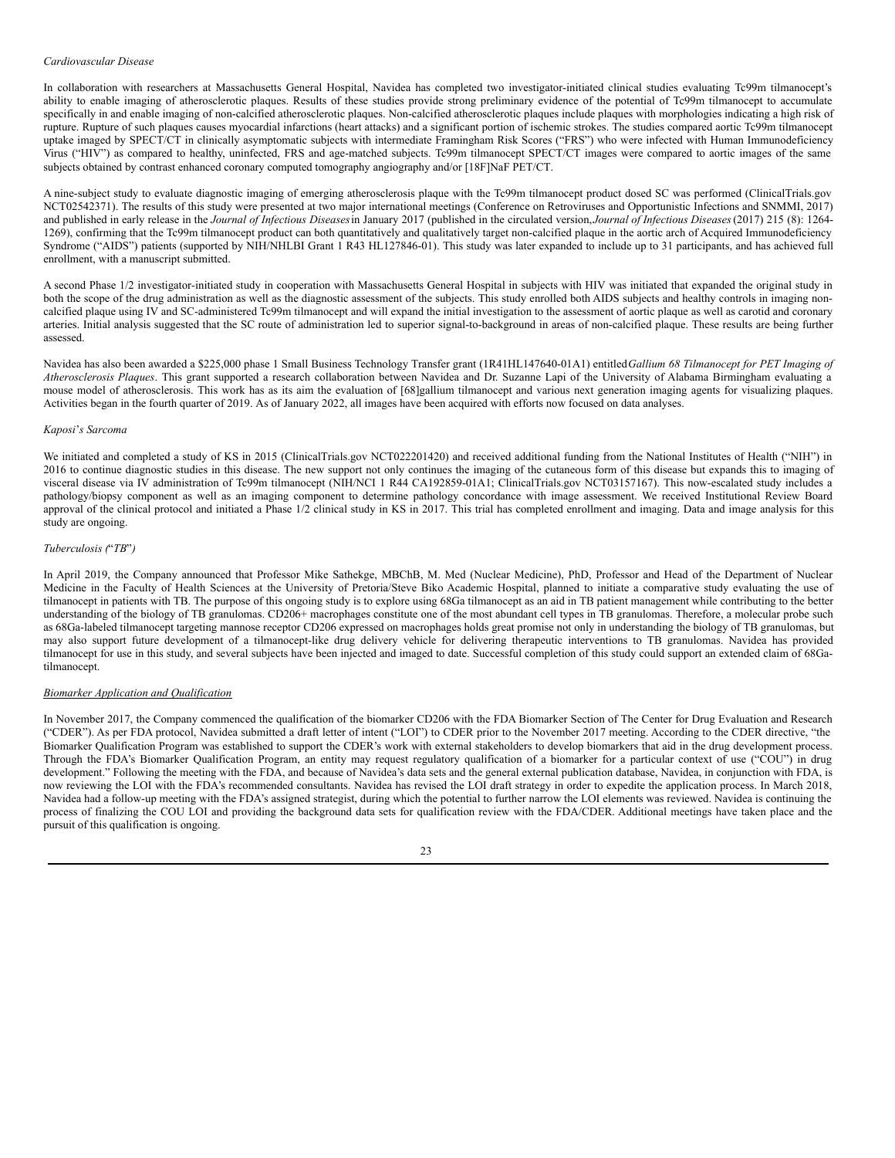#### *Cardiovascular Disease*

In collaboration with researchers at Massachusetts General Hospital, Navidea has completed two investigator-initiated clinical studies evaluating Tc99m tilmanocept's ability to enable imaging of atherosclerotic plaques. Results of these studies provide strong preliminary evidence of the potential of Tc99m tilmanocept to accumulate specifically in and enable imaging of non-calcified atherosclerotic plaques. Non-calcified atherosclerotic plaques include plaques with morphologies indicating a high risk of rupture. Rupture of such plaques causes myocardial infarctions (heart attacks) and a significant portion of ischemic strokes. The studies compared aortic Tc99m tilmanocept uptake imaged by SPECT/CT in clinically asymptomatic subjects with intermediate Framingham Risk Scores ("FRS") who were infected with Human Immunodeficiency Virus ("HIV") as compared to healthy, uninfected, FRS and age-matched subjects. Tc99m tilmanocept SPECT/CT images were compared to aortic images of the same subjects obtained by contrast enhanced coronary computed tomography angiography and/or [18F]NaF PET/CT.

A nine-subject study to evaluate diagnostic imaging of emerging atherosclerosis plaque with the Tc99m tilmanocept product dosed SC was performed (ClinicalTrials.gov NCT02542371). The results of this study were presented at two major international meetings (Conference on Retroviruses and Opportunistic Infections and SNMMI, 2017) and published in early release in the Journal of Infectious Diseases in January 2017 (published in the circulated version, Journal of Infectious Diseases (2017) 215 (8): 1264-1269), confirming that the Tc99m tilmanocept product can both quantitatively and qualitatively target non-calcified plaque in the aortic arch of Acquired Immunodeficiency Syndrome ("AIDS") patients (supported by NIH/NHLBI Grant 1 R43 HL127846-01). This study was later expanded to include up to 31 participants, and has achieved full enrollment, with a manuscript submitted.

A second Phase 1/2 investigator-initiated study in cooperation with Massachusetts General Hospital in subjects with HIV was initiated that expanded the original study in both the scope of the drug administration as well as the diagnostic assessment of the subjects. This study enrolled both AIDS subjects and healthy controls in imaging noncalcified plaque using IV and SC-administered Tc99m tilmanocept and will expand the initial investigation to the assessment of aortic plaque as well as carotid and coronary arteries. Initial analysis suggested that the SC route of administration led to superior signal-to-background in areas of non-calcified plaque. These results are being further assessed.

Navidea has also been awarded a \$225,000 phase 1 Small Business Technology Transfer grant (1R41HL147640-01A1) entitled*Gallium 68 Tilmanocept for PET Imaging of Atherosclerosis Plaques*. This grant supported a research collaboration between Navidea and Dr. Suzanne Lapi of the University of Alabama Birmingham evaluating a mouse model of atherosclerosis. This work has as its aim the evaluation of [68]gallium tilmanocept and various next generation imaging agents for visualizing plaques. Activities began in the fourth quarter of 2019. As of January 2022, all images have been acquired with efforts now focused on data analyses.

#### *Kaposi*'*s Sarcoma*

We initiated and completed a study of KS in 2015 (ClinicalTrials.gov NCT022201420) and received additional funding from the National Institutes of Health ("NIH") in 2016 to continue diagnostic studies in this disease. The new support not only continues the imaging of the cutaneous form of this disease but expands this to imaging of visceral disease via IV administration of Tc99m tilmanocept (NIH/NCI 1 R44 CA192859-01A1; ClinicalTrials.gov NCT03157167). This now-escalated study includes a pathology/biopsy component as well as an imaging component to determine pathology concordance with image assessment. We received Institutional Review Board approval of the clinical protocol and initiated a Phase 1/2 clinical study in KS in 2017. This trial has completed enrollment and imaging. Data and image analysis for this study are ongoing.

#### *Tuberculosis (*"*TB*"*)*

In April 2019, the Company announced that Professor Mike Sathekge, MBChB, M. Med (Nuclear Medicine), PhD, Professor and Head of the Department of Nuclear Medicine in the Faculty of Health Sciences at the University of Pretoria/Steve Biko Academic Hospital, planned to initiate a comparative study evaluating the use of tilmanocept in patients with TB. The purpose of this ongoing study is to explore using 68Ga tilmanocept as an aid in TB patient management while contributing to the better understanding of the biology of TB granulomas. CD206+ macrophages constitute one of the most abundant cell types in TB granulomas. Therefore, a molecular probe such as 68Ga-labeled tilmanocept targeting mannose receptor CD206 expressed on macrophages holds great promise not only in understanding the biology of TB granulomas, but may also support future development of a tilmanocept-like drug delivery vehicle for delivering therapeutic interventions to TB granulomas. Navidea has provided tilmanocept for use in this study, and several subjects have been injected and imaged to date. Successful completion of this study could support an extended claim of 68Gatilmanocept.

#### *Biomarker Application and Qualification*

In November 2017, the Company commenced the qualification of the biomarker CD206 with the FDA Biomarker Section of The Center for Drug Evaluation and Research ("CDER"). As per FDA protocol, Navidea submitted a draft letter of intent ("LOI") to CDER prior to the November 2017 meeting. According to the CDER directive, "the Biomarker Qualification Program was established to support the CDER's work with external stakeholders to develop biomarkers that aid in the drug development process. Through the FDA's Biomarker Qualification Program, an entity may request regulatory qualification of a biomarker for a particular context of use ("COU") in drug development." Following the meeting with the FDA, and because of Navidea's data sets and the general external publication database, Navidea, in conjunction with FDA, is now reviewing the LOI with the FDA's recommended consultants. Navidea has revised the LOI draft strategy in order to expedite the application process. In March 2018, Navidea had a follow-up meeting with the FDA's assigned strategist, during which the potential to further narrow the LOI elements was reviewed. Navidea is continuing the process of finalizing the COU LOI and providing the background data sets for qualification review with the FDA/CDER. Additional meetings have taken place and the pursuit of this qualification is ongoing.

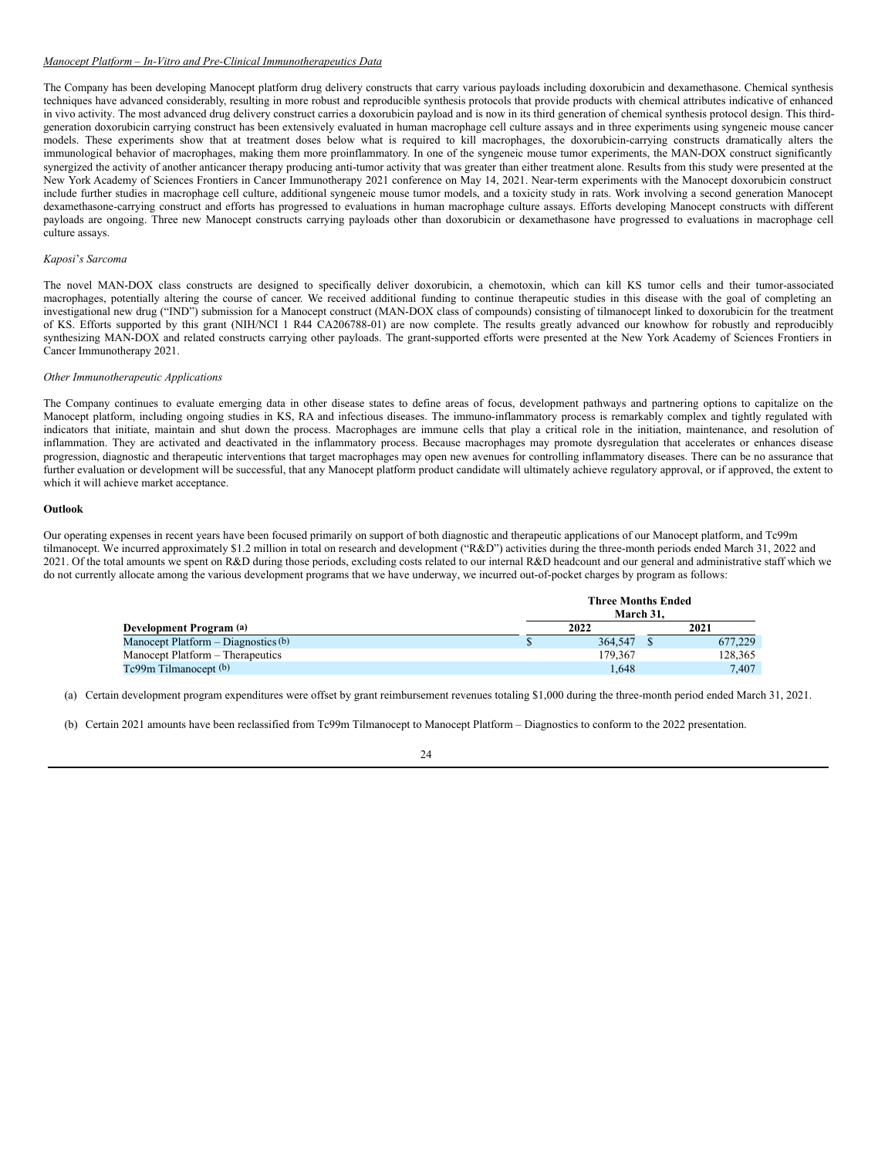#### *Manocept Platform* – *In-Vitro and Pre-Clinical Immunotherapeutics Data*

The Company has been developing Manocept platform drug delivery constructs that carry various payloads including doxorubicin and dexamethasone. Chemical synthesis techniques have advanced considerably, resulting in more robust and reproducible synthesis protocols that provide products with chemical attributes indicative of enhanced in vivo activity. The most advanced drug delivery construct carries a doxorubicin payload and is now in its third generation of chemical synthesis protocol design. This thirdgeneration doxorubicin carrying construct has been extensively evaluated in human macrophage cell culture assays and in three experiments using syngeneic mouse cancer models. These experiments show that at treatment doses below what is required to kill macrophages, the doxorubicin-carrying constructs dramatically alters the immunological behavior of macrophages, making them more proinflammatory. In one of the syngeneic mouse tumor experiments, the MAN-DOX construct significantly synergized the activity of another anticancer therapy producing anti-tumor activity that was greater than either treatment alone. Results from this study were presented at the New York Academy of Sciences Frontiers in Cancer Immunotherapy 2021 conference on May 14, 2021. Near-term experiments with the Manocept doxorubicin construct include further studies in macrophage cell culture, additional syngeneic mouse tumor models, and a toxicity study in rats. Work involving a second generation Manocept dexamethasone-carrying construct and efforts has progressed to evaluations in human macrophage culture assays. Efforts developing Manocept constructs with different payloads are ongoing. Three new Manocept constructs carrying payloads other than doxorubicin or dexamethasone have progressed to evaluations in macrophage cell culture assays.

#### *Kaposi*'*s Sarcoma*

The novel MAN-DOX class constructs are designed to specifically deliver doxorubicin, a chemotoxin, which can kill KS tumor cells and their tumor-associated macrophages, potentially altering the course of cancer. We received additional funding to continue therapeutic studies in this disease with the goal of completing an investigational new drug ("IND") submission for a Manocept construct (MAN-DOX class of compounds) consisting of tilmanocept linked to doxorubicin for the treatment of KS. Efforts supported by this grant (NIH/NCI 1 R44 CA206788-01) are now complete. The results greatly advanced our knowhow for robustly and reproducibly synthesizing MAN-DOX and related constructs carrying other payloads. The grant-supported efforts were presented at the New York Academy of Sciences Frontiers in Cancer Immunotherapy 2021.

#### *Other Immunotherapeutic Applications*

The Company continues to evaluate emerging data in other disease states to define areas of focus, development pathways and partnering options to capitalize on the Manocept platform, including ongoing studies in KS, RA and infectious diseases. The immuno-inflammatory process is remarkably complex and tightly regulated with indicators that initiate, maintain and shut down the process. Macrophages are immune cells that play a critical role in the initiation, maintenance, and resolution of inflammation. They are activated and deactivated in the inflammatory process. Because macrophages may promote dysregulation that accelerates or enhances disease progression, diagnostic and therapeutic interventions that target macrophages may open new avenues for controlling inflammatory diseases. There can be no assurance that further evaluation or development will be successful, that any Manocept platform product candidate will ultimately achieve regulatory approval, or if approved, the extent to which it will achieve market acceptance.

#### **Outlook**

Our operating expenses in recent years have been focused primarily on support of both diagnostic and therapeutic applications of our Manocept platform, and Tc99m tilmanocept. We incurred approximately \$1.2 million in total on research and development ("R&D") activities during the three-month periods ended March 31, 2022 and 2021. Of the total amounts we spent on R&D during those periods, excluding costs related to our internal R&D headcount and our general and administrative staff which we do not currently allocate among the various development programs that we have underway, we incurred out-of-pocket charges by program as follows:

|                                         | <b>Three Months Ended</b><br>March 31. |         |  |         |  |  |  |
|-----------------------------------------|----------------------------------------|---------|--|---------|--|--|--|
| Development Program (a)                 | 2022                                   |         |  | 2021    |  |  |  |
| Manocept Platform $-$ Diagnostics $(b)$ |                                        | 364,547 |  | 677,229 |  |  |  |
| Manocept Platform – Therapeutics        |                                        | 179.367 |  | 128.365 |  |  |  |
| Tc99m Tilmanocept (b)                   |                                        | 1.648   |  | 7.407   |  |  |  |

(a) Certain development program expenditures were offset by grant reimbursement revenues totaling \$1,000 during the three-month period ended March 31, 2021.

(b) Certain 2021 amounts have been reclassified from Tc99m Tilmanocept to Manocept Platform – Diagnostics to conform to the 2022 presentation.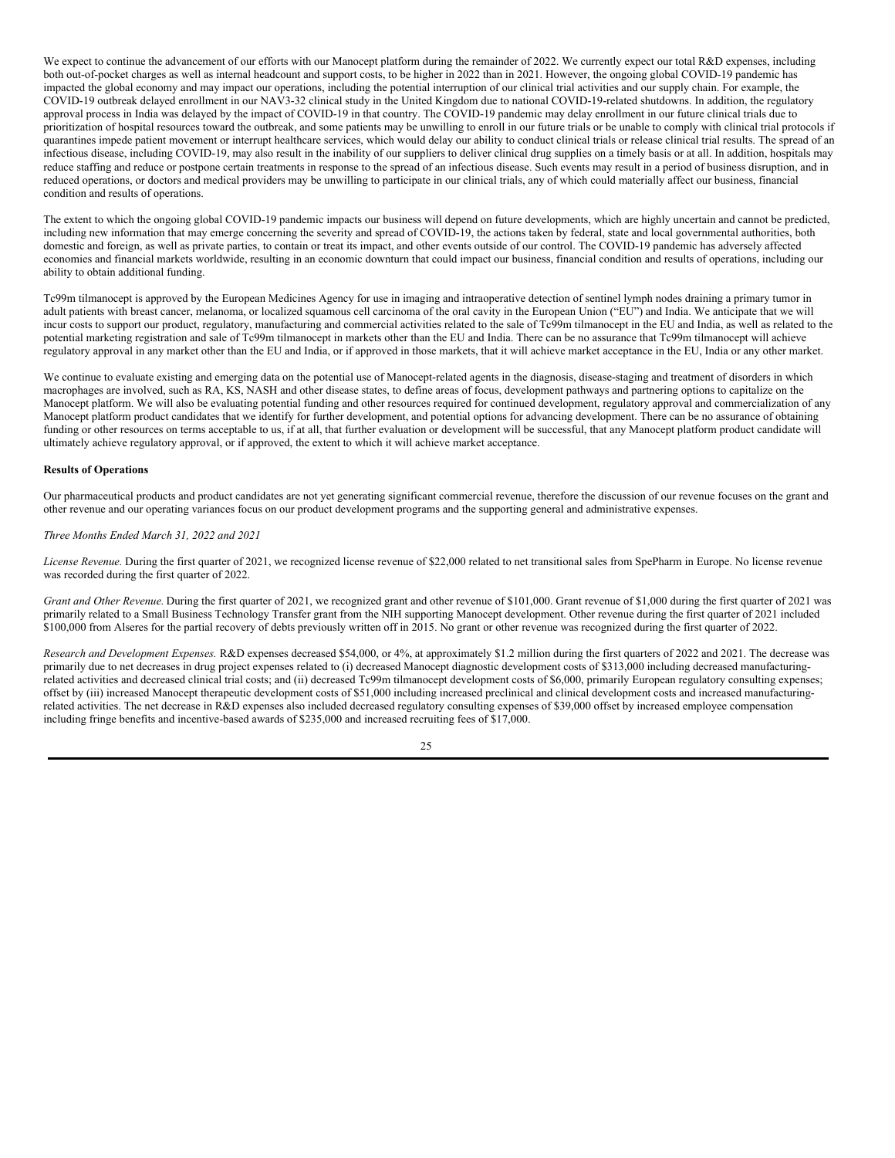We expect to continue the advancement of our efforts with our Manocept platform during the remainder of 2022. We currently expect our total R&D expenses, including both out-of-pocket charges as well as internal headcount and support costs, to be higher in 2022 than in 2021. However, the ongoing global COVID-19 pandemic has impacted the global economy and may impact our operations, including the potential interruption of our clinical trial activities and our supply chain. For example, the COVID-19 outbreak delayed enrollment in our NAV3-32 clinical study in the United Kingdom due to national COVID-19-related shutdowns. In addition, the regulatory approval process in India was delayed by the impact of COVID-19 in that country. The COVID-19 pandemic may delay enrollment in our future clinical trials due to prioritization of hospital resources toward the outbreak, and some patients may be unwilling to enroll in our future trials or be unable to comply with clinical trial protocols if quarantines impede patient movement or interrupt healthcare services, which would delay our ability to conduct clinical trials or release clinical trial results. The spread of an infectious disease, including COVID-19, may also result in the inability of our suppliers to deliver clinical drug supplies on a timely basis or at all. In addition, hospitals may reduce staffing and reduce or postpone certain treatments in response to the spread of an infectious disease. Such events may result in a period of business disruption, and in reduced operations, or doctors and medical providers may be unwilling to participate in our clinical trials, any of which could materially affect our business, financial condition and results of operations.

The extent to which the ongoing global COVID-19 pandemic impacts our business will depend on future developments, which are highly uncertain and cannot be predicted, including new information that may emerge concerning the severity and spread of COVID-19, the actions taken by federal, state and local governmental authorities, both domestic and foreign, as well as private parties, to contain or treat its impact, and other events outside of our control. The COVID-19 pandemic has adversely affected economies and financial markets worldwide, resulting in an economic downturn that could impact our business, financial condition and results of operations, including our ability to obtain additional funding.

Tc99m tilmanocept is approved by the European Medicines Agency for use in imaging and intraoperative detection of sentinel lymph nodes draining a primary tumor in adult patients with breast cancer, melanoma, or localized squamous cell carcinoma of the oral cavity in the European Union ("EU") and India. We anticipate that we will incur costs to support our product, regulatory, manufacturing and commercial activities related to the sale of Tc99m tilmanocept in the EU and India, as well as related to the potential marketing registration and sale of Tc99m tilmanocept in markets other than the EU and India. There can be no assurance that Tc99m tilmanocept will achieve regulatory approval in any market other than the EU and India, or if approved in those markets, that it will achieve market acceptance in the EU, India or any other market.

We continue to evaluate existing and emerging data on the potential use of Manocept-related agents in the diagnosis, disease-staging and treatment of disorders in which macrophages are involved, such as RA, KS, NASH and other disease states, to define areas of focus, development pathways and partnering options to capitalize on the Manocept platform. We will also be evaluating potential funding and other resources required for continued development, regulatory approval and commercialization of any Manocept platform product candidates that we identify for further development, and potential options for advancing development. There can be no assurance of obtaining funding or other resources on terms acceptable to us, if at all, that further evaluation or development will be successful, that any Manocept platform product candidate will ultimately achieve regulatory approval, or if approved, the extent to which it will achieve market acceptance.

#### **Results of Operations**

Our pharmaceutical products and product candidates are not yet generating significant commercial revenue, therefore the discussion of our revenue focuses on the grant and other revenue and our operating variances focus on our product development programs and the supporting general and administrative expenses.

#### *Three Months Ended March 31, 2022 and 2021*

*License Revenue.* During the first quarter of 2021, we recognized license revenue of \$22,000 related to net transitional sales from SpePharm in Europe. No license revenue was recorded during the first quarter of 2022.

*Grant and Other Revenue.* During the first quarter of 2021, we recognized grant and other revenue of \$101,000. Grant revenue of \$1,000 during the first quarter of 2021 was primarily related to a Small Business Technology Transfer grant from the NIH supporting Manocept development. Other revenue during the first quarter of 2021 included \$100,000 from Alseres for the partial recovery of debts previously written off in 2015. No grant or other revenue was recognized during the first quarter of 2022.

*Research and Development Expenses.* R&D expenses decreased \$54,000, or 4%, at approximately \$1.2 million during the first quarters of 2022 and 2021. The decrease was primarily due to net decreases in drug project expenses related to (i) decreased Manocept diagnostic development costs of \$313,000 including decreased manufacturingrelated activities and decreased clinical trial costs; and (ii) decreased Tc99m tilmanocept development costs of \$6,000, primarily European regulatory consulting expenses; offset by (iii) increased Manocept therapeutic development costs of \$51,000 including increased preclinical and clinical development costs and increased manufacturingrelated activities. The net decrease in R&D expenses also included decreased regulatory consulting expenses of \$39,000 offset by increased employee compensation including fringe benefits and incentive-based awards of \$235,000 and increased recruiting fees of \$17,000.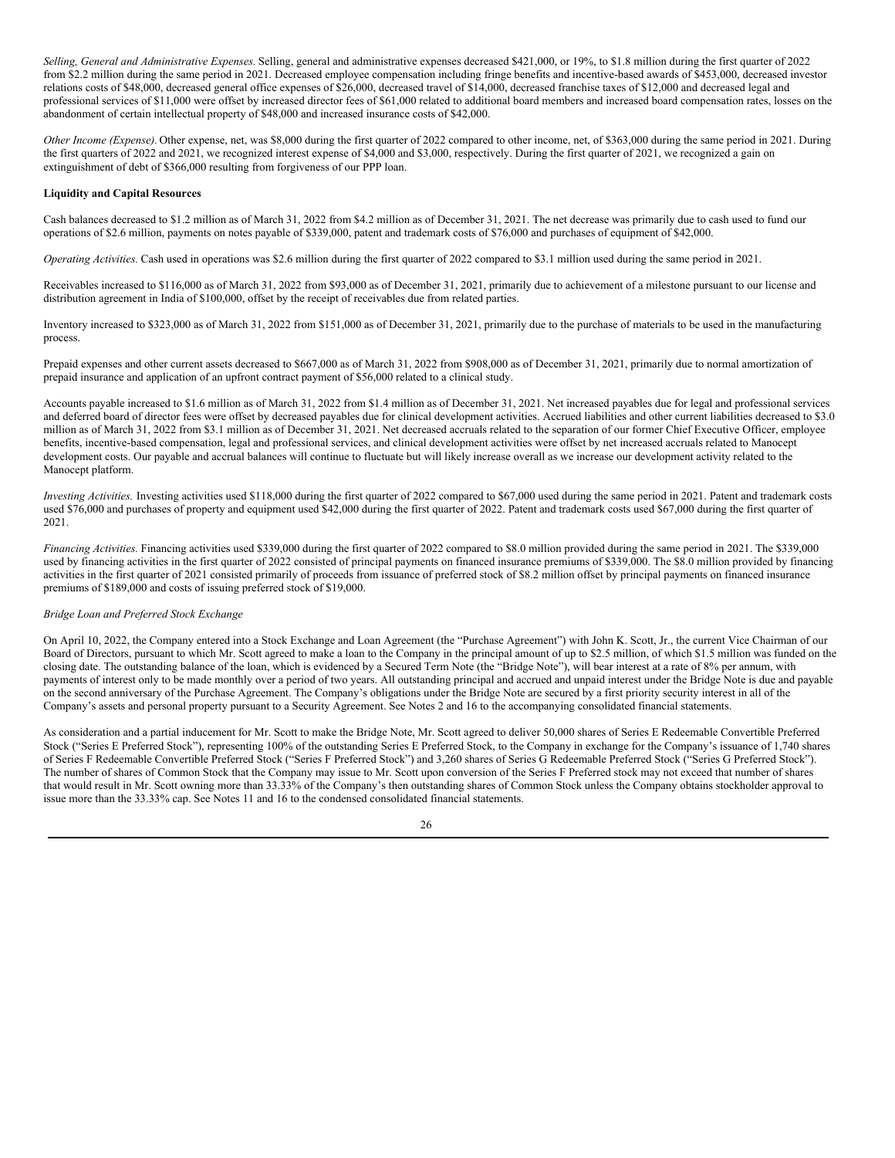*Selling, General and Administrative Expenses.* Selling, general and administrative expenses decreased \$421,000, or 19%, to \$1.8 million during the first quarter of 2022 from \$2.2 million during the same period in 2021. Decreased employee compensation including fringe benefits and incentive-based awards of \$453,000, decreased investor relations costs of \$48,000, decreased general office expenses of \$26,000, decreased travel of \$14,000, decreased franchise taxes of \$12,000 and decreased legal and professional services of \$11,000 were offset by increased director fees of \$61,000 related to additional board members and increased board compensation rates, losses on the abandonment of certain intellectual property of \$48,000 and increased insurance costs of \$42,000.

*Other Income (Expense).* Other expense, net, was \$8,000 during the first quarter of 2022 compared to other income, net, of \$363,000 during the same period in 2021. During the first quarters of 2022 and 2021, we recognized interest expense of \$4,000 and \$3,000, respectively. During the first quarter of 2021, we recognized a gain on extinguishment of debt of \$366,000 resulting from forgiveness of our PPP loan.

#### **Liquidity and Capital Resources**

Cash balances decreased to \$1.2 million as of March 31, 2022 from \$4.2 million as of December 31, 2021. The net decrease was primarily due to cash used to fund our operations of \$2.6 million, payments on notes payable of \$339,000, patent and trademark costs of \$76,000 and purchases of equipment of \$42,000.

*Operating Activities.* Cash used in operations was \$2.6 million during the first quarter of 2022 compared to \$3.1 million used during the same period in 2021.

Receivables increased to \$116,000 as of March 31, 2022 from \$93,000 as of December 31, 2021, primarily due to achievement of a milestone pursuant to our license and distribution agreement in India of \$100,000, offset by the receipt of receivables due from related parties.

Inventory increased to \$323,000 as of March 31, 2022 from \$151,000 as of December 31, 2021, primarily due to the purchase of materials to be used in the manufacturing process.

Prepaid expenses and other current assets decreased to \$667,000 as of March 31, 2022 from \$908,000 as of December 31, 2021, primarily due to normal amortization of prepaid insurance and application of an upfront contract payment of \$56,000 related to a clinical study.

Accounts payable increased to \$1.6 million as of March 31, 2022 from \$1.4 million as of December 31, 2021. Net increased payables due for legal and professional services and deferred board of director fees were offset by decreased payables due for clinical development activities. Accrued liabilities and other current liabilities decreased to \$3.0 million as of March 31, 2022 from \$3.1 million as of December 31, 2021. Net decreased accruals related to the separation of our former Chief Executive Officer, employee benefits, incentive-based compensation, legal and professional services, and clinical development activities were offset by net increased accruals related to Manocept development costs. Our payable and accrual balances will continue to fluctuate but will likely increase overall as we increase our development activity related to the Manocept platform.

*Investing Activities.* Investing activities used \$118,000 during the first quarter of 2022 compared to \$67,000 used during the same period in 2021. Patent and trademark costs used \$76,000 and purchases of property and equipment used \$42,000 during the first quarter of 2022. Patent and trademark costs used \$67,000 during the first quarter of 2021.

*Financing Activities.* Financing activities used \$339,000 during the first quarter of 2022 compared to \$8.0 million provided during the same period in 2021. The \$339,000 used by financing activities in the first quarter of 2022 consisted of principal payments on financed insurance premiums of \$339,000. The \$8.0 million provided by financing activities in the first quarter of 2021 consisted primarily of proceeds from issuance of preferred stock of \$8.2 million offset by principal payments on financed insurance premiums of \$189,000 and costs of issuing preferred stock of \$19,000.

#### *Bridge Loan and Preferred Stock Exchange*

On April 10, 2022, the Company entered into a Stock Exchange and Loan Agreement (the "Purchase Agreement") with John K. Scott, Jr., the current Vice Chairman of our Board of Directors, pursuant to which Mr. Scott agreed to make a loan to the Company in the principal amount of up to \$2.5 million, of which \$1.5 million was funded on the closing date. The outstanding balance of the loan, which is evidenced by a Secured Term Note (the "Bridge Note"), will bear interest at a rate of 8% per annum, with payments of interest only to be made monthly over a period of two years. All outstanding principal and accrued and unpaid interest under the Bridge Note is due and payable on the second anniversary of the Purchase Agreement. The Company's obligations under the Bridge Note are secured by a first priority security interest in all of the Company's assets and personal property pursuant to a Security Agreement. See Notes 2 and 16 to the accompanying consolidated financial statements.

As consideration and a partial inducement for Mr. Scott to make the Bridge Note, Mr. Scott agreed to deliver 50,000 shares of Series E Redeemable Convertible Preferred Stock ("Series E Preferred Stock"), representing 100% of the outstanding Series E Preferred Stock, to the Company in exchange for the Company's issuance of 1,740 shares of Series F Redeemable Convertible Preferred Stock ("Series F Preferred Stock") and 3,260 shares of Series G Redeemable Preferred Stock ("Series G Preferred Stock"). The number of shares of Common Stock that the Company may issue to Mr. Scott upon conversion of the Series F Preferred stock may not exceed that number of shares that would result in Mr. Scott owning more than 33.33% of the Company's then outstanding shares of Common Stock unless the Company obtains stockholder approval to issue more than the 33.33% cap. See Notes 11 and 16 to the condensed consolidated financial statements.

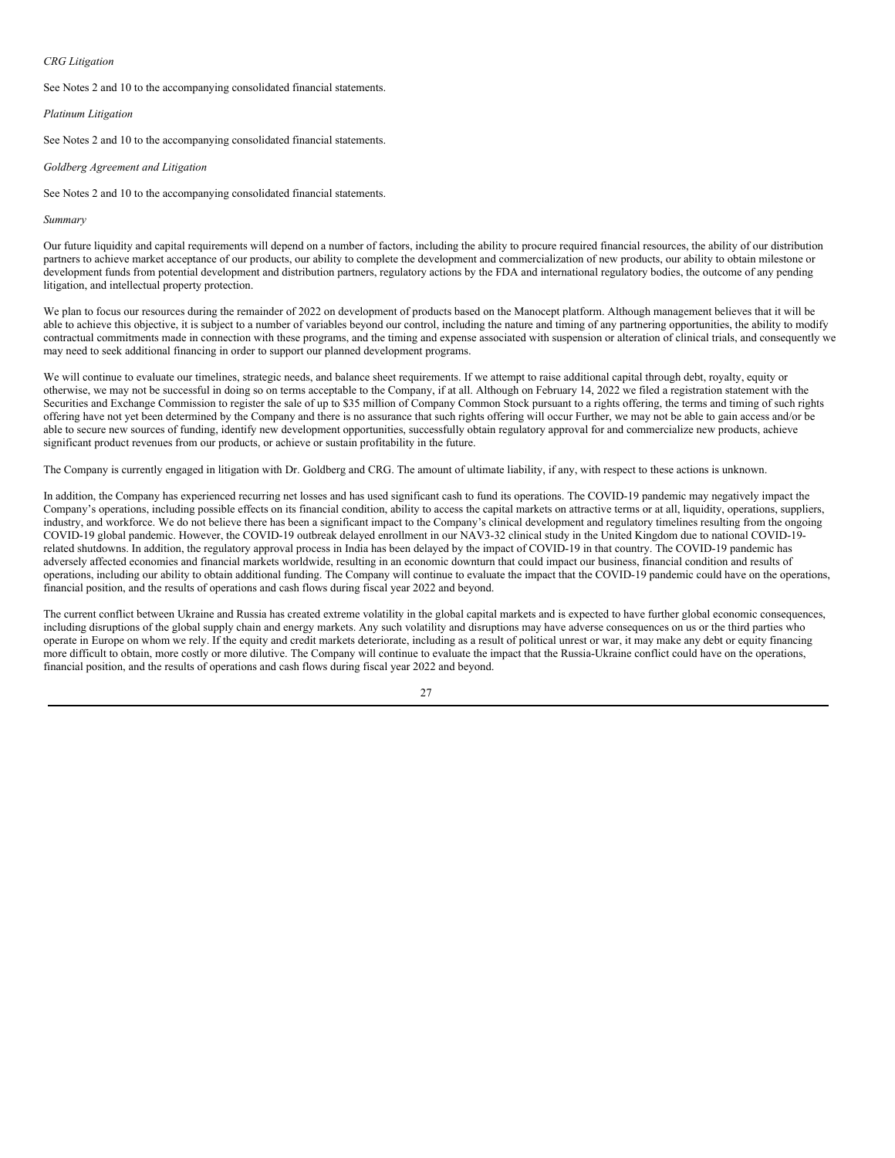#### *CRG Litigation*

See Notes 2 and 10 to the accompanying consolidated financial statements.

### *Platinum Litigation*

See Notes 2 and 10 to the accompanying consolidated financial statements.

*Goldberg Agreement and Litigation*

See Notes 2 and 10 to the accompanying consolidated financial statements.

*Summary*

Our future liquidity and capital requirements will depend on a number of factors, including the ability to procure required financial resources, the ability of our distribution partners to achieve market acceptance of our products, our ability to complete the development and commercialization of new products, our ability to obtain milestone or development funds from potential development and distribution partners, regulatory actions by the FDA and international regulatory bodies, the outcome of any pending litigation, and intellectual property protection.

We plan to focus our resources during the remainder of 2022 on development of products based on the Manocept platform. Although management believes that it will be able to achieve this objective, it is subject to a number of variables beyond our control, including the nature and timing of any partnering opportunities, the ability to modify contractual commitments made in connection with these programs, and the timing and expense associated with suspension or alteration of clinical trials, and consequently we may need to seek additional financing in order to support our planned development programs.

We will continue to evaluate our timelines, strategic needs, and balance sheet requirements. If we attempt to raise additional capital through debt, royalty, equity or otherwise, we may not be successful in doing so on terms acceptable to the Company, if at all. Although on February 14, 2022 we filed a registration statement with the Securities and Exchange Commission to register the sale of up to \$35 million of Company Common Stock pursuant to a rights offering, the terms and timing of such rights offering have not yet been determined by the Company and there is no assurance that such rights offering will occur Further, we may not be able to gain access and/or be able to secure new sources of funding, identify new development opportunities, successfully obtain regulatory approval for and commercialize new products, achieve significant product revenues from our products, or achieve or sustain profitability in the future.

The Company is currently engaged in litigation with Dr. Goldberg and CRG. The amount of ultimate liability, if any, with respect to these actions is unknown.

In addition, the Company has experienced recurring net losses and has used significant cash to fund its operations. The COVID-19 pandemic may negatively impact the Company's operations, including possible effects on its financial condition, ability to access the capital markets on attractive terms or at all, liquidity, operations, suppliers, industry, and workforce. We do not believe there has been a significant impact to the Company's clinical development and regulatory timelines resulting from the ongoing COVID-19 global pandemic. However, the COVID-19 outbreak delayed enrollment in our NAV3-32 clinical study in the United Kingdom due to national COVID-19 related shutdowns. In addition, the regulatory approval process in India has been delayed by the impact of COVID-19 in that country. The COVID-19 pandemic has adversely affected economies and financial markets worldwide, resulting in an economic downturn that could impact our business, financial condition and results of operations, including our ability to obtain additional funding. The Company will continue to evaluate the impact that the COVID-19 pandemic could have on the operations, financial position, and the results of operations and cash flows during fiscal year 2022 and beyond.

The current conflict between Ukraine and Russia has created extreme volatility in the global capital markets and is expected to have further global economic consequences, including disruptions of the global supply chain and energy markets. Any such volatility and disruptions may have adverse consequences on us or the third parties who operate in Europe on whom we rely. If the equity and credit markets deteriorate, including as a result of political unrest or war, it may make any debt or equity financing more difficult to obtain, more costly or more dilutive. The Company will continue to evaluate the impact that the Russia-Ukraine conflict could have on the operations, financial position, and the results of operations and cash flows during fiscal year 2022 and beyond.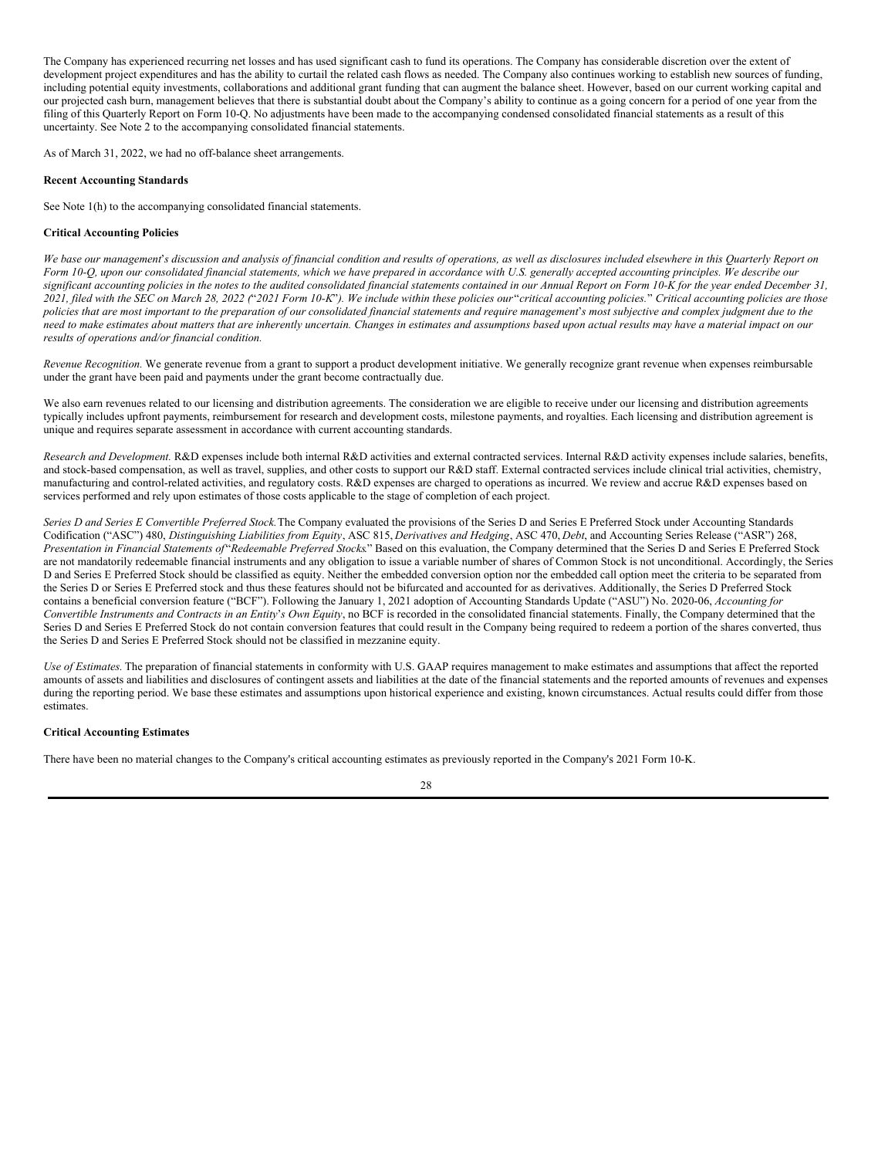The Company has experienced recurring net losses and has used significant cash to fund its operations. The Company has considerable discretion over the extent of development project expenditures and has the ability to curtail the related cash flows as needed. The Company also continues working to establish new sources of funding, including potential equity investments, collaborations and additional grant funding that can augment the balance sheet. However, based on our current working capital and our projected cash burn, management believes that there is substantial doubt about the Company's ability to continue as a going concern for a period of one year from the filing of this Quarterly Report on Form 10-Q. No adjustments have been made to the accompanying condensed consolidated financial statements as a result of this uncertainty. See Note 2 to the accompanying consolidated financial statements.

As of March 31, 2022, we had no off-balance sheet arrangements.

#### **Recent Accounting Standards**

See Note 1(h) to the accompanying consolidated financial statements.

#### **Critical Accounting Policies**

We base our management's discussion and analysis of financial condition and results of operations, as well as disclosures included elsewhere in this Quarterly Report on Form 10-Q, upon our consolidated financial statements, which we have prepared in accordance with U.S. generally accepted accounting principles. We describe our significant accounting policies in the notes to the audited consolidated financial statements contained in our Annual Report on Form 10-K for the year ended December 31, 2021, filed with the SEC on March 28, 2022 (\*2021 Form 10-K"). We include within these policies our "critical accounting policies." Critical accounting policies are those policies that are most important to the preparation of our consolidated financial statements and require management's most subjective and complex judgment due to the need to make estimates about matters that are inherently uncertain. Changes in estimates and assumptions based upon actual results may have a material impact on our *results of operations and/or financial condition.*

*Revenue Recognition.* We generate revenue from a grant to support a product development initiative. We generally recognize grant revenue when expenses reimbursable under the grant have been paid and payments under the grant become contractually due.

We also earn revenues related to our licensing and distribution agreements. The consideration we are eligible to receive under our licensing and distribution agreements typically includes upfront payments, reimbursement for research and development costs, milestone payments, and royalties. Each licensing and distribution agreement is unique and requires separate assessment in accordance with current accounting standards.

*Research and Development.* R&D expenses include both internal R&D activities and external contracted services. Internal R&D activity expenses include salaries, benefits, and stock-based compensation, as well as travel, supplies, and other costs to support our R&D staff. External contracted services include clinical trial activities, chemistry, manufacturing and control-related activities, and regulatory costs. R&D expenses are charged to operations as incurred. We review and accrue R&D expenses based on services performed and rely upon estimates of those costs applicable to the stage of completion of each project.

*Series D and Series E Convertible Preferred Stock.*The Company evaluated the provisions of the Series D and Series E Preferred Stock under Accounting Standards Codification ("ASC") 480, *Distinguishing Liabilities from Equity*, ASC 815, *Derivatives and Hedging*, ASC 470, *Debt*, and Accounting Series Release ("ASR") 268, *Presentation in Financial Statements of* "*Redeemable Preferred Stocks*." Based on this evaluation, the Company determined that the Series D and Series E Preferred Stock are not mandatorily redeemable financial instruments and any obligation to issue a variable number of shares of Common Stock is not unconditional. Accordingly, the Series D and Series E Preferred Stock should be classified as equity. Neither the embedded conversion option nor the embedded call option meet the criteria to be separated from the Series D or Series E Preferred stock and thus these features should not be bifurcated and accounted for as derivatives. Additionally, the Series D Preferred Stock contains a beneficial conversion feature ("BCF"). Following the January 1, 2021 adoption of Accounting Standards Update ("ASU") No. 2020-06, *Accounting for* Convertible Instruments and Contracts in an Entity's Own Equity, no BCF is recorded in the consolidated financial statements. Finally, the Company determined that the Series D and Series E Preferred Stock do not contain conversion features that could result in the Company being required to redeem a portion of the shares converted, thus the Series D and Series E Preferred Stock should not be classified in mezzanine equity.

*Use of Estimates.* The preparation of financial statements in conformity with U.S. GAAP requires management to make estimates and assumptions that affect the reported amounts of assets and liabilities and disclosures of contingent assets and liabilities at the date of the financial statements and the reported amounts of revenues and expenses during the reporting period. We base these estimates and assumptions upon historical experience and existing, known circumstances. Actual results could differ from those estimates.

#### **Critical Accounting Estimates**

There have been no material changes to the Company's critical accounting estimates as previously reported in the Company's 2021 Form 10-K.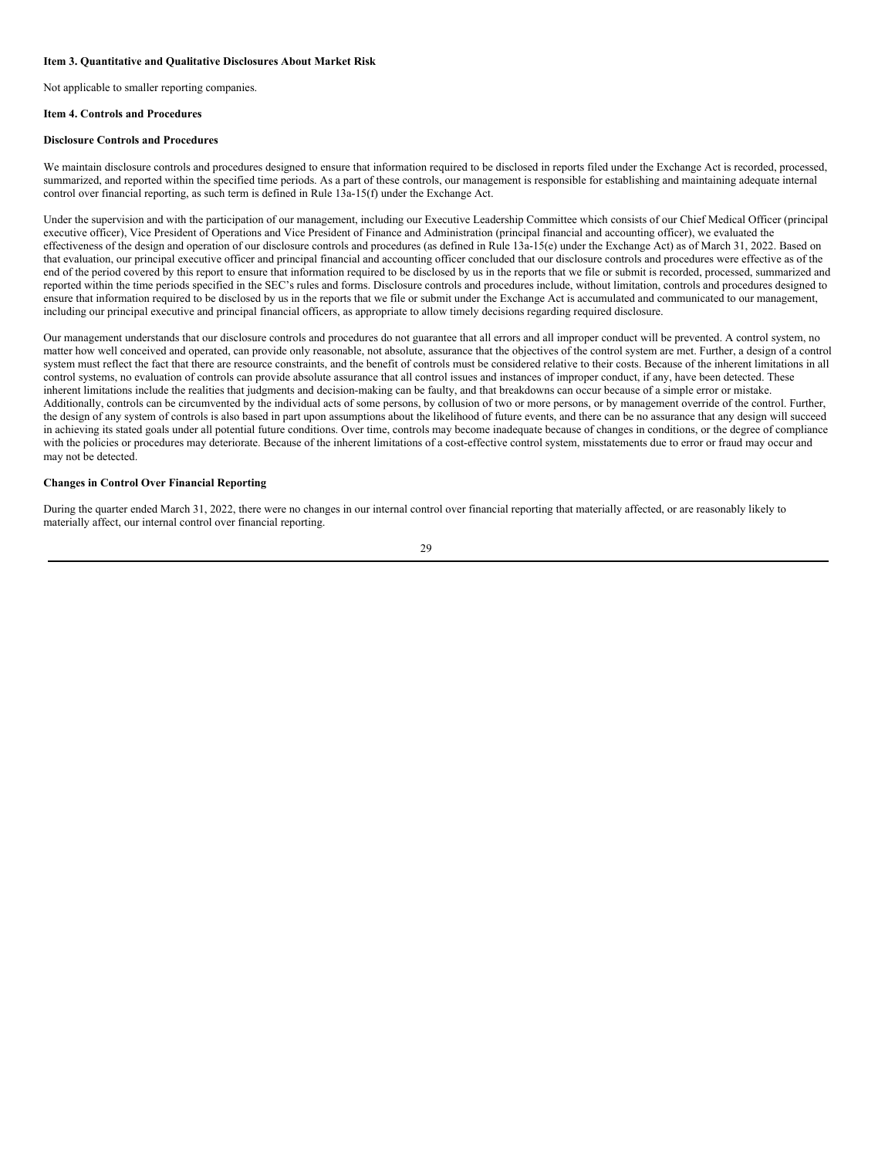#### **Item 3. Quantitative and Qualitative Disclosures About Market Risk**

Not applicable to smaller reporting companies.

#### **Item 4. Controls and Procedures**

#### **Disclosure Controls and Procedures**

We maintain disclosure controls and procedures designed to ensure that information required to be disclosed in reports filed under the Exchange Act is recorded, processed, summarized, and reported within the specified time periods. As a part of these controls, our management is responsible for establishing and maintaining adequate internal control over financial reporting, as such term is defined in Rule 13a-15(f) under the Exchange Act.

Under the supervision and with the participation of our management, including our Executive Leadership Committee which consists of our Chief Medical Officer (principal executive officer), Vice President of Operations and Vice President of Finance and Administration (principal financial and accounting officer), we evaluated the effectiveness of the design and operation of our disclosure controls and procedures (as defined in Rule 13a-15(e) under the Exchange Act) as of March 31, 2022. Based on that evaluation, our principal executive officer and principal financial and accounting officer concluded that our disclosure controls and procedures were effective as of the end of the period covered by this report to ensure that information required to be disclosed by us in the reports that we file or submit is recorded, processed, summarized and reported within the time periods specified in the SEC's rules and forms. Disclosure controls and procedures include, without limitation, controls and procedures designed to ensure that information required to be disclosed by us in the reports that we file or submit under the Exchange Act is accumulated and communicated to our management, including our principal executive and principal financial officers, as appropriate to allow timely decisions regarding required disclosure.

Our management understands that our disclosure controls and procedures do not guarantee that all errors and all improper conduct will be prevented. A control system, no matter how well conceived and operated, can provide only reasonable, not absolute, assurance that the objectives of the control system are met. Further, a design of a control system must reflect the fact that there are resource constraints, and the benefit of controls must be considered relative to their costs. Because of the inherent limitations in all control systems, no evaluation of controls can provide absolute assurance that all control issues and instances of improper conduct, if any, have been detected. These inherent limitations include the realities that judgments and decision-making can be faulty, and that breakdowns can occur because of a simple error or mistake. Additionally, controls can be circumvented by the individual acts of some persons, by collusion of two or more persons, or by management override of the control. Further, the design of any system of controls is also based in part upon assumptions about the likelihood of future events, and there can be no assurance that any design will succeed in achieving its stated goals under all potential future conditions. Over time, controls may become inadequate because of changes in conditions, or the degree of compliance with the policies or procedures may deteriorate. Because of the inherent limitations of a cost-effective control system, misstatements due to error or fraud may occur and may not be detected.

#### **Changes in Control Over Financial Reporting**

During the quarter ended March 31, 2022, there were no changes in our internal control over financial reporting that materially affected, or are reasonably likely to materially affect, our internal control over financial reporting.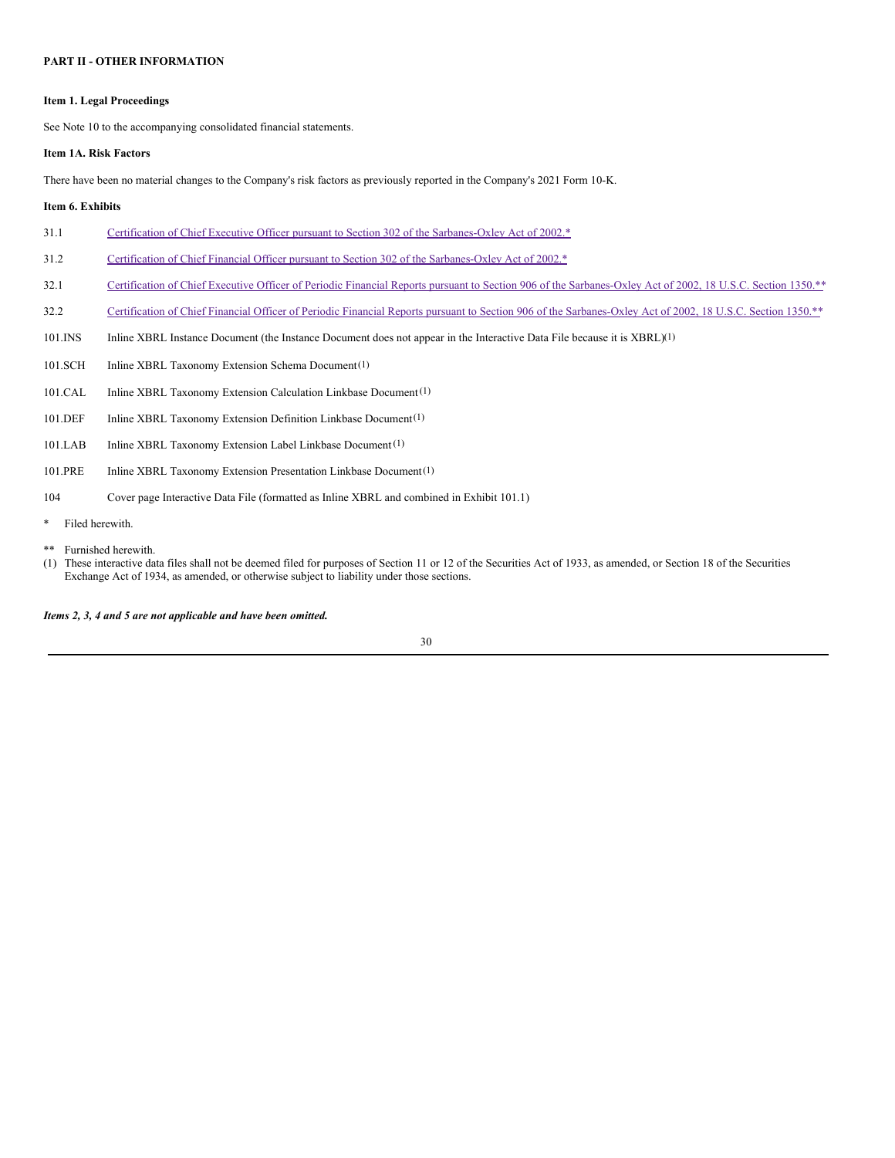#### **PART II - OTHER INFORMATION**

#### **Item 1. Legal Proceedings**

See Note 10 to the accompanying consolidated financial statements.

#### **Item 1A. Risk Factors**

There have been no material changes to the Company's risk factors as previously reported in the Company's 2021 Form 10-K.

#### **Item 6. Exhibits**

- 31.1 Certification of Chief Executive Officer pursuant to Section 302 of the [Sarbanes-Oxley](#page-32-0) Act of 2002.\*
- 31.2 Certification of Chief Financial Officer pursuant to Section 302 of the [Sarbanes-Oxley](#page-33-0) Act of 2002.\*
- 32.1 Certification of Chief Executive Officer of Periodic Financial Reports pursuant to Section 906 of the [Sarbanes-Oxley](#page-34-0) Act of 2002, 18 U.S.C. Section 1350.\*\*
- 32.2 Certification of Chief Financial Officer of Periodic Financial Reports pursuant to Section 906 of the [Sarbanes-Oxley](#page-35-0) Act of 2002, 18 U.S.C. Section 1350.\*\*
- 101.INS Inline XBRL Instance Document (the Instance Document does not appear in the Interactive Data File because it is XBRL)(1)
- 101.SCH Inline XBRL Taxonomy Extension Schema Document(1)
- 101.CAL Inline XBRL Taxonomy Extension Calculation Linkbase Document(1)
- 101.DEF Inline XBRL Taxonomy Extension Definition Linkbase Document(1)
- 101.LAB Inline XBRL Taxonomy Extension Label Linkbase Document (1)
- 101.PRE Inline XBRL Taxonomy Extension Presentation Linkbase Document(1)
- 104 Cover page Interactive Data File (formatted as Inline XBRL and combined in Exhibit 101.1)
- \* Filed herewith.
- \*\* Furnished herewith.
- (1) These interactive data files shall not be deemed filed for purposes of Section 11 or 12 of the Securities Act of 1933, as amended, or Section 18 of the Securities Exchange Act of 1934, as amended, or otherwise subject to liability under those sections.

#### *Items 2, 3, 4 and 5 are not applicable and have been omitted.*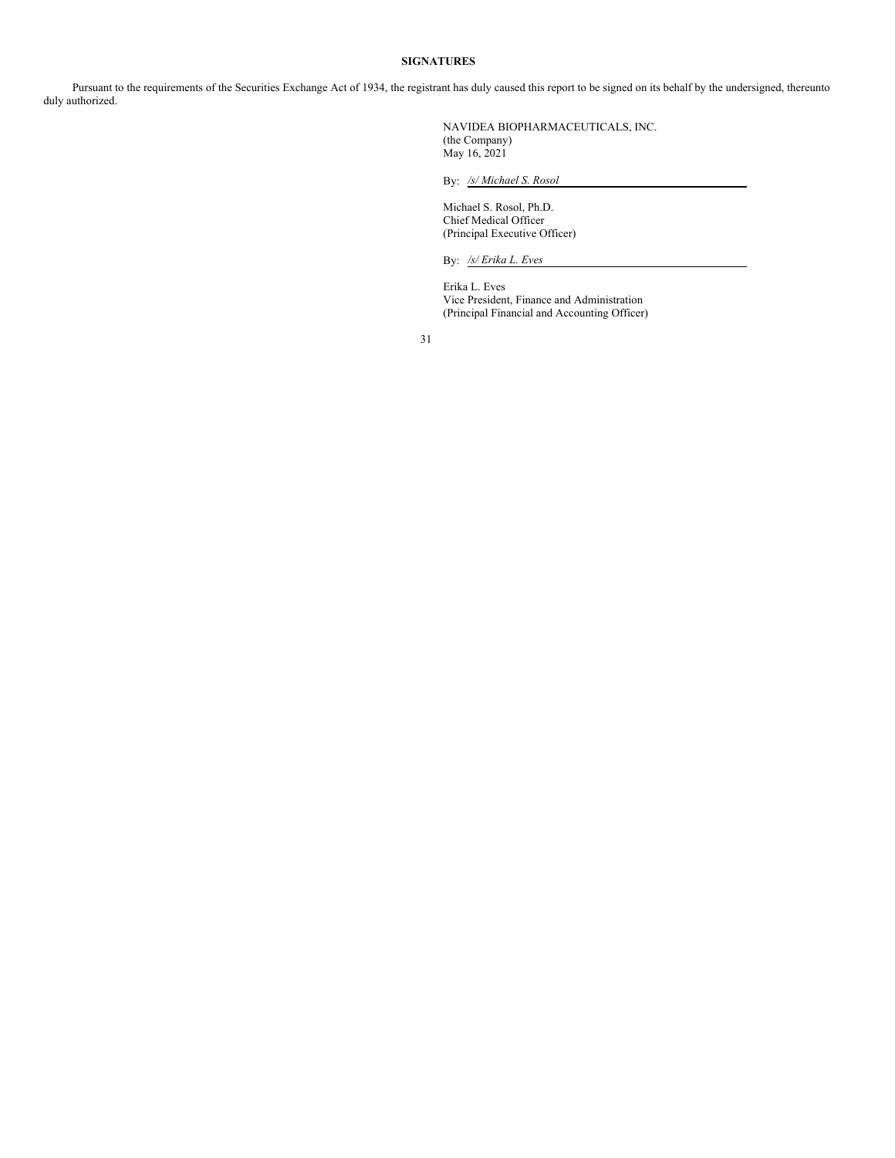#### **SIGNATURES**

Pursuant to the requirements of the Securities Exchange Act of 1934, the registrant has duly caused this report to be signed on its behalf by the undersigned, thereunto duly authorized.

> NAVIDEA BIOPHARMACEUTICALS, INC. (the Company) May 16, 2021

By: */s/ Michael S. Rosol*

Michael S. Rosol, Ph.D. Chief Medical Officer (Principal Executive Officer)

By: */s/ Erika L. Eves*

Erika L. Eves Vice President, Finance and Administration (Principal Financial and Accounting Officer)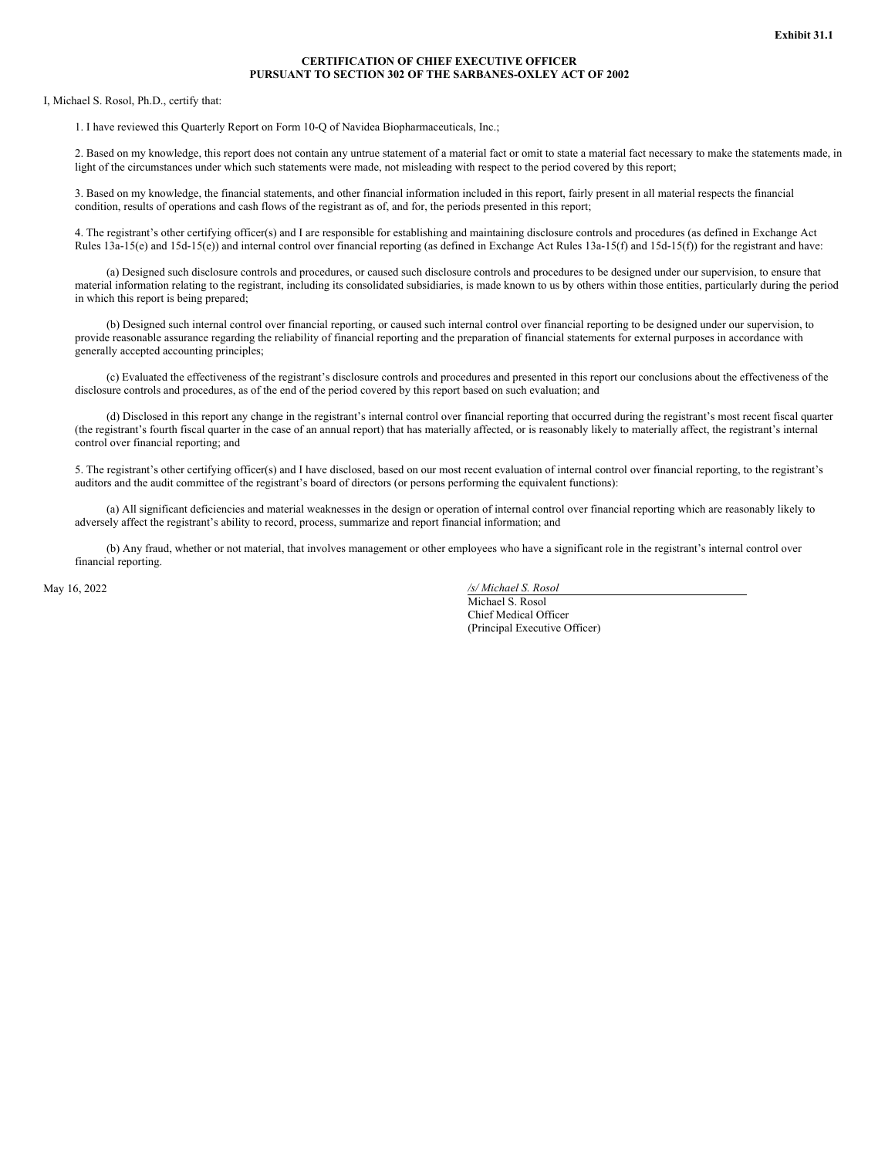#### **CERTIFICATION OF CHIEF EXECUTIVE OFFICER PURSUANT TO SECTION 302 OF THE SARBANES-OXLEY ACT OF 2002**

<span id="page-32-0"></span>I, Michael S. Rosol, Ph.D., certify that:

1. I have reviewed this Quarterly Report on Form 10-Q of Navidea Biopharmaceuticals, Inc.;

2. Based on my knowledge, this report does not contain any untrue statement of a material fact or omit to state a material fact necessary to make the statements made, in light of the circumstances under which such statements were made, not misleading with respect to the period covered by this report;

3. Based on my knowledge, the financial statements, and other financial information included in this report, fairly present in all material respects the financial condition, results of operations and cash flows of the registrant as of, and for, the periods presented in this report;

4. The registrant's other certifying officer(s) and I are responsible for establishing and maintaining disclosure controls and procedures (as defined in Exchange Act Rules 13a-15(e) and 15d-15(e)) and internal control over financial reporting (as defined in Exchange Act Rules 13a-15(f) and 15d-15(f)) for the registrant and have:

(a) Designed such disclosure controls and procedures, or caused such disclosure controls and procedures to be designed under our supervision, to ensure that material information relating to the registrant, including its consolidated subsidiaries, is made known to us by others within those entities, particularly during the period in which this report is being prepared;

(b) Designed such internal control over financial reporting, or caused such internal control over financial reporting to be designed under our supervision, to provide reasonable assurance regarding the reliability of financial reporting and the preparation of financial statements for external purposes in accordance with generally accepted accounting principles;

(c) Evaluated the effectiveness of the registrant's disclosure controls and procedures and presented in this report our conclusions about the effectiveness of the disclosure controls and procedures, as of the end of the period covered by this report based on such evaluation; and

(d) Disclosed in this report any change in the registrant's internal control over financial reporting that occurred during the registrant's most recent fiscal quarter (the registrant's fourth fiscal quarter in the case of an annual report) that has materially affected, or is reasonably likely to materially affect, the registrant's internal control over financial reporting; and

5. The registrant's other certifying officer(s) and I have disclosed, based on our most recent evaluation of internal control over financial reporting, to the registrant's auditors and the audit committee of the registrant's board of directors (or persons performing the equivalent functions):

(a) All significant deficiencies and material weaknesses in the design or operation of internal control over financial reporting which are reasonably likely to adversely affect the registrant's ability to record, process, summarize and report financial information; and

(b) Any fraud, whether or not material, that involves management or other employees who have a significant role in the registrant's internal control over financial reporting.

May 16, 2022 */s/ Michael S. Rosol*

Michael S. Rosol Chief Medical Officer (Principal Executive Officer)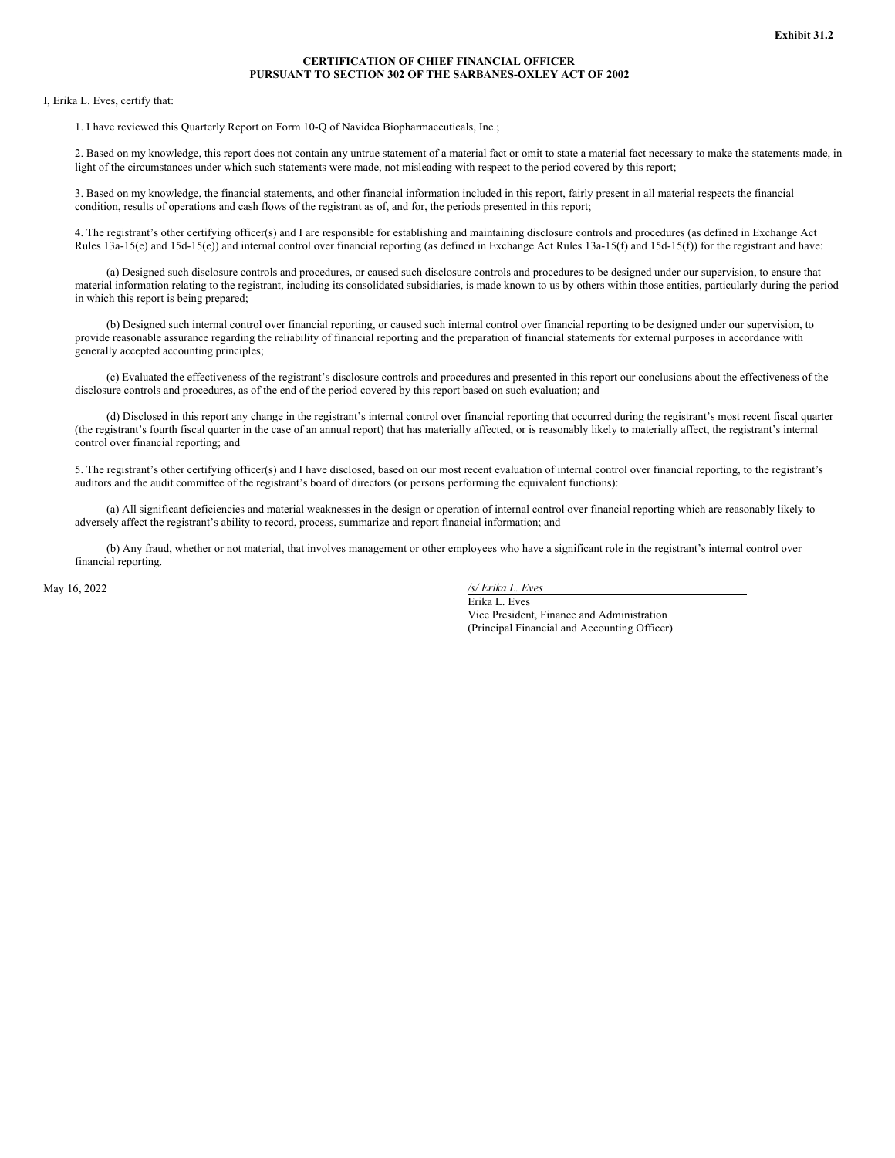#### **CERTIFICATION OF CHIEF FINANCIAL OFFICER PURSUANT TO SECTION 302 OF THE SARBANES-OXLEY ACT OF 2002**

<span id="page-33-0"></span>I, Erika L. Eves, certify that:

1. I have reviewed this Quarterly Report on Form 10-Q of Navidea Biopharmaceuticals, Inc.;

2. Based on my knowledge, this report does not contain any untrue statement of a material fact or omit to state a material fact necessary to make the statements made, in light of the circumstances under which such statements were made, not misleading with respect to the period covered by this report;

3. Based on my knowledge, the financial statements, and other financial information included in this report, fairly present in all material respects the financial condition, results of operations and cash flows of the registrant as of, and for, the periods presented in this report;

4. The registrant's other certifying officer(s) and I are responsible for establishing and maintaining disclosure controls and procedures (as defined in Exchange Act Rules 13a-15(e) and 15d-15(e)) and internal control over financial reporting (as defined in Exchange Act Rules 13a-15(f) and 15d-15(f)) for the registrant and have:

(a) Designed such disclosure controls and procedures, or caused such disclosure controls and procedures to be designed under our supervision, to ensure that material information relating to the registrant, including its consolidated subsidiaries, is made known to us by others within those entities, particularly during the period in which this report is being prepared;

(b) Designed such internal control over financial reporting, or caused such internal control over financial reporting to be designed under our supervision, to provide reasonable assurance regarding the reliability of financial reporting and the preparation of financial statements for external purposes in accordance with generally accepted accounting principles;

(c) Evaluated the effectiveness of the registrant's disclosure controls and procedures and presented in this report our conclusions about the effectiveness of the disclosure controls and procedures, as of the end of the period covered by this report based on such evaluation; and

(d) Disclosed in this report any change in the registrant's internal control over financial reporting that occurred during the registrant's most recent fiscal quarter (the registrant's fourth fiscal quarter in the case of an annual report) that has materially affected, or is reasonably likely to materially affect, the registrant's internal control over financial reporting; and

5. The registrant's other certifying officer(s) and I have disclosed, based on our most recent evaluation of internal control over financial reporting, to the registrant's auditors and the audit committee of the registrant's board of directors (or persons performing the equivalent functions):

(a) All significant deficiencies and material weaknesses in the design or operation of internal control over financial reporting which are reasonably likely to adversely affect the registrant's ability to record, process, summarize and report financial information; and

(b) Any fraud, whether or not material, that involves management or other employees who have a significant role in the registrant's internal control over financial reporting.

May 16, 2022 */s/ Erika L. Eves*

Erika L. Eves Vice President, Finance and Administration (Principal Financial and Accounting Officer)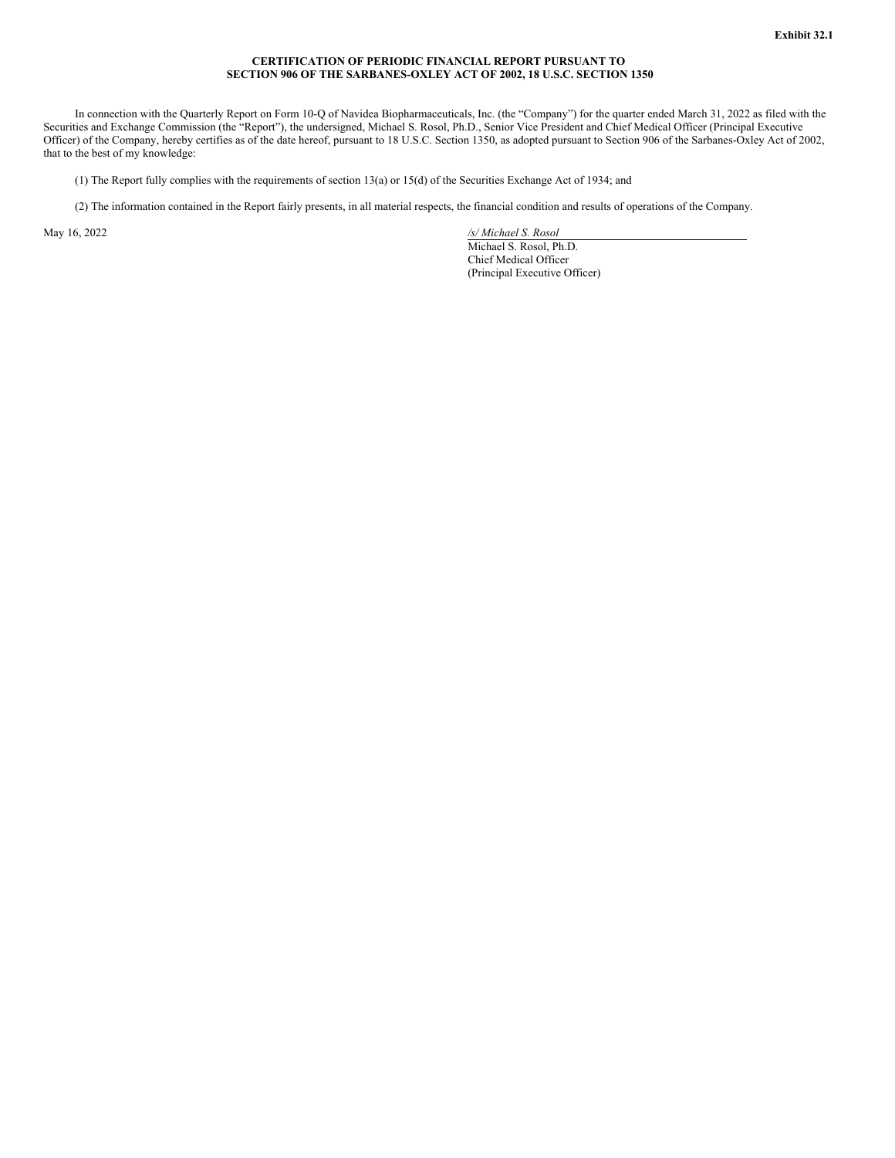#### **CERTIFICATION OF PERIODIC FINANCIAL REPORT PURSUANT TO SECTION 906 OF THE SARBANES-OXLEY ACT OF 2002, 18 U.S.C. SECTION 1350**

<span id="page-34-0"></span>In connection with the Quarterly Report on Form 10-Q of Navidea Biopharmaceuticals, Inc. (the "Company") for the quarter ended March 31, 2022 as filed with the Securities and Exchange Commission (the "Report"), the undersigned, Michael S. Rosol, Ph.D., Senior Vice President and Chief Medical Officer (Principal Executive Officer) of the Company, hereby certifies as of the date hereof, pursuant to 18 U.S.C. Section 1350, as adopted pursuant to Section 906 of the Sarbanes-Oxley Act of 2002, that to the best of my knowledge:

(1) The Report fully complies with the requirements of section 13(a) or 15(d) of the Securities Exchange Act of 1934; and

(2) The information contained in the Report fairly presents, in all material respects, the financial condition and results of operations of the Company.

May 16, 2022 */s/ Michael S. Rosol* Michael S. Rosol, Ph.D. Chief Medical Officer (Principal Executive Officer)